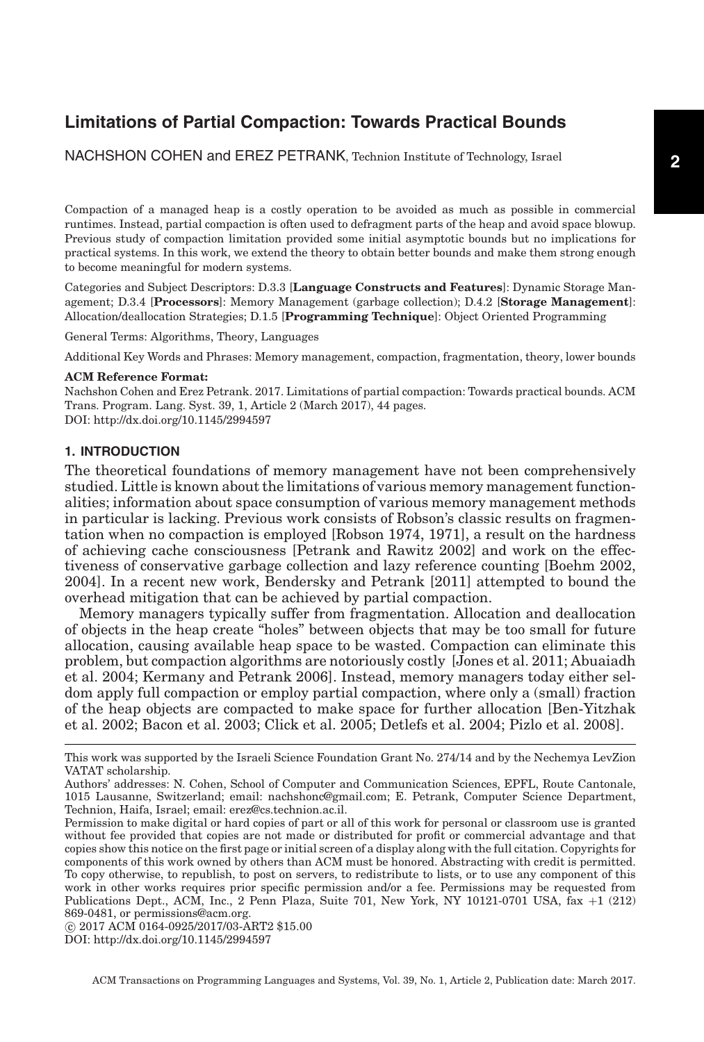NACHSHON COHEN and EREZ PETRANK, Technion Institute of Technology, Israel

Compaction of a managed heap is a costly operation to be avoided as much as possible in commercial runtimes. Instead, partial compaction is often used to defragment parts of the heap and avoid space blowup. Previous study of compaction limitation provided some initial asymptotic bounds but no implications for practical systems. In this work, we extend the theory to obtain better bounds and make them strong enough to become meaningful for modern systems.

Categories and Subject Descriptors: D.3.3 [**Language Constructs and Features**]: Dynamic Storage Management; D.3.4 [**Processors**]: Memory Management (garbage collection); D.4.2 [**Storage Management**]: Allocation/deallocation Strategies; D.1.5 [**Programming Technique**]: Object Oriented Programming

General Terms: Algorithms, Theory, Languages

Additional Key Words and Phrases: Memory management, compaction, fragmentation, theory, lower bounds

#### **ACM Reference Format:**

Nachshon Cohen and Erez Petrank. 2017. Limitations of partial compaction: Towards practical bounds. ACM Trans. Program. Lang. Syst. 39, 1, Article 2 (March 2017), 44 pages. DOI:<http://dx.doi.org/10.1145/2994597>

# **1. INTRODUCTION**

The theoretical foundations of memory management have not been comprehensively studied. Little is known about the limitations of various memory management functionalities; information about space consumption of various memory management methods in particular is lacking. Previous work consists of Robson's classic results on fragmentation when no compaction is employed [Robson [1974,](#page-43-0) [1971\]](#page-43-1), a result on the hardness of achieving cache consciousness [Petrank and Rawitz [2002\]](#page-42-0) and work on the effectiveness of conservative garbage collection and lazy reference counting [Boehm [2002,](#page-42-1) [2004\]](#page-42-2). In a recent new work, Bendersky and Petrank [\[2011\]](#page-42-3) attempted to bound the overhead mitigation that can be achieved by partial compaction.

Memory managers typically suffer from fragmentation. Allocation and deallocation of objects in the heap create "holes" between objects that may be too small for future allocation, causing available heap space to be wasted. Compaction can eliminate this problem, but compaction algorithms are notoriously costly [Jones et al. [2011;](#page-42-4) Abuaiadh et al. [2004;](#page-42-5) Kermany and Petrank [2006\]](#page-42-6). Instead, memory managers today either seldom apply full compaction or employ partial compaction, where only a (small) fraction of the heap objects are compacted to make space for further allocation [Ben-Yitzhak et al. [2002;](#page-42-7) Bacon et al. [2003;](#page-42-8) Click et al. [2005;](#page-42-9) Detlefs et al. [2004;](#page-42-10) Pizlo et al. [2008\]](#page-42-11).

-c 2017 ACM 0164-0925/2017/03-ART2 \$15.00

DOI:<http://dx.doi.org/10.1145/2994597>

ACM Transactions on Programming Languages and Systems, Vol. 39, No. 1, Article 2, Publication date: March 2017.

This work was supported by the Israeli Science Foundation Grant No. 274/14 and by the Nechemya LevZion VATAT scholarship.

Authors' addresses: N. Cohen, School of Computer and Communication Sciences, EPFL, Route Cantonale, 1015 Lausanne, Switzerland; email: nachshonc@gmail.com; E. Petrank, Computer Science Department, Technion, Haifa, Israel; email: erez@cs.technion.ac.il.

Permission to make digital or hard copies of part or all of this work for personal or classroom use is granted without fee provided that copies are not made or distributed for profit or commercial advantage and that copies show this notice on the first page or initial screen of a display along with the full citation. Copyrights for components of this work owned by others than ACM must be honored. Abstracting with credit is permitted. To copy otherwise, to republish, to post on servers, to redistribute to lists, or to use any component of this work in other works requires prior specific permission and/or a fee. Permissions may be requested from Publications Dept., ACM, Inc., 2 Penn Plaza, Suite 701, New York, NY 10121-0701 USA, fax +1 (212) 869-0481, or permissions@acm.org.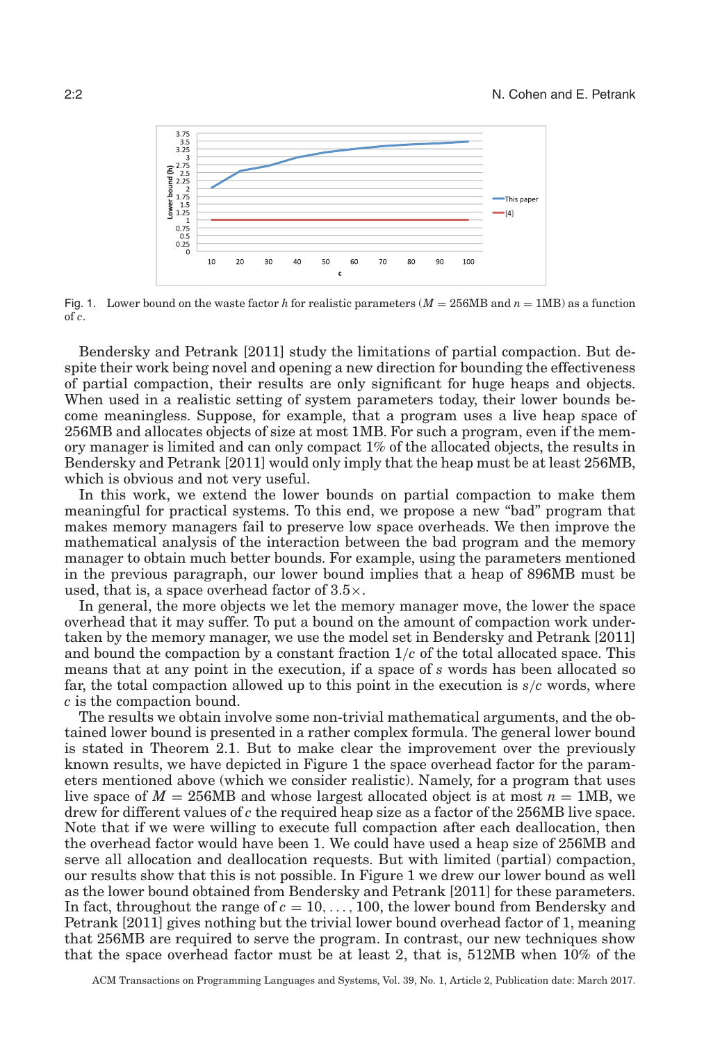<span id="page-1-0"></span>

Fig. 1. Lower bound on the waste factor *h* for realistic parameters ( $M = 256MB$  and  $n = 1MB$ ) as a function of *c*.

Bendersky and Petrank [\[2011\]](#page-42-3) study the limitations of partial compaction. But despite their work being novel and opening a new direction for bounding the effectiveness of partial compaction, their results are only significant for huge heaps and objects. When used in a realistic setting of system parameters today, their lower bounds become meaningless. Suppose, for example, that a program uses a live heap space of 256MB and allocates objects of size at most 1MB. For such a program, even if the memory manager is limited and can only compact 1% of the allocated objects, the results in Bendersky and Petrank [\[2011\]](#page-42-3) would only imply that the heap must be at least 256MB, which is obvious and not very useful.

In this work, we extend the lower bounds on partial compaction to make them meaningful for practical systems. To this end, we propose a new "bad" program that makes memory managers fail to preserve low space overheads. We then improve the mathematical analysis of the interaction between the bad program and the memory manager to obtain much better bounds. For example, using the parameters mentioned in the previous paragraph, our lower bound implies that a heap of 896MB must be used, that is, a space overhead factor of  $3.5\times$ .

In general, the more objects we let the memory manager move, the lower the space overhead that it may suffer. To put a bound on the amount of compaction work undertaken by the memory manager, we use the model set in Bendersky and Petrank [\[2011\]](#page-42-3) and bound the compaction by a constant fraction  $1/c$  of the total allocated space. This means that at any point in the execution, if a space of *s* words has been allocated so far, the total compaction allowed up to this point in the execution is *s*/*c* words, where *c* is the compaction bound.

The results we obtain involve some non-trivial mathematical arguments, and the obtained lower bound is presented in a rather complex formula. The general lower bound is stated in Theorem [2.1.](#page-4-0) But to make clear the improvement over the previously known results, we have depicted in Figure [1](#page-1-0) the space overhead factor for the parameters mentioned above (which we consider realistic). Namely, for a program that uses live space of  $M = 256MB$  and whose largest allocated object is at most  $n = 1MB$ , we drew for different values of *c* the required heap size as a factor of the 256MB live space. Note that if we were willing to execute full compaction after each deallocation, then the overhead factor would have been 1. We could have used a heap size of 256MB and serve all allocation and deallocation requests. But with limited (partial) compaction, our results show that this is not possible. In Figure [1](#page-1-0) we drew our lower bound as well as the lower bound obtained from Bendersky and Petrank [\[2011\]](#page-42-3) for these parameters. In fact, throughout the range of  $c = 10, \ldots, 100$ , the lower bound from Bendersky and Petrank [\[2011\]](#page-42-3) gives nothing but the trivial lower bound overhead factor of 1, meaning that 256MB are required to serve the program. In contrast, our new techniques show that the space overhead factor must be at least 2, that is, 512MB when 10% of the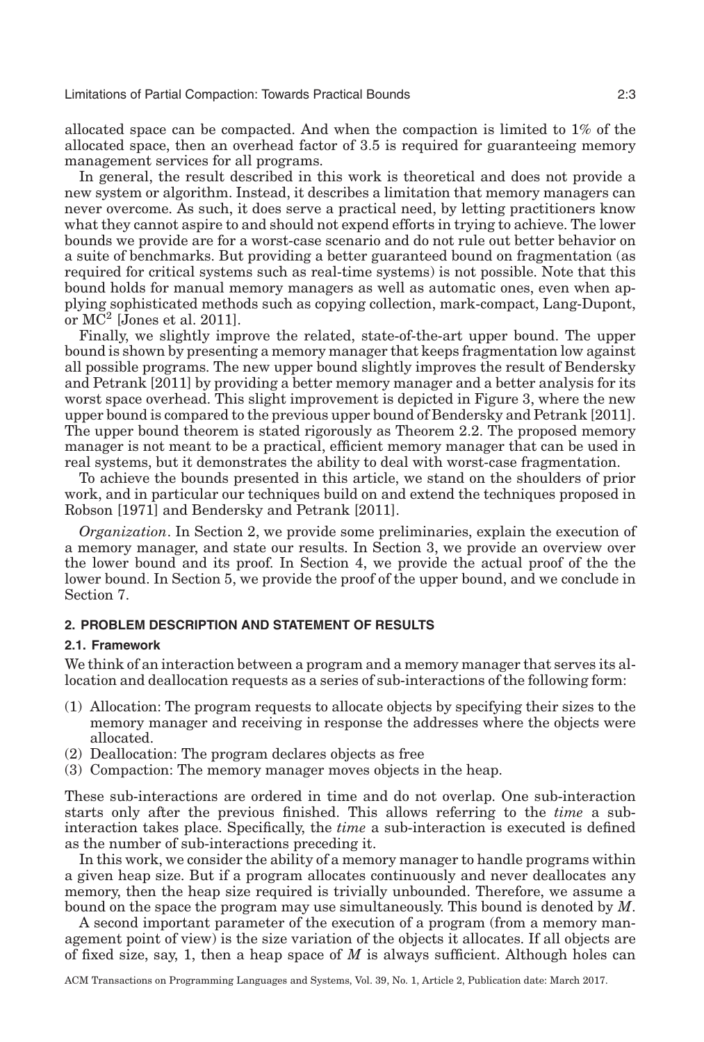allocated space can be compacted. And when the compaction is limited to 1% of the allocated space, then an overhead factor of 3.5 is required for guaranteeing memory management services for all programs.

In general, the result described in this work is theoretical and does not provide a new system or algorithm. Instead, it describes a limitation that memory managers can never overcome. As such, it does serve a practical need, by letting practitioners know what they cannot aspire to and should not expend efforts in trying to achieve. The lower bounds we provide are for a worst-case scenario and do not rule out better behavior on a suite of benchmarks. But providing a better guaranteed bound on fragmentation (as required for critical systems such as real-time systems) is not possible. Note that this bound holds for manual memory managers as well as automatic ones, even when applying sophisticated methods such as copying collection, mark-compact, Lang-Dupont, or  $MC^2$  [Jones et al. [2011\]](#page-42-4).

Finally, we slightly improve the related, state-of-the-art upper bound. The upper bound is shown by presenting a memory manager that keeps fragmentation low against all possible programs. The new upper bound slightly improves the result of Bendersky and Petrank [\[2011\]](#page-42-3) by providing a better memory manager and a better analysis for its worst space overhead. This slight improvement is depicted in Figure [3,](#page-6-0) where the new upper bound is compared to the previous upper bound of Bendersky and Petrank [\[2011\]](#page-42-3). The upper bound theorem is stated rigorously as Theorem [2.2.](#page-6-1) The proposed memory manager is not meant to be a practical, efficient memory manager that can be used in real systems, but it demonstrates the ability to deal with worst-case fragmentation.

To achieve the bounds presented in this article, we stand on the shoulders of prior work, and in particular our techniques build on and extend the techniques proposed in Robson [\[1971\]](#page-43-1) and Bendersky and Petrank [\[2011\]](#page-42-3).

*Organization*. In Section [2,](#page-2-0) we provide some preliminaries, explain the execution of a memory manager, and state our results. In Section [3,](#page-7-0) we provide an overview over the lower bound and its proof. In Section [4,](#page-9-0) we provide the actual proof of the the lower bound. In Section [5,](#page-32-0) we provide the proof of the upper bound, and we conclude in Section [7.](#page-38-0)

# **2. PROBLEM DESCRIPTION AND STATEMENT OF RESULTS**

# <span id="page-2-0"></span>**2.1. Framework**

We think of an interaction between a program and a memory manager that serves its allocation and deallocation requests as a series of sub-interactions of the following form:

- (1) Allocation: The program requests to allocate objects by specifying their sizes to the memory manager and receiving in response the addresses where the objects were allocated.
- (2) Deallocation: The program declares objects as free
- (3) Compaction: The memory manager moves objects in the heap.

These sub-interactions are ordered in time and do not overlap. One sub-interaction starts only after the previous finished. This allows referring to the *time* a subinteraction takes place. Specifically, the *time* a sub-interaction is executed is defined as the number of sub-interactions preceding it.

In this work, we consider the ability of a memory manager to handle programs within a given heap size. But if a program allocates continuously and never deallocates any memory, then the heap size required is trivially unbounded. Therefore, we assume a bound on the space the program may use simultaneously. This bound is denoted by *M*.

A second important parameter of the execution of a program (from a memory management point of view) is the size variation of the objects it allocates. If all objects are of fixed size, say, 1, then a heap space of *M* is always sufficient. Although holes can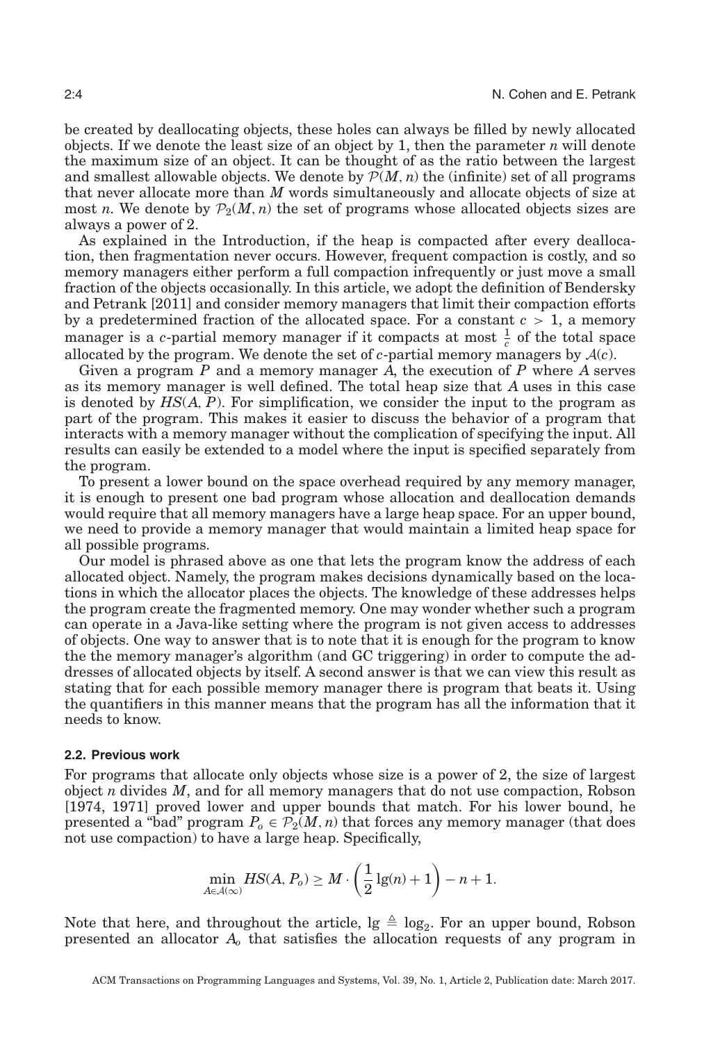be created by deallocating objects, these holes can always be filled by newly allocated objects. If we denote the least size of an object by 1, then the parameter  $n$  will denote the maximum size of an object. It can be thought of as the ratio between the largest and smallest allowable objects. We denote by  $\mathcal{P}(M, n)$  the (infinite) set of all programs that never allocate more than *M* words simultaneously and allocate objects of size at most *n*. We denote by  $P_2(M, n)$  the set of programs whose allocated objects sizes are always a power of 2.

As explained in the Introduction, if the heap is compacted after every deallocation, then fragmentation never occurs. However, frequent compaction is costly, and so memory managers either perform a full compaction infrequently or just move a small fraction of the objects occasionally. In this article, we adopt the definition of Bendersky and Petrank [\[2011\]](#page-42-3) and consider memory managers that limit their compaction efforts by a predetermined fraction of the allocated space. For a constant  $c > 1$ , a memory manager is a *c*-partial memory manager if it compacts at most  $\frac{1}{c}$  of the total space allocated by the program. We denote the set of *c*-partial memory managers by  $A(c)$ .

Given a program *P* and a memory manager *A*, the execution of *P* where *A* serves as its memory manager is well defined. The total heap size that *A* uses in this case is denoted by  $HS(A, P)$ . For simplification, we consider the input to the program as part of the program. This makes it easier to discuss the behavior of a program that interacts with a memory manager without the complication of specifying the input. All results can easily be extended to a model where the input is specified separately from the program.

To present a lower bound on the space overhead required by any memory manager, it is enough to present one bad program whose allocation and deallocation demands would require that all memory managers have a large heap space. For an upper bound, we need to provide a memory manager that would maintain a limited heap space for all possible programs.

Our model is phrased above as one that lets the program know the address of each allocated object. Namely, the program makes decisions dynamically based on the locations in which the allocator places the objects. The knowledge of these addresses helps the program create the fragmented memory. One may wonder whether such a program can operate in a Java-like setting where the program is not given access to addresses of objects. One way to answer that is to note that it is enough for the program to know the the memory manager's algorithm (and GC triggering) in order to compute the addresses of allocated objects by itself. A second answer is that we can view this result as stating that for each possible memory manager there is program that beats it. Using the quantifiers in this manner means that the program has all the information that it needs to know.

## **2.2. Previous work**

For programs that allocate only objects whose size is a power of 2, the size of largest object *n* divides *M*, and for all memory managers that do not use compaction, Robson [\[1974,](#page-43-0) [1971\]](#page-43-1) proved lower and upper bounds that match. For his lower bound, he presented a "bad" program  $P_0 \in \mathcal{P}_2(M, n)$  that forces any memory manager (that does not use compaction) to have a large heap. Specifically,

$$
\min_{A \in \mathcal{A}(\infty)} HS(A, P_o) \geq M \cdot \left(\frac{1}{2} \lg(n) + 1\right) - n + 1.
$$

Note that here, and throughout the article,  $\lg \triangleq \log_2$ . For an upper bound, Robson presented an allocator *Ao* that satisfies the allocation requests of any program in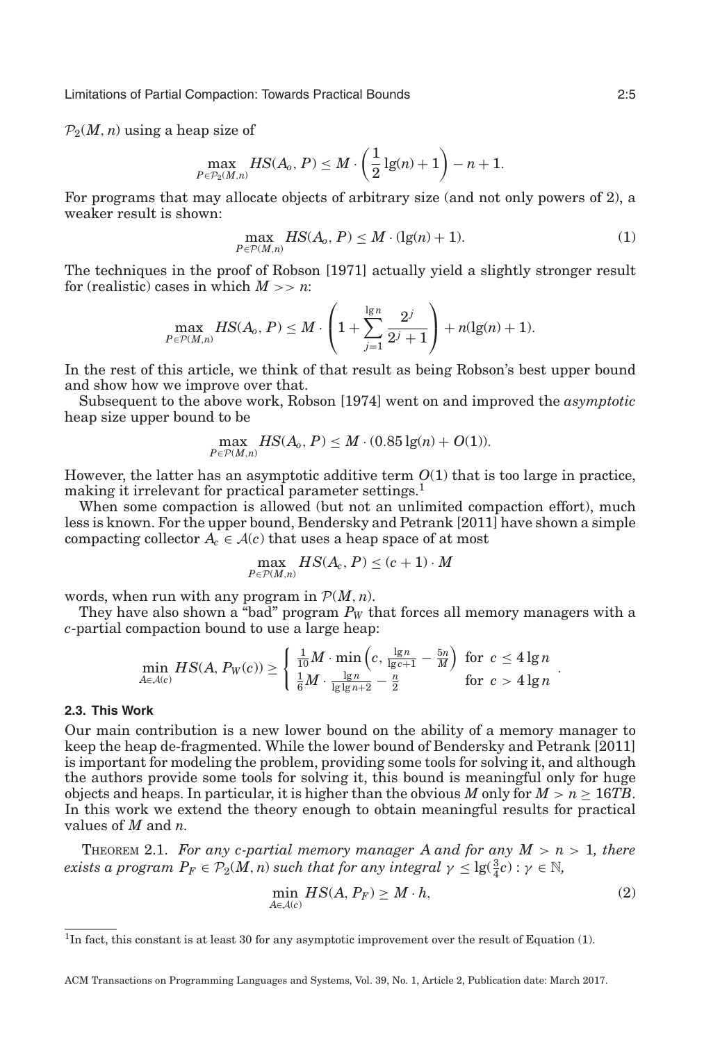$P_2(M, n)$  using a heap size of

$$
\max_{P \in \mathcal{P}_2(M,n)} HS(A_o, P) \leq M \cdot \left(\frac{1}{2} \lg(n) + 1\right) - n + 1.
$$

For programs that may allocate objects of arbitrary size (and not only powers of 2), a weaker result is shown:

<span id="page-4-2"></span>
$$
\max_{P \in \mathcal{P}(M,n)} HS(A_o, P) \le M \cdot (\lg(n) + 1). \tag{1}
$$

The techniques in the proof of Robson [\[1971\]](#page-43-1) actually yield a slightly stronger result for (realistic) cases in which  $M \gg n$ :

$$
\max_{P \in \mathcal{P}(M,n)} HS(A_o, P) \leq M \cdot \left(1 + \sum_{j=1}^{\lg n} \frac{2^j}{2^j + 1}\right) + n(\lg(n) + 1).
$$

In the rest of this article, we think of that result as being Robson's best upper bound and show how we improve over that.

Subsequent to the above work, Robson [\[1974\]](#page-43-0) went on and improved the *asymptotic* heap size upper bound to be

$$
\max_{P \in \mathcal{P}(M,n)} HS(A_o, P) \leq M \cdot (0.85 \lg(n) + O(1)).
$$

However, the latter has an asymptotic additive term *O*(1) that is too large in practice, making it irrelevant for practical parameter settings.<sup>[1](#page-4-1)</sup>

When some compaction is allowed (but not an unlimited compaction effort), much less is known. For the upper bound, Bendersky and Petrank [\[2011\]](#page-42-3) have shown a simple compacting collector  $A_c \in \mathcal{A}(c)$  that uses a heap space of at most

$$
\max_{P \in \mathcal{P}(M,n)} HS(A_c, P) \le (c+1) \cdot M
$$

words, when run with any program in  $P(M, n)$ .

They have also shown a "bad" program  $P_W$  that forces all memory managers with a *c*-partial compaction bound to use a large heap:

$$
\min_{A \in \mathcal{A}(c)} HS(A, P_W(c)) \ge \begin{cases} \frac{1}{10}M \cdot \min\left(c, \frac{\lg n}{\lg c + 1} - \frac{5n}{M}\right) & \text{for } c \le 4 \lg n \\ \frac{1}{6}M \cdot \frac{\lg n}{\lg \lg n + 2} - \frac{n}{2} & \text{for } c > 4 \lg n \end{cases}.
$$

#### **2.3. This Work**

Our main contribution is a new lower bound on the ability of a memory manager to keep the heap de-fragmented. While the lower bound of Bendersky and Petrank [\[2011\]](#page-42-3) is important for modeling the problem, providing some tools for solving it, and although the authors provide some tools for solving it, this bound is meaningful only for huge objects and heaps. In particular, it is higher than the obvious *M* only for  $M > n > 16TB$ . In this work we extend the theory enough to obtain meaningful results for practical values of *M* and *n*.

<span id="page-4-0"></span>THEOREM 2.1. *For any c-partial memory manager A and for any*  $M > n > 1$ *, there exists a program*  $P_F \in \mathcal{P}_2(M, n)$  *such that for any integral*  $\gamma \le \lg(\frac{3}{4}c)$ :  $\gamma \in \mathbb{N}$ ,

$$
\min_{A \in \mathcal{A}(c)} HS(A, P_F) \ge M \cdot h,\tag{2}
$$

<span id="page-4-1"></span><sup>&</sup>lt;sup>1</sup>In fact, this constant is at least 30 for any asymptotic improvement over the result of Equation [\(1\)](#page-4-2).

ACM Transactions on Programming Languages and Systems, Vol. 39, No. 1, Article 2, Publication date: March 2017.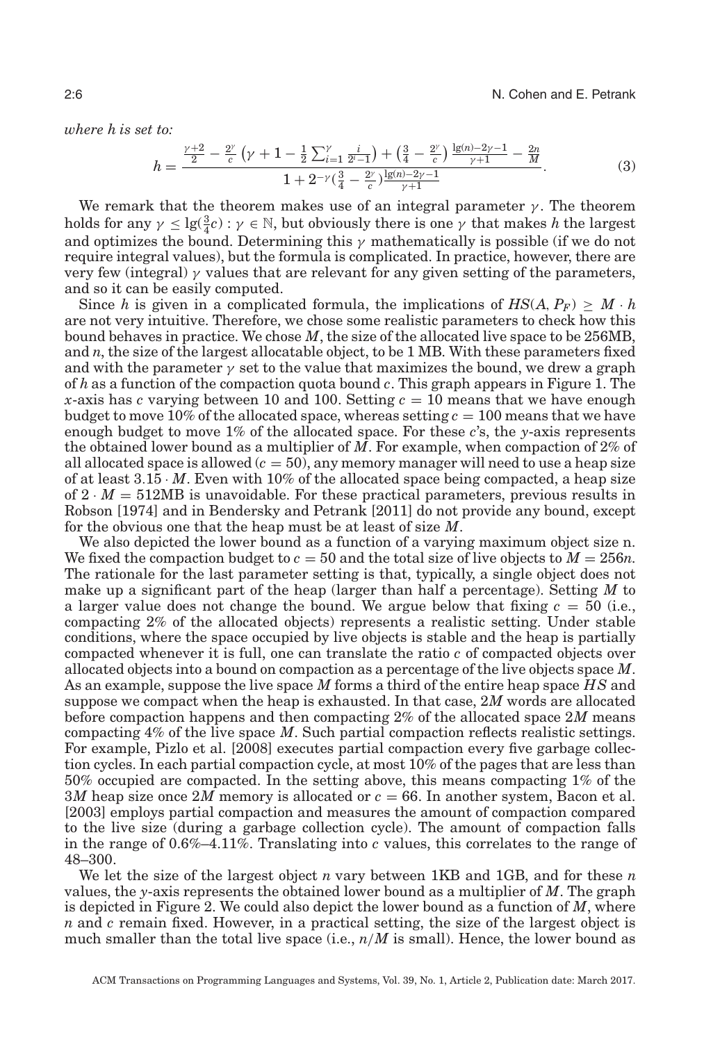2:6 N. Cohen and E. Petrank

*where h is set to:*

<span id="page-5-0"></span>
$$
h = \frac{\frac{\gamma + 2}{2} - \frac{2\gamma}{c} \left(\gamma + 1 - \frac{1}{2} \sum_{i=1}^{\gamma} \frac{i}{2^i - 1}\right) + \left(\frac{3}{4} - \frac{2\gamma}{c}\right) \frac{\lg(n) - 2\gamma - 1}{\gamma + 1} - \frac{2n}{M}}{1 + 2^{-\gamma}\left(\frac{3}{4} - \frac{2\gamma}{c}\right) \frac{\lg(n) - 2\gamma - 1}{\gamma + 1}}.
$$
(3)

We remark that the theorem makes use of an integral parameter  $\gamma$ . The theorem holds for any  $\gamma \leq \lg(\frac{3}{4}c)$ :  $\gamma \in \mathbb{N}$ , but obviously there is one  $\gamma$  that makes *h* the largest and optimizes the bound. Determining this  $\gamma$  mathematically is possible (if we do not require integral values), but the formula is complicated. In practice, however, there are very few (integral)  $\gamma$  values that are relevant for any given setting of the parameters, and so it can be easily computed.

Since *h* is given in a complicated formula, the implications of  $HS(A, P_F) > M \cdot h$ are not very intuitive. Therefore, we chose some realistic parameters to check how this bound behaves in practice. We chose *M*, the size of the allocated live space to be 256MB, and *n*, the size of the largest allocatable object, to be 1 MB. With these parameters fixed and with the parameter  $\gamma$  set to the value that maximizes the bound, we drew a graph of *h* as a function of the compaction quota bound *c*. This graph appears in Figure [1.](#page-1-0) The *x*-axis has *c* varying between 10 and 100. Setting  $c = 10$  means that we have enough budget to move 10% of the allocated space, whereas setting  $c = 100$  means that we have enough budget to move 1% of the allocated space. For these *c*'s, the *y*-axis represents the obtained lower bound as a multiplier of *M*. For example, when compaction of 2% of all allocated space is allowed  $(c = 50)$ , any memory manager will need to use a heap size of at least  $3.15 \cdot M$ . Even with 10% of the allocated space being compacted, a heap size of  $2 \cdot M = 512MB$  is unavoidable. For these practical parameters, previous results in Robson [\[1974\]](#page-43-0) and in Bendersky and Petrank [\[2011\]](#page-42-3) do not provide any bound, except for the obvious one that the heap must be at least of size *M*.

We also depicted the lower bound as a function of a varying maximum object size n. We fixed the compaction budget to  $c = 50$  and the total size of live objects to  $M = 256n$ . The rationale for the last parameter setting is that, typically, a single object does not make up a significant part of the heap (larger than half a percentage). Setting *M* to a larger value does not change the bound. We argue below that fixing  $c = 50$  (i.e., compacting 2% of the allocated objects) represents a realistic setting. Under stable conditions, where the space occupied by live objects is stable and the heap is partially compacted whenever it is full, one can translate the ratio *c* of compacted objects over allocated objects into a bound on compaction as a percentage of the live objects space *M*. As an example, suppose the live space *M* forms a third of the entire heap space *HS* and suppose we compact when the heap is exhausted. In that case, 2*M* words are allocated before compaction happens and then compacting 2% of the allocated space 2*M* means compacting 4% of the live space *M*. Such partial compaction reflects realistic settings. For example, Pizlo et al. [\[2008\]](#page-42-11) executes partial compaction every five garbage collection cycles. In each partial compaction cycle, at most 10% of the pages that are less than 50% occupied are compacted. In the setting above, this means compacting 1% of the 3*M* heap size once 2*M* memory is allocated or *c* = 66. In another system, Bacon et al. [\[2003\]](#page-42-8) employs partial compaction and measures the amount of compaction compared to the live size (during a garbage collection cycle). The amount of compaction falls in the range of 0.6%–4.11%. Translating into *c* values, this correlates to the range of 48–300.

We let the size of the largest object *n* vary between 1KB and 1GB, and for these *n* values, the *y*-axis represents the obtained lower bound as a multiplier of *M*. The graph is depicted in Figure [2.](#page-6-2) We could also depict the lower bound as a function of *M*, where *n* and *c* remain fixed. However, in a practical setting, the size of the largest object is much smaller than the total live space (i.e.,  $n/M$  is small). Hence, the lower bound as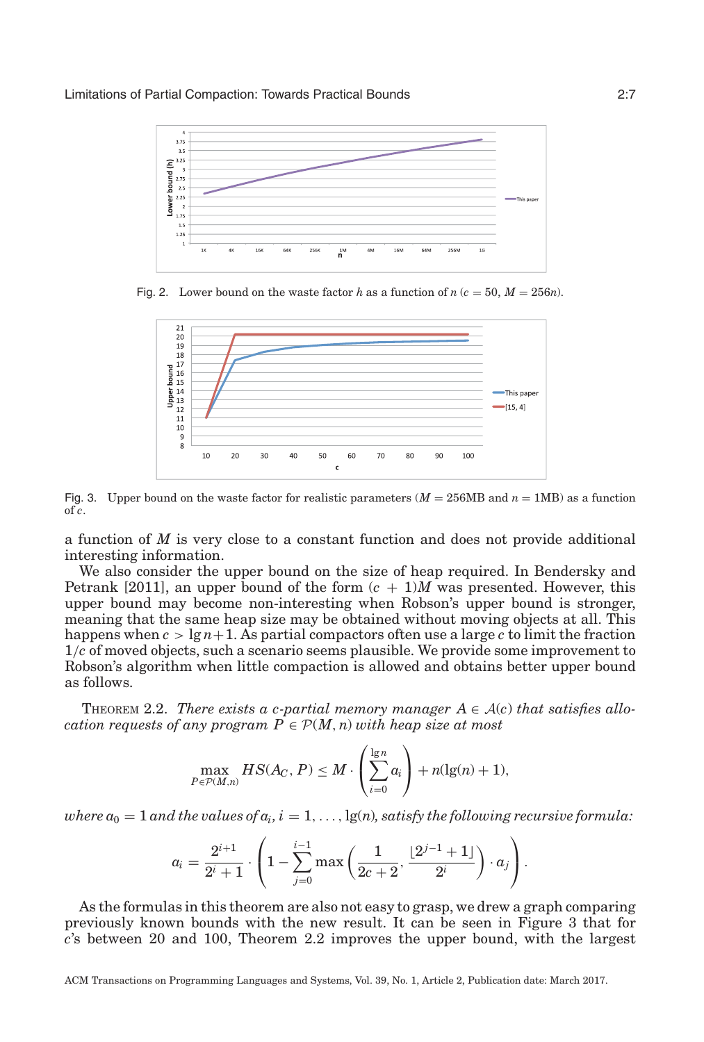<span id="page-6-2"></span>

<span id="page-6-0"></span>Fig. 2. Lower bound on the waste factor *h* as a function of  $n (c = 50, M = 256n)$ .



Fig. 3. Upper bound on the waste factor for realistic parameters ( $M = 256MB$  and  $n = 1MB$ ) as a function of *c*.

a function of *M* is very close to a constant function and does not provide additional interesting information.

We also consider the upper bound on the size of heap required. In Bendersky and Petrank [\[2011\]](#page-42-3), an upper bound of the form  $(c + 1)M$  was presented. However, this upper bound may become non-interesting when Robson's upper bound is stronger, meaning that the same heap size may be obtained without moving objects at all. This happens when  $c > \lg n+1$ . As partial compactors often use a large *c* to limit the fraction 1/*c* of moved objects, such a scenario seems plausible. We provide some improvement to Robson's algorithm when little compaction is allowed and obtains better upper bound as follows.

<span id="page-6-1"></span>**THEOREM 2.2.** There exists a c-partial memory manager  $A \in \mathcal{A}(c)$  that satisfies allo*cation requests of any program*  $\overline{P} \in \mathcal{P}(M, n)$  *with heap size at most* 

$$
\max_{P \in \mathcal{P}(M,n)} HS(A_C, P) \leq M \cdot \left(\sum_{i=0}^{\lfloor \text{lg } n \rfloor} a_i\right) + n(\lg(n) + 1),
$$

*where*  $a_0 = 1$  *and the values of*  $a_i$ ,  $i = 1, \ldots, \lg(n)$ *, satisfy the following recursive formula:* 

$$
a_i = \frac{2^{i+1}}{2^i+1} \cdot \left(1 - \sum_{j=0}^{i-1} \max\left(\frac{1}{2c+2}, \frac{\lfloor 2^{j-1}+1 \rfloor}{2^i}\right) \cdot a_j\right).
$$

As the formulas in this theorem are also not easy to grasp, we drew a graph comparing previously known bounds with the new result. It can be seen in Figure [3](#page-6-0) that for *c*'s between 20 and 100, Theorem [2.2](#page-6-1) improves the upper bound, with the largest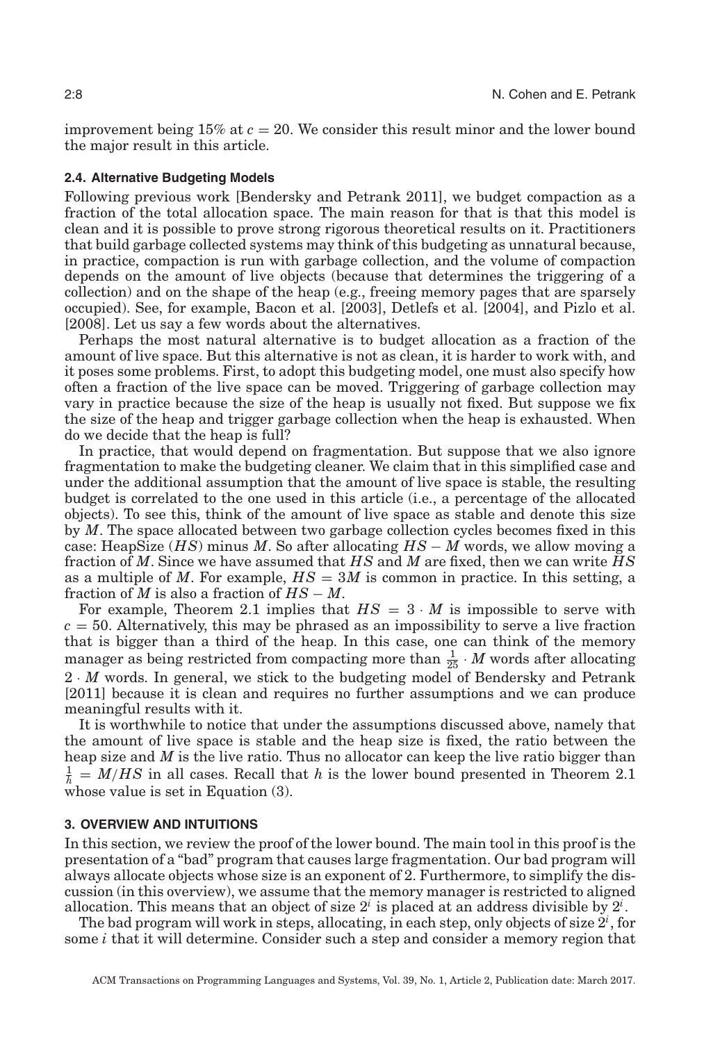improvement being  $15\%$  at  $c = 20$ . We consider this result minor and the lower bound the major result in this article.

#### **2.4. Alternative Budgeting Models**

Following previous work [Bendersky and Petrank [2011\]](#page-42-3), we budget compaction as a fraction of the total allocation space. The main reason for that is that this model is clean and it is possible to prove strong rigorous theoretical results on it. Practitioners that build garbage collected systems may think of this budgeting as unnatural because, in practice, compaction is run with garbage collection, and the volume of compaction depends on the amount of live objects (because that determines the triggering of a collection) and on the shape of the heap (e.g., freeing memory pages that are sparsely occupied). See, for example, Bacon et al. [\[2003\]](#page-42-8), Detlefs et al. [\[2004\]](#page-42-10), and Pizlo et al. [\[2008\]](#page-42-11). Let us say a few words about the alternatives.

Perhaps the most natural alternative is to budget allocation as a fraction of the amount of live space. But this alternative is not as clean, it is harder to work with, and it poses some problems. First, to adopt this budgeting model, one must also specify how often a fraction of the live space can be moved. Triggering of garbage collection may vary in practice because the size of the heap is usually not fixed. But suppose we fix the size of the heap and trigger garbage collection when the heap is exhausted. When do we decide that the heap is full?

In practice, that would depend on fragmentation. But suppose that we also ignore fragmentation to make the budgeting cleaner. We claim that in this simplified case and under the additional assumption that the amount of live space is stable, the resulting budget is correlated to the one used in this article (i.e., a percentage of the allocated objects). To see this, think of the amount of live space as stable and denote this size by *M*. The space allocated between two garbage collection cycles becomes fixed in this case: HeapSize (*HS*) minus *M*. So after allocating *HS* − *M* words, we allow moving a fraction of *M*. Since we have assumed that *HS* and *M* are fixed, then we can write *HS* as a multiple of *M*. For example,  $HS = 3M$  is common in practice. In this setting, a fraction of *M* is also a fraction of  $HS - M$ .

For example, Theorem [2.1](#page-4-0) implies that  $HS = 3 \cdot M$  is impossible to serve with  $c = 50$ . Alternatively, this may be phrased as an impossibility to serve a live fraction that is bigger than a third of the heap. In this case, one can think of the memory manager as being restricted from compacting more than  $\frac{1}{25} \cdot M$  words after allocating 2 · *M* words. In general, we stick to the budgeting model of Bendersky and Petrank [\[2011\]](#page-42-3) because it is clean and requires no further assumptions and we can produce meaningful results with it.

It is worthwhile to notice that under the assumptions discussed above, namely that the amount of live space is stable and the heap size is fixed, the ratio between the heap size and *M* is the live ratio. Thus no allocator can keep the live ratio bigger than  $\frac{1}{h} = M/HS$  in all cases. Recall that *h* is the lower bound presented in Theorem [2.1](#page-4-0) whose value is set in Equation [\(3\)](#page-5-0).

## **3. OVERVIEW AND INTUITIONS**

<span id="page-7-0"></span>In this section, we review the proof of the lower bound. The main tool in this proof is the presentation of a "bad" program that causes large fragmentation. Our bad program will always allocate objects whose size is an exponent of 2. Furthermore, to simplify the discussion (in this overview), we assume that the memory manager is restricted to aligned allocation. This means that an object of size  $2^i$  is placed at an address divisible by  $2^i$ .

The bad program will work in steps, allocating, in each step, only objects of size  $2^i$ , for some *i* that it will determine. Consider such a step and consider a memory region that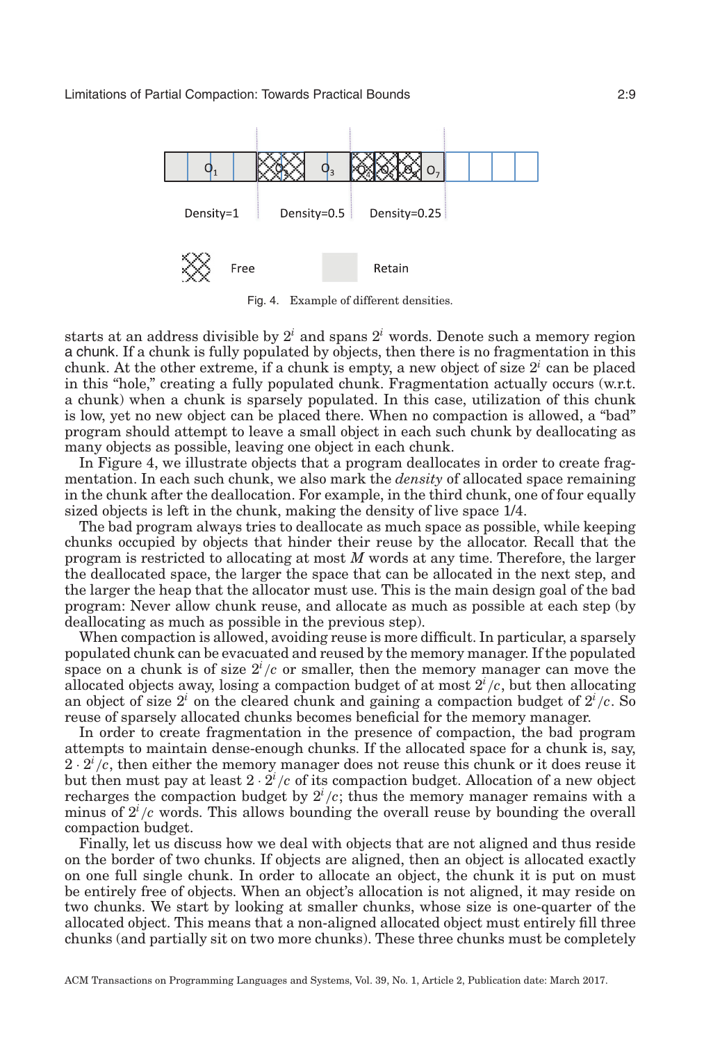<span id="page-8-0"></span>

Fig. 4. Example of different densities.

starts at an address divisible by  $2<sup>i</sup>$  and spans  $2<sup>i</sup>$  words. Denote such a memory region a chunk. If a chunk is fully populated by objects, then there is no fragmentation in this chunk. At the other extreme, if a chunk is empty, a new object of size 2*<sup>i</sup>* can be placed in this "hole," creating a fully populated chunk. Fragmentation actually occurs (w.r.t. a chunk) when a chunk is sparsely populated. In this case, utilization of this chunk is low, yet no new object can be placed there. When no compaction is allowed, a "bad" program should attempt to leave a small object in each such chunk by deallocating as many objects as possible, leaving one object in each chunk.

In Figure [4,](#page-8-0) we illustrate objects that a program deallocates in order to create fragmentation. In each such chunk, we also mark the *density* of allocated space remaining in the chunk after the deallocation. For example, in the third chunk, one of four equally sized objects is left in the chunk, making the density of live space 1/4.

The bad program always tries to deallocate as much space as possible, while keeping chunks occupied by objects that hinder their reuse by the allocator. Recall that the program is restricted to allocating at most *M* words at any time. Therefore, the larger the deallocated space, the larger the space that can be allocated in the next step, and the larger the heap that the allocator must use. This is the main design goal of the bad program: Never allow chunk reuse, and allocate as much as possible at each step (by deallocating as much as possible in the previous step).

When compaction is allowed, avoiding reuse is more difficult. In particular, a sparsely populated chunk can be evacuated and reused by the memory manager. If the populated space on a chunk is of size 2*<sup>i</sup>* /*c* or smaller, then the memory manager can move the allocated objects away, losing a compaction budget of at most 2*<sup>i</sup>* /*c*, but then allocating an object of size 2*<sup>i</sup>* on the cleared chunk and gaining a compaction budget of 2*<sup>i</sup>* /*c*. So reuse of sparsely allocated chunks becomes beneficial for the memory manager.

In order to create fragmentation in the presence of compaction, the bad program attempts to maintain dense-enough chunks. If the allocated space for a chunk is, say,  $2 \cdot 2^{i}/c$ , then either the memory manager does not reuse this chunk or it does reuse it but then must pay at least  $2 \cdot 2^{i}/c$  of its compaction budget. Allocation of a new object recharges the compaction budget by 2*<sup>i</sup>* /*c*; thus the memory manager remains with a minus of 2*<sup>i</sup>* /*c* words. This allows bounding the overall reuse by bounding the overall compaction budget.

Finally, let us discuss how we deal with objects that are not aligned and thus reside on the border of two chunks. If objects are aligned, then an object is allocated exactly on one full single chunk. In order to allocate an object, the chunk it is put on must be entirely free of objects. When an object's allocation is not aligned, it may reside on two chunks. We start by looking at smaller chunks, whose size is one-quarter of the allocated object. This means that a non-aligned allocated object must entirely fill three chunks (and partially sit on two more chunks). These three chunks must be completely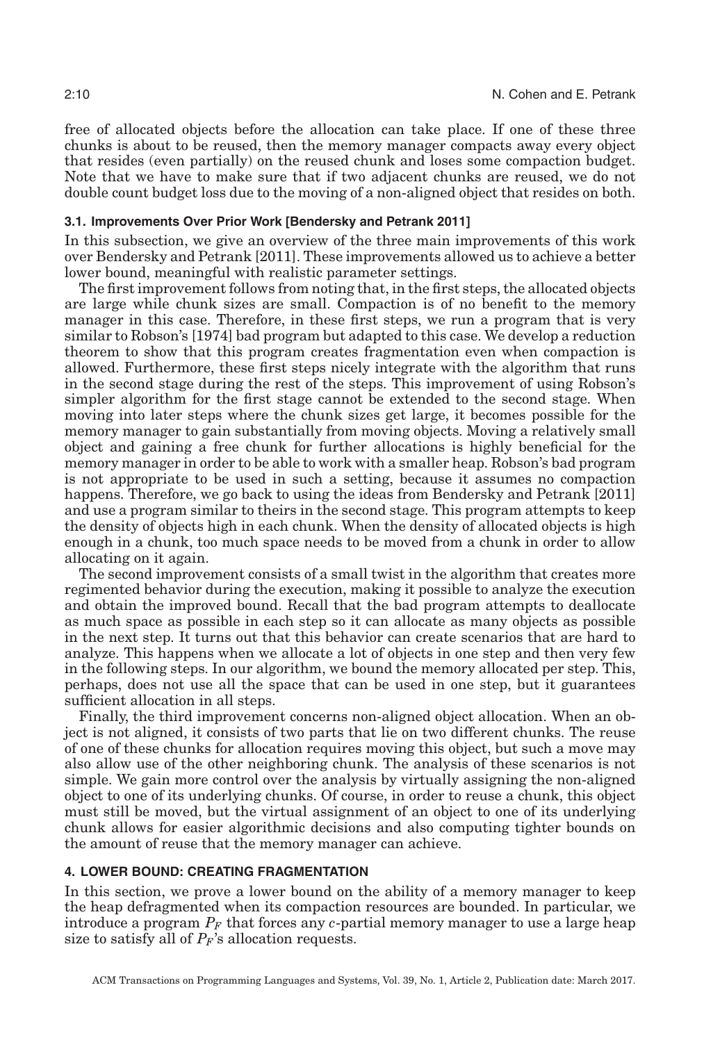free of allocated objects before the allocation can take place. If one of these three chunks is about to be reused, then the memory manager compacts away every object that resides (even partially) on the reused chunk and loses some compaction budget. Note that we have to make sure that if two adjacent chunks are reused, we do not double count budget loss due to the moving of a non-aligned object that resides on both.

# **3.1. Improvements Over Prior Work [Bendersky and Petrank 2011]**

In this subsection, we give an overview of the three main improvements of this work over Bendersky and Petrank [\[2011\]](#page-42-3). These improvements allowed us to achieve a better lower bound, meaningful with realistic parameter settings.

The first improvement follows from noting that, in the first steps, the allocated objects are large while chunk sizes are small. Compaction is of no benefit to the memory manager in this case. Therefore, in these first steps, we run a program that is very similar to Robson's [1974] bad program but adapted to this case. We develop a reduction theorem to show that this program creates fragmentation even when compaction is allowed. Furthermore, these first steps nicely integrate with the algorithm that runs in the second stage during the rest of the steps. This improvement of using Robson's simpler algorithm for the first stage cannot be extended to the second stage. When moving into later steps where the chunk sizes get large, it becomes possible for the memory manager to gain substantially from moving objects. Moving a relatively small object and gaining a free chunk for further allocations is highly beneficial for the memory manager in order to be able to work with a smaller heap. Robson's bad program is not appropriate to be used in such a setting, because it assumes no compaction happens. Therefore, we go back to using the ideas from Bendersky and Petrank [\[2011\]](#page-42-3) and use a program similar to theirs in the second stage. This program attempts to keep the density of objects high in each chunk. When the density of allocated objects is high enough in a chunk, too much space needs to be moved from a chunk in order to allow allocating on it again.

The second improvement consists of a small twist in the algorithm that creates more regimented behavior during the execution, making it possible to analyze the execution and obtain the improved bound. Recall that the bad program attempts to deallocate as much space as possible in each step so it can allocate as many objects as possible in the next step. It turns out that this behavior can create scenarios that are hard to analyze. This happens when we allocate a lot of objects in one step and then very few in the following steps. In our algorithm, we bound the memory allocated per step. This, perhaps, does not use all the space that can be used in one step, but it guarantees sufficient allocation in all steps.

Finally, the third improvement concerns non-aligned object allocation. When an object is not aligned, it consists of two parts that lie on two different chunks. The reuse of one of these chunks for allocation requires moving this object, but such a move may also allow use of the other neighboring chunk. The analysis of these scenarios is not simple. We gain more control over the analysis by virtually assigning the non-aligned object to one of its underlying chunks. Of course, in order to reuse a chunk, this object must still be moved, but the virtual assignment of an object to one of its underlying chunk allows for easier algorithmic decisions and also computing tighter bounds on the amount of reuse that the memory manager can achieve.

# **4. LOWER BOUND: CREATING FRAGMENTATION**

<span id="page-9-0"></span>In this section, we prove a lower bound on the ability of a memory manager to keep the heap defragmented when its compaction resources are bounded. In particular, we introduce a program  $P_F$  that forces any *c*-partial memory manager to use a large heap size to satisfy all of  $P_F$ 's allocation requests.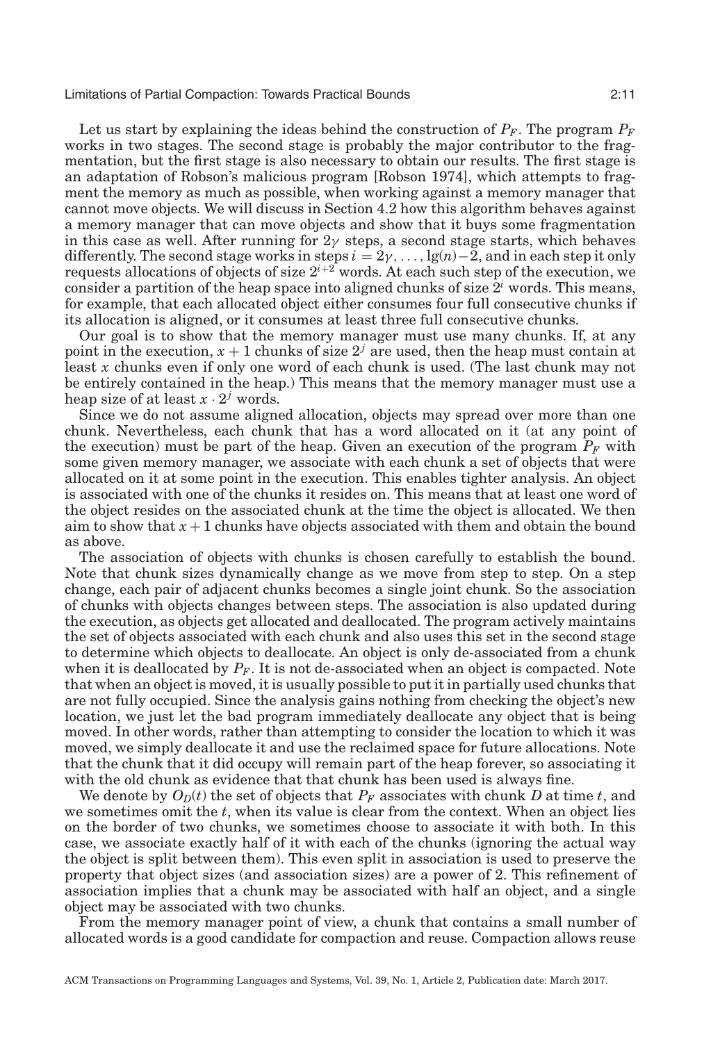Let us start by explaining the ideas behind the construction of  $P_F$ . The program  $P_F$ works in two stages. The second stage is probably the major contributor to the fragmentation, but the first stage is also necessary to obtain our results. The first stage is an adaptation of Robson's malicious program [Robson [1974\]](#page-43-0), which attempts to fragment the memory as much as possible, when working against a memory manager that cannot move objects. We will discuss in Section [4.2](#page-19-0) how this algorithm behaves against a memory manager that can move objects and show that it buys some fragmentation in this case as well. After running for  $2\gamma$  steps, a second stage starts, which behaves differently. The second stage works in steps  $i = 2\gamma, \ldots, \lg(n)-2$ , and in each step it only requests allocations of objects of size  $2^{i+2}$  words. At each such step of the execution, we consider a partition of the heap space into aligned chunks of size  $2<sup>i</sup>$  words. This means, for example, that each allocated object either consumes four full consecutive chunks if its allocation is aligned, or it consumes at least three full consecutive chunks.

Our goal is to show that the memory manager must use many chunks. If, at any point in the execution,  $x + 1$  chunks of size  $2<sup>j</sup>$  are used, then the heap must contain at least *x* chunks even if only one word of each chunk is used. (The last chunk may not be entirely contained in the heap.) This means that the memory manager must use a heap size of at least  $x \cdot 2^j$  words.

Since we do not assume aligned allocation, objects may spread over more than one chunk. Nevertheless, each chunk that has a word allocated on it (at any point of the execution) must be part of the heap. Given an execution of the program  $P_F$  with some given memory manager, we associate with each chunk a set of objects that were allocated on it at some point in the execution. This enables tighter analysis. An object is associated with one of the chunks it resides on. This means that at least one word of the object resides on the associated chunk at the time the object is allocated. We then aim to show that  $x + 1$  chunks have objects associated with them and obtain the bound as above.

The association of objects with chunks is chosen carefully to establish the bound. Note that chunk sizes dynamically change as we move from step to step. On a step change, each pair of adjacent chunks becomes a single joint chunk. So the association of chunks with objects changes between steps. The association is also updated during the execution, as objects get allocated and deallocated. The program actively maintains the set of objects associated with each chunk and also uses this set in the second stage to determine which objects to deallocate. An object is only de-associated from a chunk when it is deallocated by  $P_F$ . It is not de-associated when an object is compacted. Note that when an object is moved, it is usually possible to put it in partially used chunks that are not fully occupied. Since the analysis gains nothing from checking the object's new location, we just let the bad program immediately deallocate any object that is being moved. In other words, rather than attempting to consider the location to which it was moved, we simply deallocate it and use the reclaimed space for future allocations. Note that the chunk that it did occupy will remain part of the heap forever, so associating it with the old chunk as evidence that that chunk has been used is always fine.

We denote by  $O_D(t)$  the set of objects that  $P_F$  associates with chunk D at time t, and we sometimes omit the *t*, when its value is clear from the context. When an object lies on the border of two chunks, we sometimes choose to associate it with both. In this case, we associate exactly half of it with each of the chunks (ignoring the actual way the object is split between them). This even split in association is used to preserve the property that object sizes (and association sizes) are a power of 2. This refinement of association implies that a chunk may be associated with half an object, and a single object may be associated with two chunks.

From the memory manager point of view, a chunk that contains a small number of allocated words is a good candidate for compaction and reuse. Compaction allows reuse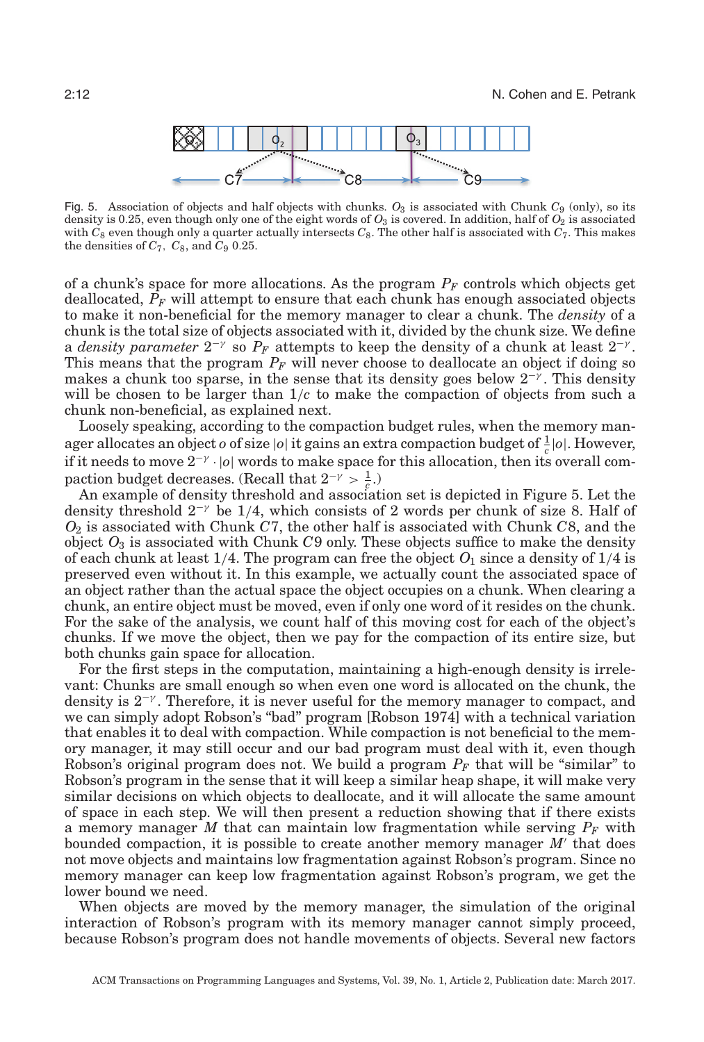

<span id="page-11-0"></span>Fig. 5. Association of objects and half objects with chunks.  $O_3$  is associated with Chunk  $C_9$  (only), so its density is 0.25, even though only one of the eight words of  $O_3$  is covered. In addition, half of  $O_2$  is associated with  $C_8$  even though only a quarter actually intersects  $C_8$ . The other half is associated with  $C_7$ . This makes the densities of  $C_7$ ,  $C_8$ , and  $C_9$  0.25.

of a chunk's space for more allocations. As the program *PF* controls which objects get deallocated,  $P_F$  will attempt to ensure that each chunk has enough associated objects to make it non-beneficial for the memory manager to clear a chunk. The *density* of a chunk is the total size of objects associated with it, divided by the chunk size. We define a *density parameter*  $2^{-\gamma}$  so  $P_F$  attempts to keep the density of a chunk at least  $2^{-\gamma}$ . This means that the program  $P_F$  will never choose to deallocate an object if doing so makes a chunk too sparse, in the sense that its density goes below  $2^{-\gamma}$ . This density will be chosen to be larger than  $1/c$  to make the compaction of objects from such a chunk non-beneficial, as explained next.

Loosely speaking, according to the compaction budget rules, when the memory manager allocates an object *o* of size  $|o|$  it gains an extra compaction budget of  $\frac{1}{c} |o|$ . However, if it needs to move 2<sup>−</sup><sup>γ</sup> ·|*o*| words to make space for this allocation, then its overall compaction budget decreases. (Recall that  $2^{-\gamma} > \frac{1}{c}$ .)

An example of density threshold and association set is depicted in Figure [5.](#page-11-0) Let the density threshold  $2^{-\gamma}$  be 1/4, which consists of 2 words per chunk of size 8. Half of *O*<sup>2</sup> is associated with Chunk *C*7, the other half is associated with Chunk *C*8, and the object  $O_3$  is associated with Chunk  $C9$  only. These objects suffice to make the density of each chunk at least  $1/4$ . The program can free the object  $O_1$  since a density of  $1/4$  is preserved even without it. In this example, we actually count the associated space of an object rather than the actual space the object occupies on a chunk. When clearing a chunk, an entire object must be moved, even if only one word of it resides on the chunk. For the sake of the analysis, we count half of this moving cost for each of the object's chunks. If we move the object, then we pay for the compaction of its entire size, but both chunks gain space for allocation.

For the first steps in the computation, maintaining a high-enough density is irrelevant: Chunks are small enough so when even one word is allocated on the chunk, the density is 2<sup>−</sup><sup>γ</sup> . Therefore, it is never useful for the memory manager to compact, and we can simply adopt Robson's "bad" program [Robson [1974\]](#page-43-0) with a technical variation that enables it to deal with compaction. While compaction is not beneficial to the memory manager, it may still occur and our bad program must deal with it, even though Robson's original program does not. We build a program *PF* that will be "similar" to Robson's program in the sense that it will keep a similar heap shape, it will make very similar decisions on which objects to deallocate, and it will allocate the same amount of space in each step. We will then present a reduction showing that if there exists a memory manager *M* that can maintain low fragmentation while serving *PF* with bounded compaction, it is possible to create another memory manager *M* that does not move objects and maintains low fragmentation against Robson's program. Since no memory manager can keep low fragmentation against Robson's program, we get the lower bound we need.

When objects are moved by the memory manager, the simulation of the original interaction of Robson's program with its memory manager cannot simply proceed, because Robson's program does not handle movements of objects. Several new factors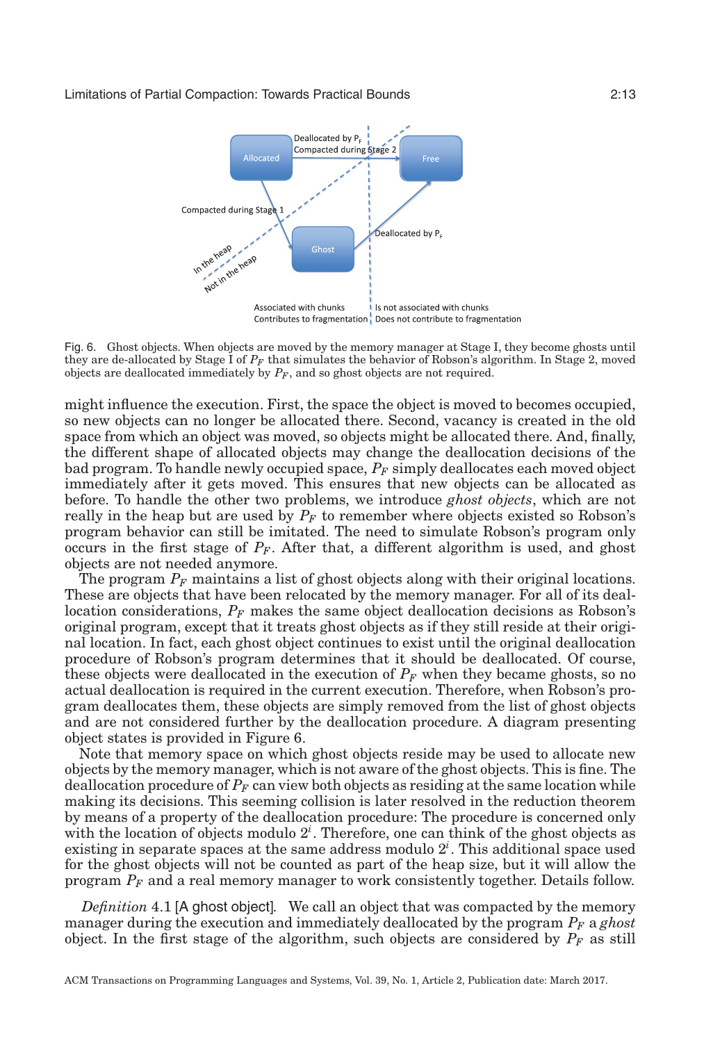<span id="page-12-0"></span>

Fig. 6. Ghost objects. When objects are moved by the memory manager at Stage I, they become ghosts until they are de-allocated by Stage I of *PF* that simulates the behavior of Robson's algorithm. In Stage 2, moved objects are deallocated immediately by  $P_F$ , and so ghost objects are not required.

might influence the execution. First, the space the object is moved to becomes occupied, so new objects can no longer be allocated there. Second, vacancy is created in the old space from which an object was moved, so objects might be allocated there. And, finally, the different shape of allocated objects may change the deallocation decisions of the bad program. To handle newly occupied space, *PF* simply deallocates each moved object immediately after it gets moved. This ensures that new objects can be allocated as before. To handle the other two problems, we introduce *ghost objects*, which are not really in the heap but are used by  $P_F$  to remember where objects existed so Robson's program behavior can still be imitated. The need to simulate Robson's program only occurs in the first stage of  $P_F$ . After that, a different algorithm is used, and ghost objects are not needed anymore.

The program  $P_F$  maintains a list of ghost objects along with their original locations. These are objects that have been relocated by the memory manager. For all of its deallocation considerations,  $P_F$  makes the same object deallocation decisions as Robson's original program, except that it treats ghost objects as if they still reside at their original location. In fact, each ghost object continues to exist until the original deallocation procedure of Robson's program determines that it should be deallocated. Of course, these objects were deallocated in the execution of  $P_F$  when they became ghosts, so no actual deallocation is required in the current execution. Therefore, when Robson's program deallocates them, these objects are simply removed from the list of ghost objects and are not considered further by the deallocation procedure. A diagram presenting object states is provided in Figure [6.](#page-12-0)

Note that memory space on which ghost objects reside may be used to allocate new objects by the memory manager, which is not aware of the ghost objects. This is fine. The deallocation procedure of  $P_F$  can view both objects as residing at the same location while making its decisions. This seeming collision is later resolved in the reduction theorem by means of a property of the deallocation procedure: The procedure is concerned only with the location of objects modulo  $2^i$ . Therefore, one can think of the ghost objects as existing in separate spaces at the same address modulo 2*<sup>i</sup>* . This additional space used for the ghost objects will not be counted as part of the heap size, but it will allow the program *PF* and a real memory manager to work consistently together. Details follow.

*Definition* 4.1 [A ghost object]*.* We call an object that was compacted by the memory manager during the execution and immediately deallocated by the program  $P_F$  a ghost object. In the first stage of the algorithm, such objects are considered by  $P_F$  as still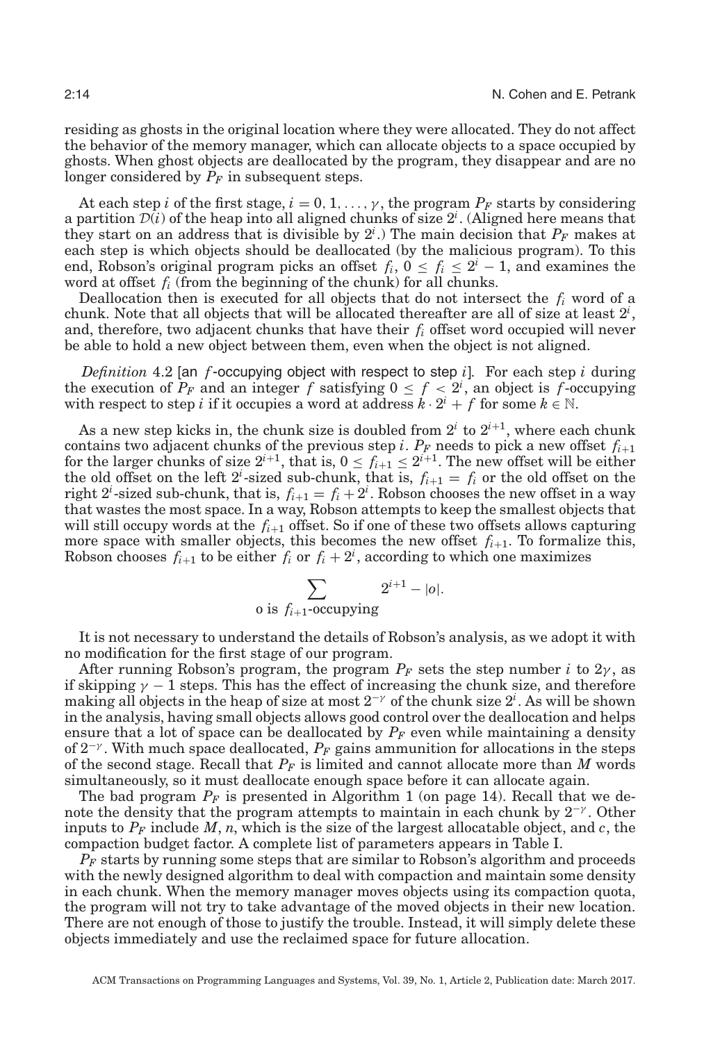residing as ghosts in the original location where they were allocated. They do not affect the behavior of the memory manager, which can allocate objects to a space occupied by ghosts. When ghost objects are deallocated by the program, they disappear and are no longer considered by  $P_F$  in subsequent steps.

At each step *i* of the first stage,  $i = 0, 1, \ldots, \gamma$ , the program  $P_F$  starts by considering a partition  $\mathcal{D}(i)$  of the heap into all aligned chunks of size  $2^i$ . (Aligned here means that they start on an address that is divisible by  $2^i$ .) The main decision that  $P_F$  makes at each step is which objects should be deallocated (by the malicious program). To this end, Robson's original program picks an offset  $f_i$ ,  $0 \le f_i \le 2^i - 1$ , and examines the word at offset *fi* (from the beginning of the chunk) for all chunks.

Deallocation then is executed for all objects that do not intersect the *fi* word of a chunk. Note that all objects that will be allocated thereafter are all of size at least 2*<sup>i</sup>* , and, therefore, two adjacent chunks that have their *fi* offset word occupied will never be able to hold a new object between them, even when the object is not aligned.

<span id="page-13-0"></span>*Definition* 4.2 [an *f*-occupying object with respect to step *i*]*.* For each step *i* during the execution of  $P_F$  and an integer f satisfying  $0 \le f < 2^i$ , an object is f-occupying with respect to step *i* if it occupies a word at address  $k \cdot 2^{i} + f$  for some  $k \in \mathbb{N}$ .

As a new step kicks in, the chunk size is doubled from  $2<sup>i</sup>$  to  $2<sup>i+1</sup>$ , where each chunk contains two adjacent chunks of the previous step *i*.  $P_F$  needs to pick a new offset  $f_{i+1}$ for the larger chunks of size  $2^{i+1}$ , that is,  $0 \leq f_{i+1} \leq 2^{i+1}$ . The new offset will be either the old offset on the left  $2^i$ -sized sub-chunk, that is,  $f_{i+1} = f_i$  or the old offset on the right  $2^i$ -sized sub-chunk, that is,  $f_{i+1} = f_i + 2^i$ . Robson chooses the new offset in a way that wastes the most space. In a way, Robson attempts to keep the smallest objects that will still occupy words at the  $f_{i+1}$  offset. So if one of these two offsets allows capturing more space with smaller objects, this becomes the new offset  $f_{i+1}$ . To formalize this, Robson chooses  $f_{i+1}$  to be either  $f_i$  or  $f_i + 2^i$ , according to which one maximizes

$$
\sum_{\text{o is } f_{i+1}\text{-occupying}} 2^{i+1} - |o|.
$$

It is not necessary to understand the details of Robson's analysis, as we adopt it with no modification for the first stage of our program.

After running Robson's program, the program  $P_F$  sets the step number *i* to  $2\gamma$ , as if skipping  $\gamma$  – 1 steps. This has the effect of increasing the chunk size, and therefore making all objects in the heap of size at most 2<sup>−</sup><sup>γ</sup> of the chunk size 2*<sup>i</sup>* . As will be shown in the analysis, having small objects allows good control over the deallocation and helps ensure that a lot of space can be deallocated by  $P_F$  even while maintaining a density of  $2^{-\gamma}$ . With much space deallocated,  $P_F$  gains ammunition for allocations in the steps of the second stage. Recall that  $P_F$  is limited and cannot allocate more than  $M$  words simultaneously, so it must deallocate enough space before it can allocate again.

The bad program  $P_F$  is presented in Algorithm 1 (on page 14). Recall that we denote the density that the program attempts to maintain in each chunk by 2<sup>−</sup><sup>γ</sup> . Other inputs to  $P_F$  include  $M$ ,  $n$ , which is the size of the largest allocatable object, and  $c$ , the compaction budget factor. A complete list of parameters appears in Table [I.](#page-14-0)

*PF* starts by running some steps that are similar to Robson's algorithm and proceeds with the newly designed algorithm to deal with compaction and maintain some density in each chunk. When the memory manager moves objects using its compaction quota, the program will not try to take advantage of the moved objects in their new location. There are not enough of those to justify the trouble. Instead, it will simply delete these objects immediately and use the reclaimed space for future allocation.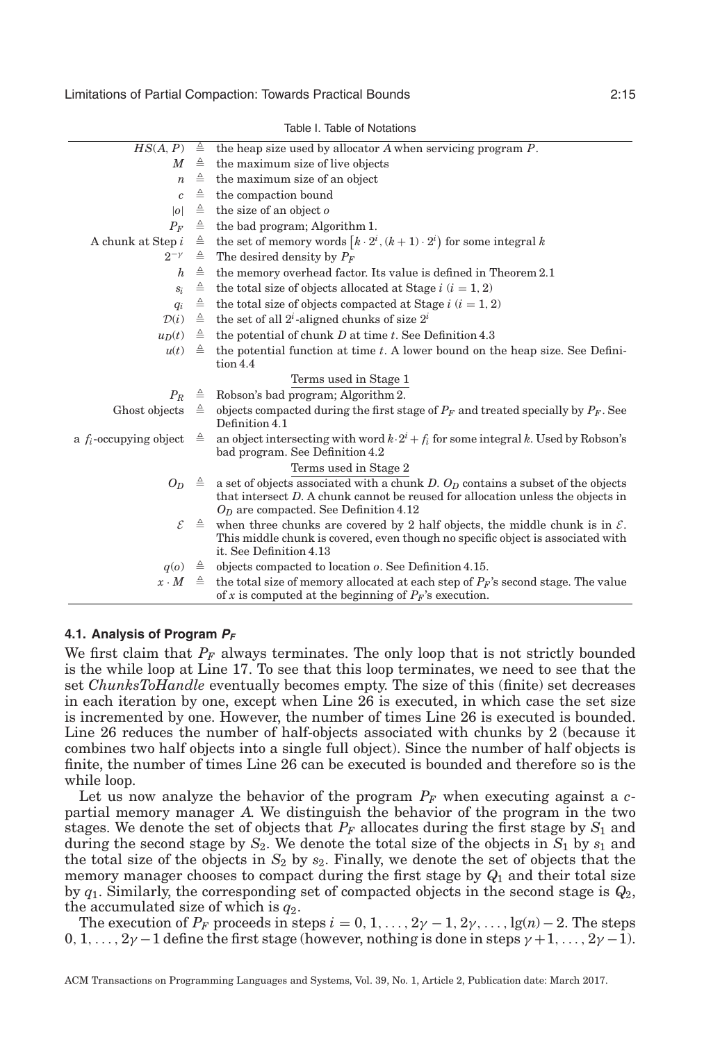<span id="page-14-0"></span>

| HS(A, P)                                                                               | $\triangleq$ | the heap size used by allocator $A$ when servicing program $P$ .                                                                                                                                                       |  |  |
|----------------------------------------------------------------------------------------|--------------|------------------------------------------------------------------------------------------------------------------------------------------------------------------------------------------------------------------------|--|--|
| $\boldsymbol{M}$                                                                       | $\triangleq$ | the maximum size of live objects                                                                                                                                                                                       |  |  |
| $\boldsymbol{n}$                                                                       | $\triangleq$ | the maximum size of an object                                                                                                                                                                                          |  |  |
| $\mathfrak{c}$                                                                         |              | $\triangleq$ the compaction bound                                                                                                                                                                                      |  |  |
| 0                                                                                      | $\triangleq$ | the size of an object of                                                                                                                                                                                               |  |  |
| $P_F$                                                                                  | $\triangleq$ | the bad program; Algorithm 1.                                                                                                                                                                                          |  |  |
| A chunk at Step i                                                                      | $\triangleq$ | the set of memory words $[k \cdot 2^i, (k+1) \cdot 2^i]$ for some integral k                                                                                                                                           |  |  |
| $2^{-\gamma}$                                                                          | $\triangleq$ | The desired density by $P_F$                                                                                                                                                                                           |  |  |
| $h_{\cdot}$                                                                            | $\triangleq$ | the memory overhead factor. Its value is defined in Theorem 2.1                                                                                                                                                        |  |  |
| $S_i$                                                                                  | $\triangleq$ | the total size of objects allocated at Stage $i$ $(i = 1, 2)$                                                                                                                                                          |  |  |
| $\triangleq$<br>the total size of objects compacted at Stage $i$ $(i = 1, 2)$<br>$q_i$ |              |                                                                                                                                                                                                                        |  |  |
| $\mathcal{D}(i)$                                                                       | $\triangleq$ | the set of all $2^i$ -aligned chunks of size $2^i$                                                                                                                                                                     |  |  |
| $u_D(t)$                                                                               | $\triangleq$ | the potential of chunk $D$ at time $t$ . See Definition 4.3                                                                                                                                                            |  |  |
| u(t)                                                                                   | $\triangleq$ | the potential function at time $t$ . A lower bound on the heap size. See Defini-                                                                                                                                       |  |  |
|                                                                                        |              | tion 4.4                                                                                                                                                                                                               |  |  |
|                                                                                        |              | Terms used in Stage 1                                                                                                                                                                                                  |  |  |
| $P_R$                                                                                  |              | $\triangleq$ Robson's bad program; Algorithm 2.                                                                                                                                                                        |  |  |
| Ghost objects                                                                          | $\triangleq$ | objects compacted during the first stage of $P_F$ and treated specially by $P_F$ . See<br>Definition 4.1                                                                                                               |  |  |
| a f <sub>i</sub> -occupying object $\triangleq$                                        |              | an object intersecting with word $k \cdot 2^i + f_i$ for some integral k. Used by Robson's<br>bad program. See Definition 4.2                                                                                          |  |  |
|                                                                                        |              | Terms used in Stage 2                                                                                                                                                                                                  |  |  |
| O <sub>D</sub>                                                                         | $\triangleq$ | a set of objects associated with a chunk $D$ . $O_D$ contains a subset of the objects<br>that intersect $D$ . A chunk cannot be reused for allocation unless the objects in<br>$OD$ are compacted. See Definition 4.12 |  |  |
| ε                                                                                      | $\triangleq$ | when three chunks are covered by 2 half objects, the middle chunk is in $\mathcal{E}$ .<br>This middle chunk is covered, even though no specific object is associated with<br>it. See Definition 4.13                  |  |  |
| q(o)                                                                                   |              | $\triangleq$ objects compacted to location <i>o</i> . See Definition 4.15.                                                                                                                                             |  |  |
| $x \cdot M$                                                                            | $\triangleq$ | the total size of memory allocated at each step of $P_F$ 's second stage. The value<br>of x is computed at the beginning of $P_F$ 's execution.                                                                        |  |  |

Table I. Table of Notations

# **4.1. Analysis of Program**  $P_F$

<span id="page-14-1"></span>We first claim that  $P_F$  always terminates. The only loop that is not strictly bounded is the while loop at Line 17. To see that this loop terminates, we need to see that the set *ChunksToHandle* eventually becomes empty. The size of this (finite) set decreases in each iteration by one, except when Line 26 is executed, in which case the set size is incremented by one. However, the number of times Line 26 is executed is bounded. Line 26 reduces the number of half-objects associated with chunks by 2 (because it combines two half objects into a single full object). Since the number of half objects is finite, the number of times Line 26 can be executed is bounded and therefore so is the while loop.

Let us now analyze the behavior of the program  $P_F$  when executing against a  $c$ partial memory manager *A*. We distinguish the behavior of the program in the two stages. We denote the set of objects that  $P_F$  allocates during the first stage by  $S_1$  and during the second stage by *S*2. We denote the total size of the objects in *S*<sup>1</sup> by *s*<sup>1</sup> and the total size of the objects in  $S_2$  by  $s_2$ . Finally, we denote the set of objects that the memory manager chooses to compact during the first stage by *Q*<sup>1</sup> and their total size by *q*1. Similarly, the corresponding set of compacted objects in the second stage is *Q*2, the accumulated size of which is  $q_2$ .

The execution of  $P_F$  proceeds in steps  $i = 0, 1, \ldots, 2\gamma - 1, 2\gamma, \ldots$ , lg(n) – 2. The steps 0, 1, ...,  $2\gamma - 1$  define the first stage (however, nothing is done in steps  $\gamma + 1, \ldots, 2\gamma - 1$ ).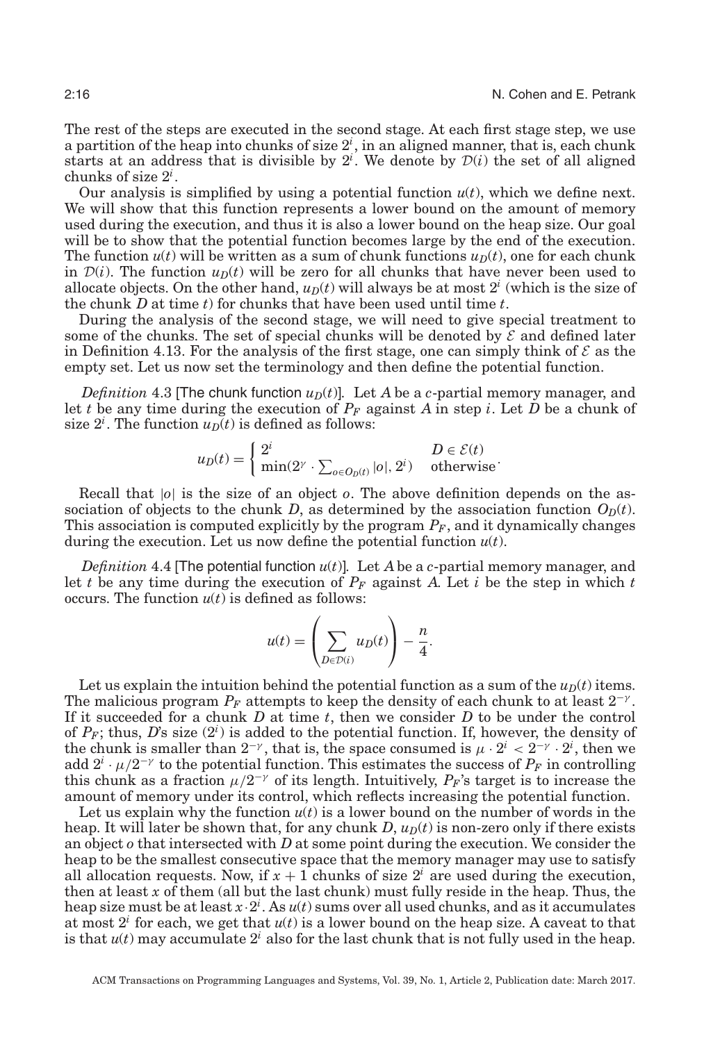The rest of the steps are executed in the second stage. At each first stage step, we use a partition of the heap into chunks of size  $2^i$ , in an aligned manner, that is, each chunk starts at an address that is divisible by  $2^i$ . We denote by  $\mathcal{D}(i)$  the set of all aligned chunks of size 2*<sup>i</sup>* .

Our analysis is simplified by using a potential function  $u(t)$ , which we define next. We will show that this function represents a lower bound on the amount of memory used during the execution, and thus it is also a lower bound on the heap size. Our goal will be to show that the potential function becomes large by the end of the execution. The function  $u(t)$  will be written as a sum of chunk functions  $u_D(t)$ , one for each chunk in  $\mathcal{D}(i)$ . The function  $u_D(t)$  will be zero for all chunks that have never been used to allocate objects. On the other hand,  $u_D(t)$  will always be at most  $2^i$  (which is the size of the chunk *D* at time *t*) for chunks that have been used until time *t*.

During the analysis of the second stage, we will need to give special treatment to some of the chunks. The set of special chunks will be denoted by  $\mathcal E$  and defined later in Definition [4.13.](#page-25-0) For the analysis of the first stage, one can simply think of  $\mathcal E$  as the empty set. Let us now set the terminology and then define the potential function.

<span id="page-15-0"></span>*Definition* 4.3 [The chunk function  $u<sub>D</sub>(t)$ ]. Let A be a *c*-partial memory manager, and let *t* be any time during the execution of  $P_F$  against *A* in step *i*. Let *D* be a chunk of size  $2^i$ . The function  $u_D(t)$  is defined as follows:

$$
u_D(t) = \begin{cases} 2^i & D \in \mathcal{E}(t) \\ \min(2^\gamma \cdot \sum_{o \in O_D(t)} |o|, 2^i) & \text{otherwise} \end{cases}
$$

Recall that |*o*| is the size of an object *o*. The above definition depends on the association of objects to the chunk *D*, as determined by the association function  $O<sub>D</sub>(t)$ . This association is computed explicitly by the program *PF*, and it dynamically changes during the execution. Let us now define the potential function *u*(*t*).

<span id="page-15-1"></span>*Definition* 4.4 [The potential function  $u(t)$ ]. Let A be a *c*-partial memory manager, and let *t* be any time during the execution of  $P_F$  against  $\overline{A}$ . Let *i* be the step in which *t* occurs. The function  $u(t)$  is defined as follows:

$$
u(t) = \left(\sum_{D \in \mathcal{D}(i)} u_D(t)\right) - \frac{n}{4}.
$$

Let us explain the intuition behind the potential function as a sum of the  $u<sub>D</sub>(t)$  items. The malicious program  $P_F$  attempts to keep the density of each chunk to at least  $2^{-\gamma}$ . If it succeeded for a chunk *D* at time *t*, then we consider *D* to be under the control of  $P_F$ ; thus,  $D$ 's size  $(2<sup>i</sup>)$  is added to the potential function. If, however, the density of the chunk is smaller than  $2^{-\gamma}$ , that is, the space consumed is  $\mu \cdot 2^{i} < 2^{-\gamma} \cdot 2^{i}$ , then we add  $2^{i} \cdot \mu/2^{-\gamma}$  to the potential function. This estimates the success of  $P_F$  in controlling this chunk as a fraction  $\mu/2^{-\gamma}$  of its length. Intuitively,  $P_F$ 's target is to increase the amount of memory under its control, which reflects increasing the potential function.

Let us explain why the function *u*(*t*) is a lower bound on the number of words in the heap. It will later be shown that, for any chunk  $D$ ,  $u_D(t)$  is non-zero only if there exists an object *o* that intersected with *D* at some point during the execution. We consider the heap to be the smallest consecutive space that the memory manager may use to satisfy all allocation requests. Now, if  $x + 1$  chunks of size  $2<sup>i</sup>$  are used during the execution, then at least *x* of them (all but the last chunk) must fully reside in the heap. Thus, the heap size must be at least  $x \cdot 2^i$  . As  $u(t)$  sums over all used chunks, and as it accumulates at most  $2^{i}$  for each, we get that  $u(t)$  is a lower bound on the heap size. A caveat to that is that  $u(t)$  may accumulate  $2^i$  also for the last chunk that is not fully used in the heap.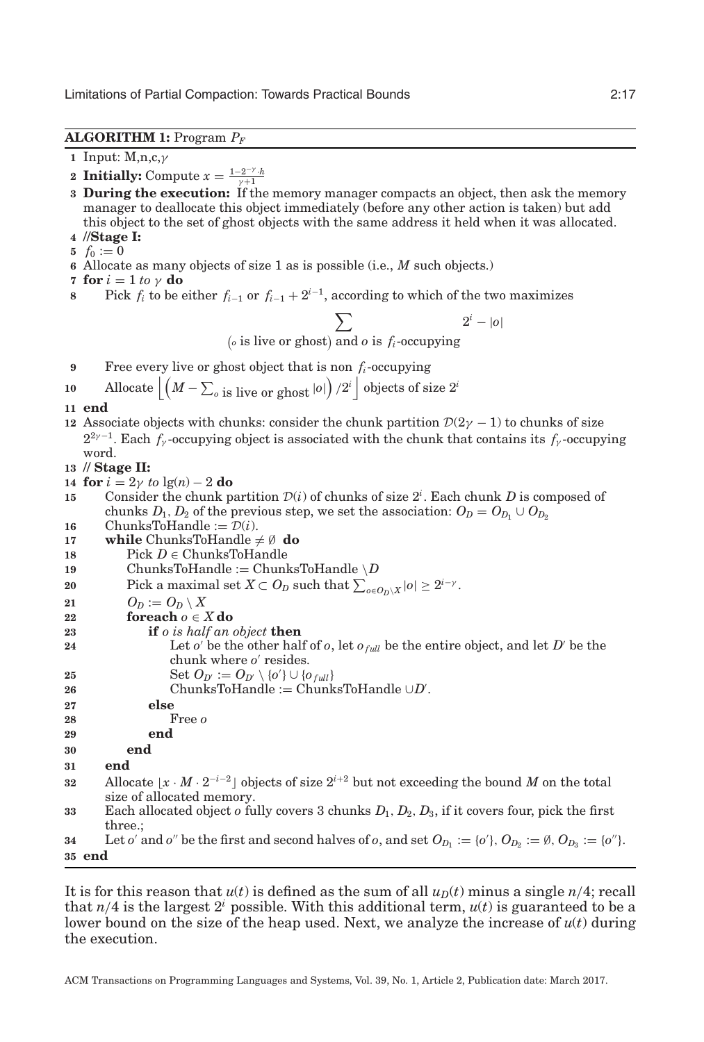# **ALGORITHM 1:** Program *PF*

- **1** Input: M,n,c,γ
- **2 Initially:** Compute  $x = \frac{1-2^{-\gamma} \cdot h}{\gamma+1}$
- **3 During the execution:** If the memory manager compacts an object, then ask the memory manager to deallocate this object immediately (before any other action is taken) but add this object to the set of ghost objects with the same address it held when it was allocated.
- **4** //**Stage I:**
- **5**  $f_0 := 0$
- **6** Allocate as many objects of size 1 as is possible (i.e., *M* such objects.)
- **7 for**  $i = 1$  *to*  $\gamma$  **do**
- **8** Pick  $f_i$  to be either  $f_{i-1}$  or  $f_{i-1} + 2^{i-1}$ , according to which of the two maximizes

$$
\sum_{(o \text{ is live or ghost}) \text{ and } o \text{ is } f_i\text{-occupying}} 2^i - |o|
$$

- **9** Free every live or ghost object that is non *fi*-occupying
- 10 Allocate  $\left| \left( M \sum_o \text{ is live or ghost } |o| \right) / 2^i \right|$  objects of size  $2^i$

#### **11 end**

- **12** Associate objects with chunks: consider the chunk partition  $\mathcal{D}(2\gamma 1)$  to chunks of size  $2^{2\gamma-1}$ . Each  $f_{\gamma}$ -occupying object is associated with the chunk that contains its  $f_{\gamma}$ -occupying word.
- **13** // **Stage II:**
- **14 for**  $i = 2\gamma$  *to*  $\lg(n) 2$  **do**
- **15** Consider the chunk partition  $D(i)$  of chunks of size  $2^i$ . Each chunk *D* is composed of chunks  $D_1$ ,  $D_2$  of the previous step, we set the association:  $O_D = O_{D_1} \cup O_{D_2}$
- **16** ChunksToHandle :=  $\mathcal{D}(i)$ .<br>**17** while ChunksToHandle  $\frac{1}{7}$
- 17 **while** ChunksToHandle  $\neq \emptyset$  **do**
- **18** Pick *D* ∈ ChunksToHandle
- **19** ChunksToHandle := ChunksToHandle \*D*
- **20** Pick a maximal set  $X \subset O_D$  such that  $\sum_{o \in O_D \setminus X} |o| \ge 2^{i-\gamma}$ .
- **21**  $O_D := O_D \setminus X$

| 22 | foreach $o \in X$ do                                                                                                       |
|----|----------------------------------------------------------------------------------------------------------------------------|
| 23 | <b>if</b> $o$ is half an object <b>then</b>                                                                                |
| 24 | Let o' be the other half of o, let $o_{full}$ be the entire object, and let D' be the                                      |
|    | chunk where $o'$ resides.                                                                                                  |
| 25 | Set $O_{D'} := O_{D'} \setminus \{o'\} \cup \{o_{full}\}$                                                                  |
| 26 | ChunksToHandle := ChunksToHandle $\cup D'$ .                                                                               |
| 27 | else                                                                                                                       |
| 28 | Free o                                                                                                                     |
| 29 | end                                                                                                                        |
| 30 | end                                                                                                                        |
| 31 | end                                                                                                                        |
| 32 | Allocate $x \cdot M \cdot 2^{-i-2}$ objects of size $2^{i+2}$ but not exceeding the bound M on the total                   |
|    | size of allocated memory.                                                                                                  |
| 33 | Each allocated object o fully covers 3 chunks $D_1, D_2, D_3$ , if it covers four, pick the first                          |
|    | three.:                                                                                                                    |
| 34 | Let o' and o'' be the first and second halves of o, and set $O_{D_1} := \{o'\}, O_{D_2} := \emptyset, O_{D_3} := \{o''\}.$ |
|    | 35 end                                                                                                                     |

It is for this reason that  $u(t)$  is defined as the sum of all  $u_D(t)$  minus a single  $n/4$ ; recall that  $n/4$  is the largest  $2^{i}$  possible. With this additional term,  $u(t)$  is guaranteed to be a lower bound on the size of the heap used. Next, we analyze the increase of *u*(*t*) during the execution.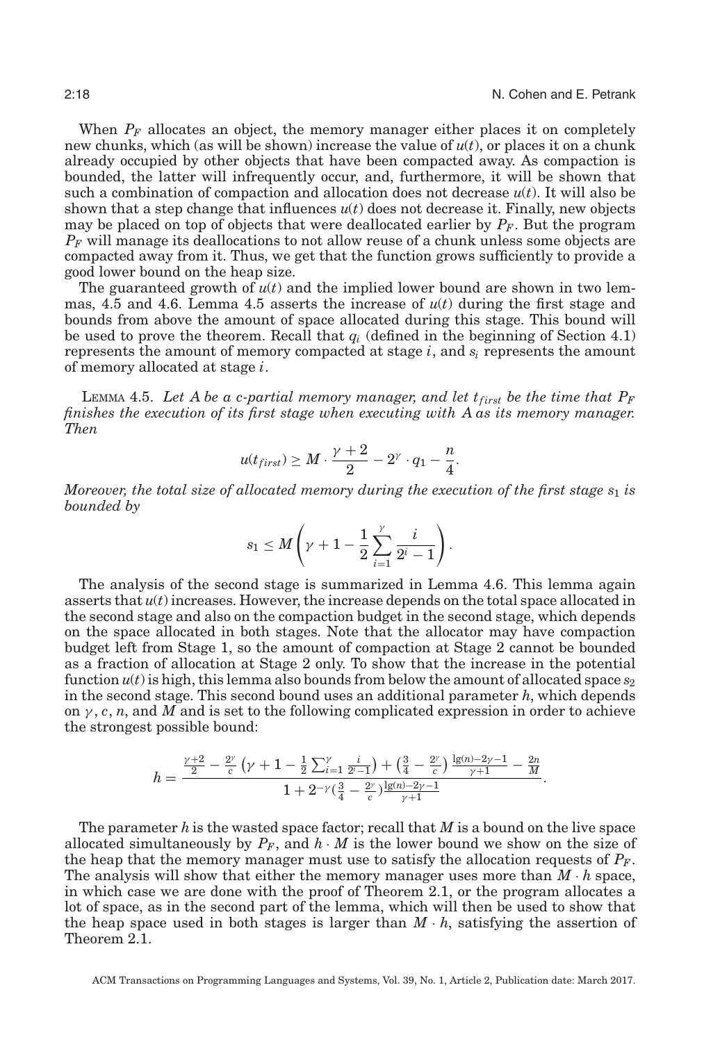When  $P_F$  allocates an object, the memory manager either places it on completely new chunks, which (as will be shown) increase the value of *u*(*t*), or places it on a chunk already occupied by other objects that have been compacted away. As compaction is bounded, the latter will infrequently occur, and, furthermore, it will be shown that such a combination of compaction and allocation does not decrease *u*(*t*). It will also be shown that a step change that influences  $u(t)$  does not decrease it. Finally, new objects may be placed on top of objects that were deallocated earlier by  $P_F$ . But the program *PF* will manage its deallocations to not allow reuse of a chunk unless some objects are compacted away from it. Thus, we get that the function grows sufficiently to provide a good lower bound on the heap size.

The guaranteed growth of  $u(t)$  and the implied lower bound are shown in two lem-mas, [4.5](#page-17-0) and [4.6.](#page-18-0) Lemma 4.5 asserts the increase of  $u(t)$  during the first stage and bounds from above the amount of space allocated during this stage. This bound will be used to prove the theorem. Recall that  $q_i$  (defined in the beginning of Section [4.1\)](#page-14-1) represents the amount of memory compacted at stage *i*, and *si* represents the amount of memory allocated at stage *i*.

<span id="page-17-0"></span>LEMMA 4.5. Let A be a c-partial memory manager, and let  $t_{first}$  be the time that  $P_F$ *finishes the execution of its first stage when executing with A as its memory manager. Then*

$$
u(t_{first}) \geq M \cdot \frac{\gamma + 2}{2} - 2^{\gamma} \cdot q_1 - \frac{n}{4}.
$$

*Moreover, the total size of allocated memory during the execution of the first stage s<sub>1</sub> is bounded by*

$$
s_1 \leq M\left(\gamma+1-\frac{1}{2}\sum_{i=1}^{\gamma}\frac{i}{2^i-1}\right).
$$

The analysis of the second stage is summarized in Lemma [4.6.](#page-18-0) This lemma again asserts that *u*(*t*) increases. However, the increase depends on the total space allocated in the second stage and also on the compaction budget in the second stage, which depends on the space allocated in both stages. Note that the allocator may have compaction budget left from Stage 1, so the amount of compaction at Stage 2 cannot be bounded as a fraction of allocation at Stage 2 only. To show that the increase in the potential function  $u(t)$  is high, this lemma also bounds from below the amount of allocated space  $s_2$ in the second stage. This second bound uses an additional parameter *h*, which depends on  $\gamma$ , *c*, *n*, and *M* and is set to the following complicated expression in order to achieve the strongest possible bound:

$$
h=\frac{\frac{\gamma+2}{2}-\frac{2^\gamma}{c}\left(\gamma+1-\frac{1}{2}\sum_{i=1}^\gamma\frac{i}{2^i-1}\right)+\left(\frac{3}{4}-\frac{2^\gamma}{c}\right)\frac{\lg(n)-2\gamma-1}{\gamma+1}-\frac{2n}{M}}{1+2^{-\gamma}(\frac{3}{4}-\frac{2^\gamma}{c})\frac{\lg(n)-2\gamma-1}{\gamma+1}}.
$$

The parameter *h* is the wasted space factor; recall that *M* is a bound on the live space allocated simultaneously by  $P_F$ , and  $h \cdot M$  is the lower bound we show on the size of the heap that the memory manager must use to satisfy the allocation requests of  $P_F$ . The analysis will show that either the memory manager uses more than  $M \cdot h$  space, in which case we are done with the proof of Theorem [2.1,](#page-4-0) or the program allocates a lot of space, as in the second part of the lemma, which will then be used to show that the heap space used in both stages is larger than  $M \cdot h$ , satisfying the assertion of Theorem [2.1.](#page-4-0)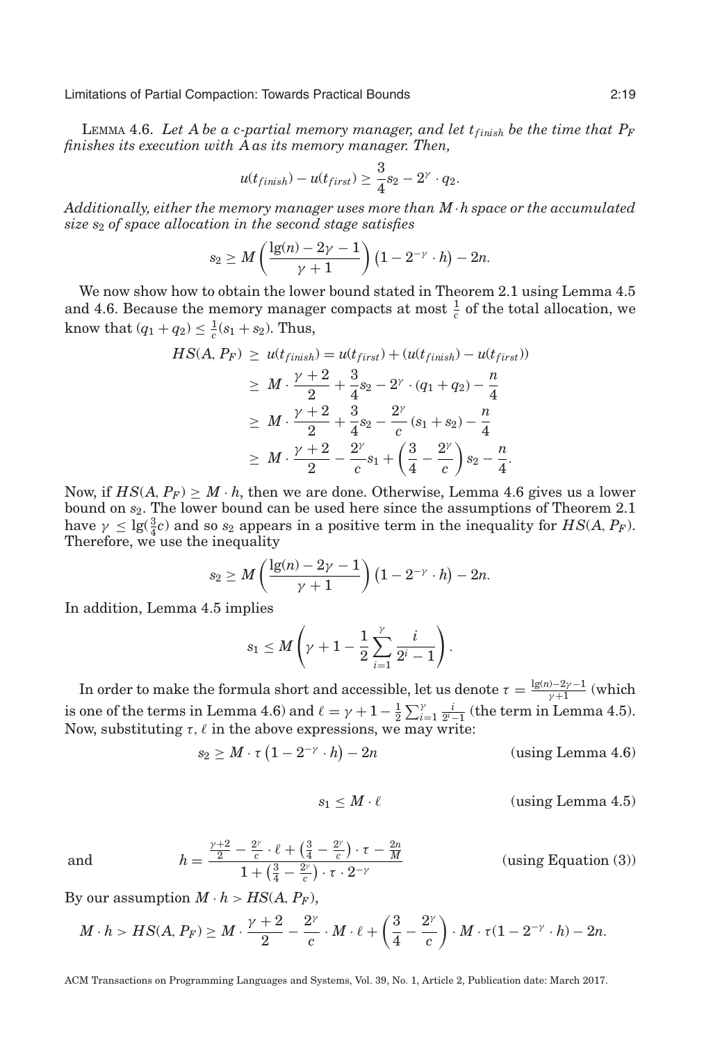<span id="page-18-0"></span>LEMMA 4.6. Let A be a c-partial memory manager, and let  $t_{finish}$  be the time that  $P_F$ *finishes its execution with A as its memory manager. Then,*

$$
u(t_{finish})-u(t_{first})\geq \frac{3}{4}s_2-2^{\gamma}\cdot q_2.
$$

*Additionally, either the memory manager uses more than M*·*h space or the accumulated size s*<sup>2</sup> *of space allocation in the second stage satisfies*

$$
s_2 \geq M\left(\frac{\lg(n)-2\gamma-1}{\gamma+1}\right)\left(1-2^{-\gamma}\cdot h\right)-2n.
$$

We now show how to obtain the lower bound stated in Theorem [2.1](#page-4-0) using Lemma [4.5](#page-17-0) and [4.6.](#page-18-0) Because the memory manager compacts at most  $\frac{1}{c}$  of the total allocation, we know that  $(q_1 + q_2) \leq \frac{1}{c}(s_1 + s_2)$ . Thus,

$$
HS(A, P_F) \ge u(t_{finish}) = u(t_{first}) + (u(t_{finish}) - u(t_{first}))
$$
  
\n
$$
\ge M \cdot \frac{\gamma + 2}{2} + \frac{3}{4}s_2 - 2^{\gamma} \cdot (q_1 + q_2) - \frac{n}{4}
$$
  
\n
$$
\ge M \cdot \frac{\gamma + 2}{2} + \frac{3}{4}s_2 - \frac{2^{\gamma}}{c}(s_1 + s_2) - \frac{n}{4}
$$
  
\n
$$
\ge M \cdot \frac{\gamma + 2}{2} - \frac{2^{\gamma}}{c}s_1 + \left(\frac{3}{4} - \frac{2^{\gamma}}{c}\right)s_2 - \frac{n}{4}.
$$

Now, if  $HS(A, P_F) \geq M \cdot h$ , then we are done. Otherwise, Lemma [4.6](#page-18-0) gives us a lower bound on *s*2. The lower bound can be used here since the assumptions of Theorem [2.1](#page-4-0) have  $\gamma \le \lg(\frac{3}{4}c)$  and so  $s_2$  appears in a positive term in the inequality for  $HS(A, P_F)$ . Therefore, we use the inequality

$$
s_2 \ge M\left(\frac{\lg(n)-2\gamma-1}{\gamma+1}\right)\left(1-2^{-\gamma}\cdot h\right)-2n.
$$

In addition, Lemma [4.5](#page-17-0) implies

$$
s_1 \leq M\left(\gamma+1-\frac{1}{2}\sum_{i=1}^{\gamma}\frac{i}{2^i-1}\right).
$$

In order to make the formula short and accessible, let us denote  $\tau = \frac{\lg(n) - 2\gamma - 1}{\gamma + 1}$  (which is one of the terms in Lemma [4.6\)](#page-18-0) and  $\ell = \gamma + 1 - \frac{1}{2} \sum_{i=1}^{\gamma} \frac{i}{2^i - 1}$  (the term in Lemma [4.5\)](#page-17-0). Now, substituting  $\tau$ ,  $\ell$  in the above expressions, we may write:

$$
s_2 \ge M \cdot \tau \left(1 - 2^{-\gamma} \cdot h\right) - 2n \qquad \qquad \text{(using Lemma 4.6)}
$$

 $s_1 \leq M \cdot \ell$  (using Lemma 4.5)

and  $h = \frac{2}{h}$ 

$$
\frac{\frac{\gamma+2}{2}-\frac{2^{\gamma}}{c}\cdot\ell+\left(\frac{3}{4}-\frac{2^{\gamma}}{c}\right)\cdot\tau-\frac{2n}{M}}{1+\left(\frac{3}{4}-\frac{2^{\gamma}}{c}\right)\cdot\tau\cdot2^{-\gamma}}
$$

(using Equation (3))

By our assumption  $M \cdot h > HS(A, P_F)$ ,

$$
M \cdot h > HS(A, P_F) \ge M \cdot \frac{\gamma + 2}{2} - \frac{2^{\gamma}}{c} \cdot M \cdot \ell + \left(\frac{3}{4} - \frac{2^{\gamma}}{c}\right) \cdot M \cdot \tau(1 - 2^{-\gamma} \cdot h) - 2n.
$$

ACM Transactions on Programming Languages and Systems, Vol. 39, No. 1, Article 2, Publication date: March 2017.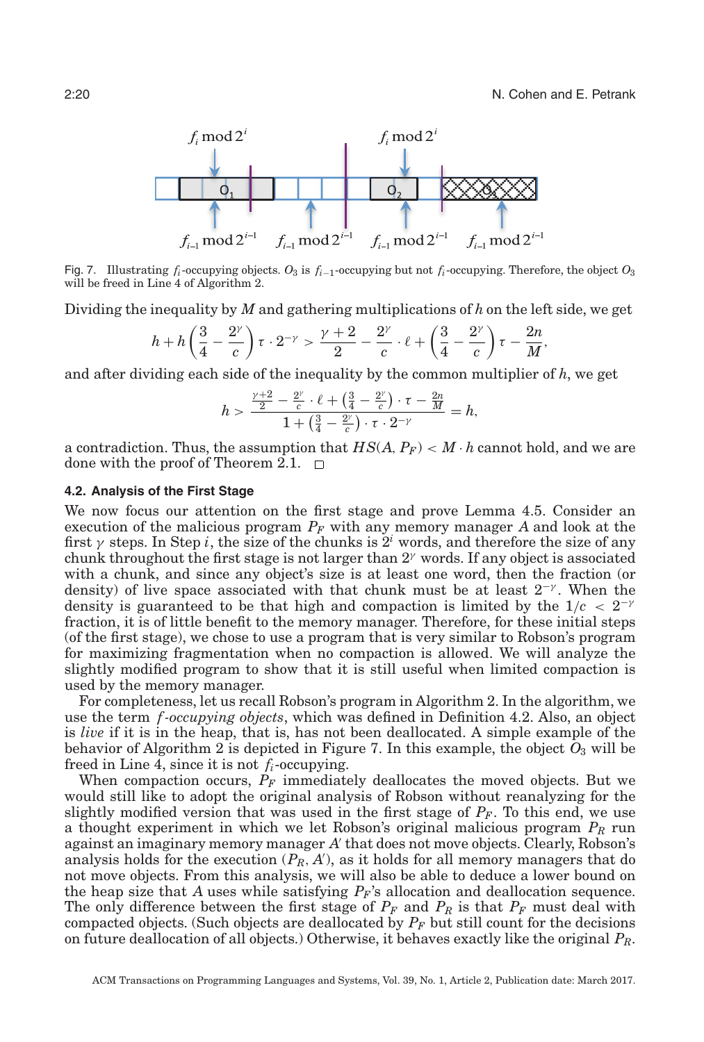<span id="page-19-1"></span>

Fig. 7. Illustrating *fi*-occupying objects. *O*<sup>3</sup> is *fi*−1-occupying but not *fi*-occupying. Therefore, the object *O*<sup>3</sup> will be freed in Line 4 of Algorithm 2.

Dividing the inequality by *M* and gathering multiplications of *h* on the left side, we get

$$
h+h\left(\frac{3}{4}-\frac{2^{\gamma}}{c}\right)\tau\cdot2^{-\gamma}>\frac{\gamma+2}{2}-\frac{2^{\gamma}}{c}\cdot\ell+\left(\frac{3}{4}-\frac{2^{\gamma}}{c}\right)\tau-\frac{2n}{M},
$$

and after dividing each side of the inequality by the common multiplier of *h*, we get

<span id="page-19-0"></span>
$$
h > \frac{\frac{\gamma+2}{2}-\frac{2^{\gamma}}{c}\cdot\ell + \left(\frac{3}{4}-\frac{2^{\gamma}}{c}\right)\cdot\tau - \frac{2n}{M}}{1+\left(\frac{3}{4}-\frac{2^{\gamma}}{c}\right)\cdot\tau\cdot2^{-\gamma}} = h,
$$

a contradiction. Thus, the assumption that  $HS(A, P_F) < M \cdot h$  cannot hold, and we are done with the proof of Theorem [2.1.](#page-4-0)  $\Box$ 

## **4.2. Analysis of the First Stage**

We now focus our attention on the first stage and prove Lemma [4.5.](#page-17-0) Consider an execution of the malicious program *PF* with any memory manager *A* and look at the first  $\gamma$  steps. In Step *i*, the size of the chunks is  $2^{i}$  words, and therefore the size of any chunk throughout the first stage is not larger than  $2^{\gamma}$  words. If any object is associated with a chunk, and since any object's size is at least one word, then the fraction (or density) of live space associated with that chunk must be at least  $2^{-\gamma}$ . When the density is guaranteed to be that high and compaction is limited by the  $1/c < 2^{-\gamma}$ fraction, it is of little benefit to the memory manager. Therefore, for these initial steps (of the first stage), we chose to use a program that is very similar to Robson's program for maximizing fragmentation when no compaction is allowed. We will analyze the slightly modified program to show that it is still useful when limited compaction is used by the memory manager.

For completeness, let us recall Robson's program in Algorithm 2. In the algorithm, we use the term *f -occupying objects*, which was defined in Definition [4.2.](#page-13-0) Also, an object is *live* if it is in the heap, that is, has not been deallocated. A simple example of the behavior of Algorithm 2 is depicted in Figure [7.](#page-19-1) In this example, the object  $O_3$  will be freed in Line 4, since it is not *fi*-occupying.

When compaction occurs,  $P_F$  immediately deallocates the moved objects. But we would still like to adopt the original analysis of Robson without reanalyzing for the slightly modified version that was used in the first stage of  $P_F$ . To this end, we use a thought experiment in which we let Robson's original malicious program *PR* run against an imaginary memory manager *A* that does not move objects. Clearly, Robson's analysis holds for the execution  $(P_R, A')$ , as it holds for all memory managers that do not move objects. From this analysis, we will also be able to deduce a lower bound on the heap size that  $A$  uses while satisfying  $P_F$ 's allocation and deallocation sequence. The only difference between the first stage of  $P_F$  and  $P_R$  is that  $P_F$  must deal with compacted objects. (Such objects are deallocated by  $P_F$  but still count for the decisions on future deallocation of all objects.) Otherwise, it behaves exactly like the original *PR*.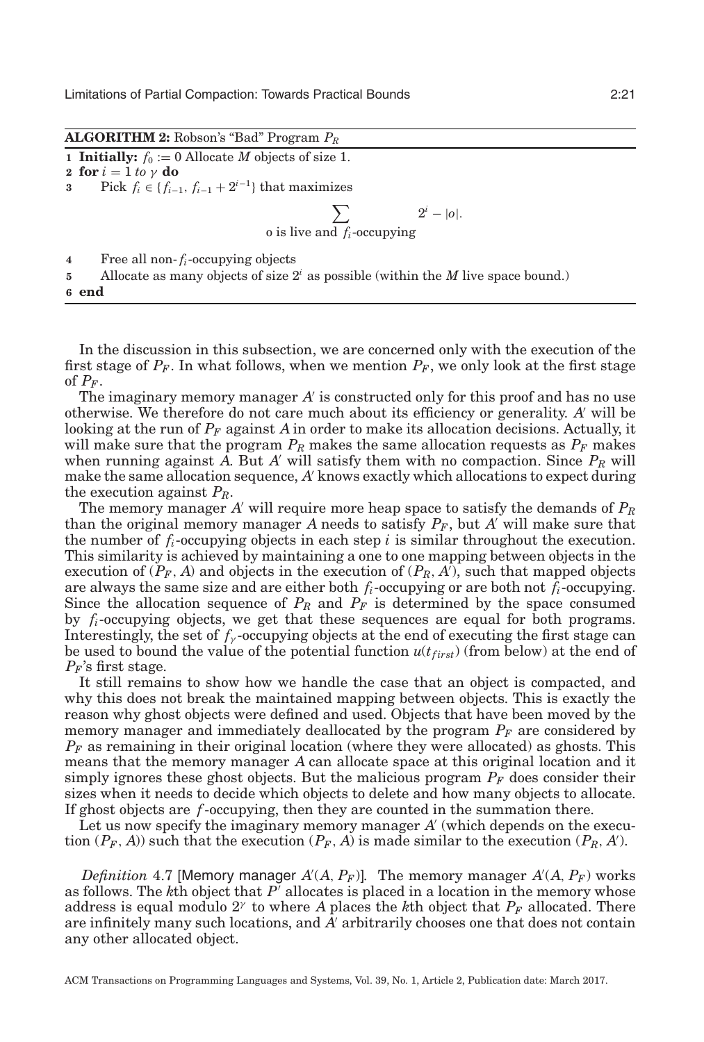**6 end**

| <b>ALGORITHM 2:</b> Robson's "Bad" Program $P_R$ |                                                                                                                               |  |  |  |  |  |
|--------------------------------------------------|-------------------------------------------------------------------------------------------------------------------------------|--|--|--|--|--|
|                                                  | 1 <b>Initially:</b> $f_0 := 0$ Allocate M objects of size 1.<br>2 for $i = 1$ to $\gamma$ do                                  |  |  |  |  |  |
| $3 -$                                            | Pick $f_i \in \{f_{i-1}, f_{i-1} + 2^{i-1}\}\$ that maximizes                                                                 |  |  |  |  |  |
|                                                  | $\sum_{i}$ $2^{i} -  0 $ .<br>o is live and $f_i$ -occupying                                                                  |  |  |  |  |  |
| $\overline{4}$<br>5                              | Free all non- $f_i$ -occupying objects<br>Allocate as many objects of size $2^i$ as possible (within the M live space bound.) |  |  |  |  |  |

In the discussion in this subsection, we are concerned only with the execution of the first stage of  $P_F$ . In what follows, when we mention  $P_F$ , we only look at the first stage of  $P_F$ .

The imaginary memory manager *A* is constructed only for this proof and has no use otherwise. We therefore do not care much about its efficiency or generality. *A* will be looking at the run of  $P_F$  against A in order to make its allocation decisions. Actually, it will make sure that the program  $P_R$  makes the same allocation requests as  $P_F$  makes when running against A. But  $A'$  will satisfy them with no compaction. Since  $P_R$  will make the same allocation sequence, *A* knows exactly which allocations to expect during the execution against *PR*.

The memory manager *A* will require more heap space to satisfy the demands of *PR* than the original memory manager *A* needs to satisfy  $P_F$ , but *A'* will make sure that the number of  $f_i$ -occupying objects in each step  $i$  is similar throughout the execution. This similarity is achieved by maintaining a one to one mapping between objects in the execution of  $(P_F, A)$  and objects in the execution of  $(P_R, A')$ , such that mapped objects are always the same size and are either both  $f_i$ -occupying or are both not  $f_i$ -occupying. Since the allocation sequence of  $P_R$  and  $P_F$  is determined by the space consumed by  $f_i$ -occupying objects, we get that these sequences are equal for both programs. Interestingly, the set of  $f_{\gamma}$ -occupying objects at the end of executing the first stage can be used to bound the value of the potential function  $u(t_{first})$  (from below) at the end of *PF*'s first stage.

It still remains to show how we handle the case that an object is compacted, and why this does not break the maintained mapping between objects. This is exactly the reason why ghost objects were defined and used. Objects that have been moved by the memory manager and immediately deallocated by the program  $P_F$  are considered by *PF* as remaining in their original location (where they were allocated) as ghosts. This means that the memory manager *A* can allocate space at this original location and it simply ignores these ghost objects. But the malicious program  $P_F$  does consider their sizes when it needs to decide which objects to delete and how many objects to allocate. If ghost objects are *f*-occupying, then they are counted in the summation there.

Let us now specify the imaginary memory manager *A* (which depends on the execution  $(P_F, A)$  such that the execution  $(P_F, A)$  is made similar to the execution  $(P_R, A')$ .

*Definition* 4.7 [Memory manager  $A'(A, P_F)$ ]. The memory manager  $A'(A, P_F)$  works as follows. The *k*th object that P' allocates is placed in a location in the memory whose address is equal modulo 2<sup>γ</sup> to where *A* places the *k*th object that  $P_F$  allocated. There are infinitely many such locations, and *A* arbitrarily chooses one that does not contain any other allocated object.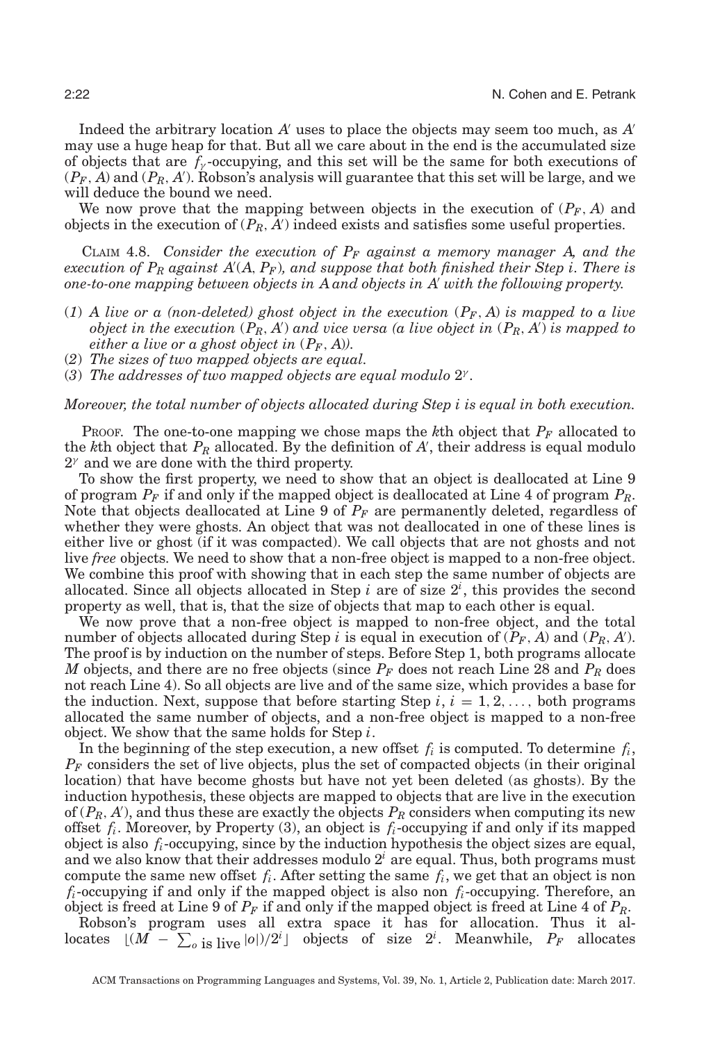Indeed the arbitrary location *A* uses to place the objects may seem too much, as *A* may use a huge heap for that. But all we care about in the end is the accumulated size of objects that are  $f_\gamma$ -occupying, and this set will be the same for both executions of  $(P_F, A)$  and  $(P_R, A')$ . Robson's analysis will guarantee that this set will be large, and we will deduce the bound we need.

We now prove that the mapping between objects in the execution of  $(P_F, A)$  and objects in the execution of  $(P_R, A)$  indeed exists and satisfies some useful properties.

<span id="page-21-0"></span>CLAIM 4.8. *Consider the execution of PF against a memory manager A, and the execution of PR against A* (*A*, *PF*)*, and suppose that both finished their Step i. There is one-to-one mapping between objects in A and objects in A with the following property.*

- $(1)$  *A live or a (non-deleted) ghost object in the execution*  $(P_F, A)$  *is mapped to a live object in the execution*  $(P_R, A')$  *and vice versa (a live object in*  $(P_R, A')$  *is mapped to either a live or a ghost object in* (*PF*, *A*)*).*
- (*2*) *The sizes of two mapped objects are equal.*
- (*3*) *The addresses of two mapped objects are equal modulo* 2<sup>γ</sup> *.*

## *Moreover, the total number of objects allocated during Step i is equal in both execution.*

PROOF. The one-to-one mapping we chose maps the  $k$ <sup>th</sup> object that  $P_F$  allocated to the *k*th object that *PR* allocated. By the definition of *A* , their address is equal modulo  $2^{\gamma}$  and we are done with the third property.

To show the first property, we need to show that an object is deallocated at Line 9 of program  $P_F$  if and only if the mapped object is deallocated at Line 4 of program  $P_R$ . Note that objects deallocated at Line 9 of  $P_F$  are permanently deleted, regardless of whether they were ghosts. An object that was not deallocated in one of these lines is either live or ghost (if it was compacted). We call objects that are not ghosts and not live *free* objects. We need to show that a non-free object is mapped to a non-free object. We combine this proof with showing that in each step the same number of objects are allocated. Since all objects allocated in Step  $i$  are of size  $2^i$ , this provides the second property as well, that is, that the size of objects that map to each other is equal.

We now prove that a non-free object is mapped to non-free object, and the total number of objects allocated during Step *i* is equal in execution of  $(P_F, A)$  and  $(P_R, A')$ . The proof is by induction on the number of steps. Before Step 1, both programs allocate *M* objects, and there are no free objects (since *PF* does not reach Line 28 and *PR* does not reach Line 4). So all objects are live and of the same size, which provides a base for the induction. Next, suppose that before starting Step  $i, i = 1, 2, \ldots$ , both programs allocated the same number of objects, and a non-free object is mapped to a non-free object. We show that the same holds for Step *i*.

In the beginning of the step execution, a new offset  $f_i$  is computed. To determine  $f_i$ , *PF* considers the set of live objects, plus the set of compacted objects (in their original location) that have become ghosts but have not yet been deleted (as ghosts). By the induction hypothesis, these objects are mapped to objects that are live in the execution of  $(P_R, A')$ , and thus these are exactly the objects  $P_R$  considers when computing its new offset *fi*. Moreover, by Property (3), an object is *fi*-occupying if and only if its mapped object is also *fi*-occupying, since by the induction hypothesis the object sizes are equal, and we also know that their addresses modulo  $2<sup>i</sup>$  are equal. Thus, both programs must compute the same new offset  $f_i$ . After setting the same  $f_i$ , we get that an object is non *fi*-occupying if and only if the mapped object is also non *fi*-occupying. Therefore, an object is freed at Line 9 of *PF* if and only if the mapped object is freed at Line 4 of *PR*.

Robson's program uses all extra space it has for allocation. Thus it allocates  $\lfloor (M - \sum_{o} \frac{1}{18} \rfloor \lfloor o \rfloor \rfloor / 2^{i}$  objects of size  $2^{i}$ . Meanwhile,  $P_F$  allocates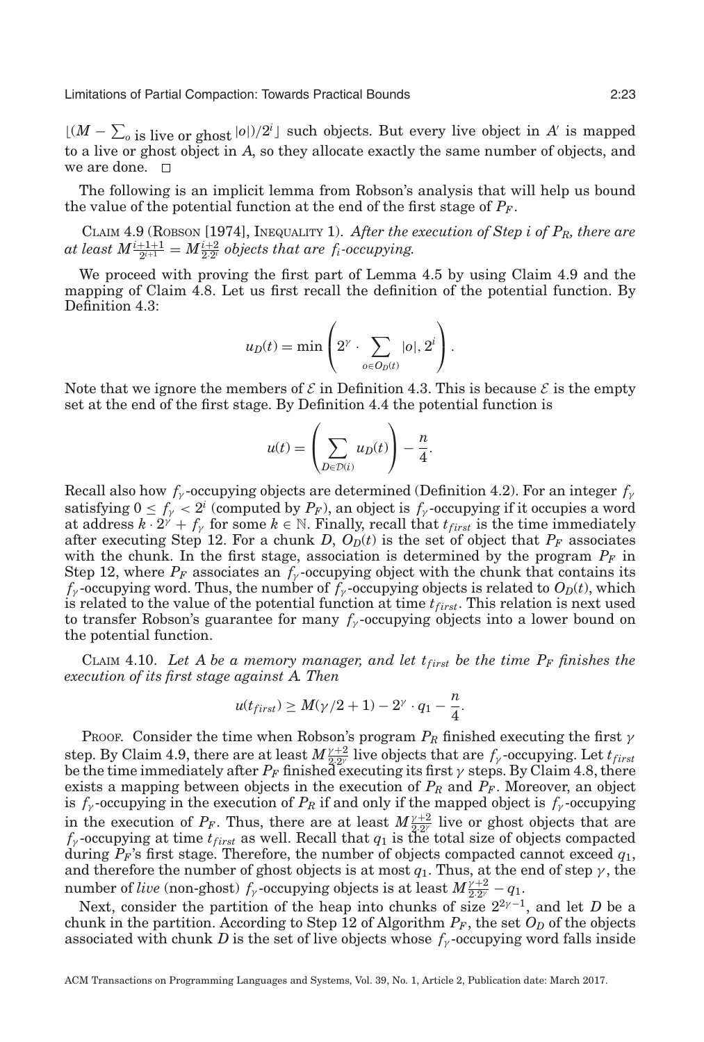$\lfloor (M - \sum_{o} \text{ is live or ghost } |o|)/2^{i} \rfloor$  such objects. But every live object in *A*' is mapped to a live or ghost object in *A*, so they allocate exactly the same number of objects, and we are done.  $\square$ 

The following is an implicit lemma from Robson's analysis that will help us bound the value of the potential function at the end of the first stage of  $P_F$ .

<span id="page-22-0"></span>CLAIM 4.9 (ROBSON [\[1974\]](#page-43-0), INEQUALITY 1). *After the execution of Step i of PR, there are at least*  $M^{\frac{i+1+1}{2^{i+1}}} = M^{\frac{i+2}{2 \cdot 2^i}}$  *objects that are f<sub>i</sub>-occupying.* 

We proceed with proving the first part of Lemma [4.5](#page-17-0) by using Claim [4.9](#page-22-0) and the mapping of Claim [4.8.](#page-21-0) Let us first recall the definition of the potential function. By Definition [4.3:](#page-15-0)

$$
u_D(t) = \min\left(2^{\gamma} \cdot \sum_{o \in O_D(t)} |o|, 2^i\right).
$$

Note that we ignore the members of  $\mathcal E$  in Definition [4.3.](#page-15-0) This is because  $\mathcal E$  is the empty set at the end of the first stage. By Definition [4.4](#page-15-1) the potential function is

$$
u(t) = \left(\sum_{D \in \mathcal{D}(i)} u_D(t)\right) - \frac{n}{4}.
$$

Recall also how  $f_{\gamma}$ -occupying objects are determined (Definition [4.2\)](#page-13-0). For an integer  $f_{\gamma}$ satisfying  $0 \leq f_\gamma < 2^i$  (computed by  $P_F$ ), an object is  $f_\gamma$ -occupying if it occupies a word at address  $k \cdot 2^{\gamma} + f_{\gamma}$  for some  $k \in \mathbb{N}$ . Finally, recall that  $t_{first}$  is the time immediately after executing Step 12. For a chunk *D*,  $O<sub>D</sub>(t)$  is the set of object that  $P<sub>F</sub>$  associates with the chunk. In the first stage, association is determined by the program  $P_F$  in Step 12, where  $P_F$  associates an  $f_\gamma$ -occupying object with the chunk that contains its  $f_{\gamma}$ -occupying word. Thus, the number of  $f_{\gamma}$ -occupying objects is related to  $O_D(t)$ , which is related to the value of the potential function at time  $t_{first}$ . This relation is next used to transfer Robson's guarantee for many  $f_\gamma$ -occupying objects into a lower bound on the potential function.

<span id="page-22-1"></span>CLAIM 4.10. Let A be a memory manager, and let  $t_{first}$  be the time  $P_F$  finishes the *execution of its first stage against A. Then*

$$
u(t_{first}) \ge M(\gamma/2 + 1) - 2^{\gamma} \cdot q_1 - \frac{n}{4}.
$$

PROOF. Consider the time when Robson's program  $P_R$  finished executing the first  $\gamma$ step. By Claim [4.9,](#page-22-0) there are at least  $M_{2,2}^{\gamma+2}$  live objects that are  $f_{\gamma}$ -occupying. Let  $t_{first}$ be the time immediately after  $P_F$  finished executing its first  $\gamma$  steps. By Claim [4.8,](#page-21-0) there exists a mapping between objects in the execution of  $P_R$  and  $P_F$ . Moreover, an object is  $f_\gamma$ -occupying in the execution of  $P_R$  if and only if the mapped object is  $f_\gamma$ -occupying in the execution of  $P_F$ . Thus, there are at least  $M_{\frac{2^{(2)}}{3^{(2)}}}^{\gamma+2}$  live or ghost objects that are  $f_{\gamma}$ -occupying at time  $t_{first}$  as well. Recall that  $q_1$  is the total size of objects compacted during *PF*'s first stage. Therefore, the number of objects compacted cannot exceed *q*1, and therefore the number of ghost objects is at most  $q_1$ . Thus, at the end of step  $\gamma$ , the  $\text{number of } live \text{ (non-ghost) } f_\gamma\text{-occupying objects is at least } M^{\gamma+2}_{2\cdot 2^\gamma} - q_1.$ 

Next, consider the partition of the heap into chunks of size  $2^{2\gamma-1}$ , and let *D* be a chunk in the partition. According to Step 12 of Algorithm  $P_F$ , the set  $O_D$  of the objects associated with chunk *D* is the set of live objects whose  $f_{\gamma}$ -occupying word falls inside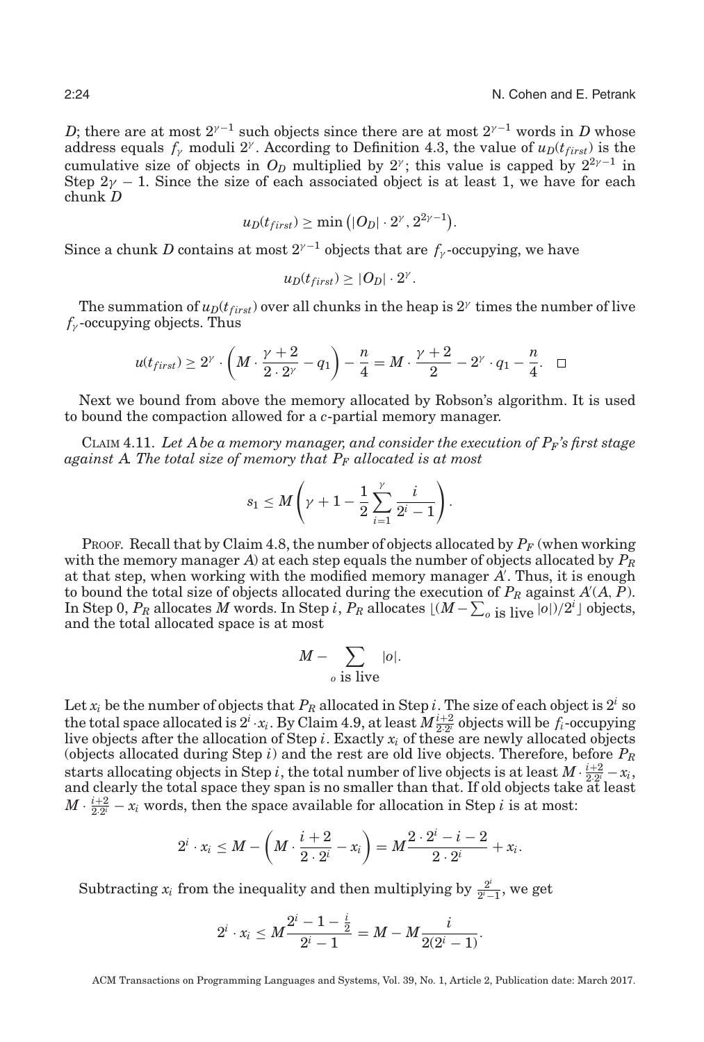*D*; there are at most  $2^{\gamma - 1}$  such objects since there are at most  $2^{\gamma - 1}$  words in *D* whose address equals  $f_\gamma$  moduli 2<sup>γ</sup>. According to Definition [4.3,](#page-15-0) the value of  $u_D(t_{first})$  is the cumulative size of objects in  $O_D$  multiplied by  $2^{\gamma}$ ; this value is capped by  $2^{2\gamma-1}$  in Step  $2\gamma - 1$ . Since the size of each associated object is at least 1, we have for each chunk *D*

$$
u_D(t_{first}) \ge \min\left(|O_D| \cdot 2^{\gamma}, 2^{2\gamma - 1}\right).
$$

Since a chunk *D* contains at most  $2^{\gamma-1}$  objects that are  $f_{\gamma}$ -occupying, we have

$$
u_D(t_{first}) \ge |O_D| \cdot 2^{\gamma}.
$$

The summation of  $u_D(t_{first})$  over all chunks in the heap is 2<sup>γ</sup> times the number of live *f*<sup>γ</sup> -occupying objects. Thus

$$
u(t_{first}) \ge 2^{\gamma} \cdot \left( M \cdot \frac{\gamma+2}{2 \cdot 2^{\gamma}} - q_1 \right) - \frac{n}{4} = M \cdot \frac{\gamma+2}{2} - 2^{\gamma} \cdot q_1 - \frac{n}{4}. \quad \Box
$$

Next we bound from above the memory allocated by Robson's algorithm. It is used to bound the compaction allowed for a *c*-partial memory manager.

<span id="page-23-0"></span>CLAIM 4.11. *Let A be a memory manager, and consider the execution of PF's first stage against A. The total size of memory that PF allocated is at most*

$$
s_1 \leq M\left(\gamma+1-\frac{1}{2}\sum_{i=1}^{\gamma}\frac{i}{2^i-1}\right).
$$

PROOF. Recall that by Claim [4.8,](#page-21-0) the number of objects allocated by *PF* (when working with the memory manager *A*) at each step equals the number of objects allocated by *PR* at that step, when working with the modified memory manager *A* . Thus, it is enough to bound the total size of objects allocated during the execution of  $P_R$  against  $A'(A, \overline{P})$ . In Step 0,  $P_R$  allocates *M* words. In Step *i*,  $P_R$  allocates  $\lfloor (M - \sum_o \frac{1}{18} \cdot \frac{1}{2} \cdot e^{-|o|})/2^i \rfloor$  objects, and the total allocated space is at most

$$
M - \sum_{o \text{ is live}} |o|.
$$

Let  $x_i$  be the number of objects that  $P_R$  allocated in Step *i*. The size of each object is  $2^i$  so the total space allocated is  $2^i \cdot x_i$ . By Claim [4.9,](#page-22-0) at least  $M_{2 \cdot 2^i}^{i+2}$  objects will be  $f_i$ -occupying live objects after the allocation of Step *i*. Exactly  $x_i$  of these are newly allocated objects (objects allocated during Step *i*) and the rest are old live objects. Therefore, before *PR* starts allocating objects in Step *i*, the total number of live objects is at least  $M \cdot \frac{i+2}{2 \cdot 2^i} - x_i$ , and clearly the total space they span is no smaller than that. If old objects take at least  $M \cdot \frac{i+2}{2 \cdot 2^i} - x_i$  words, then the space available for allocation in Step *i* is at most:

$$
2^{i} \cdot x_{i} \leq M - \left(M \cdot \frac{i+2}{2 \cdot 2^{i}} - x_{i}\right) = M \frac{2 \cdot 2^{i} - i - 2}{2 \cdot 2^{i}} + x_{i}.
$$

Subtracting  $x_i$  from the inequality and then multiplying by  $\frac{2^i}{2^i-1}$ , we get

$$
2^i \cdot x_i \le M \frac{2^i - 1 - \frac{i}{2}}{2^i - 1} = M - M \frac{i}{2(2^i - 1)}.
$$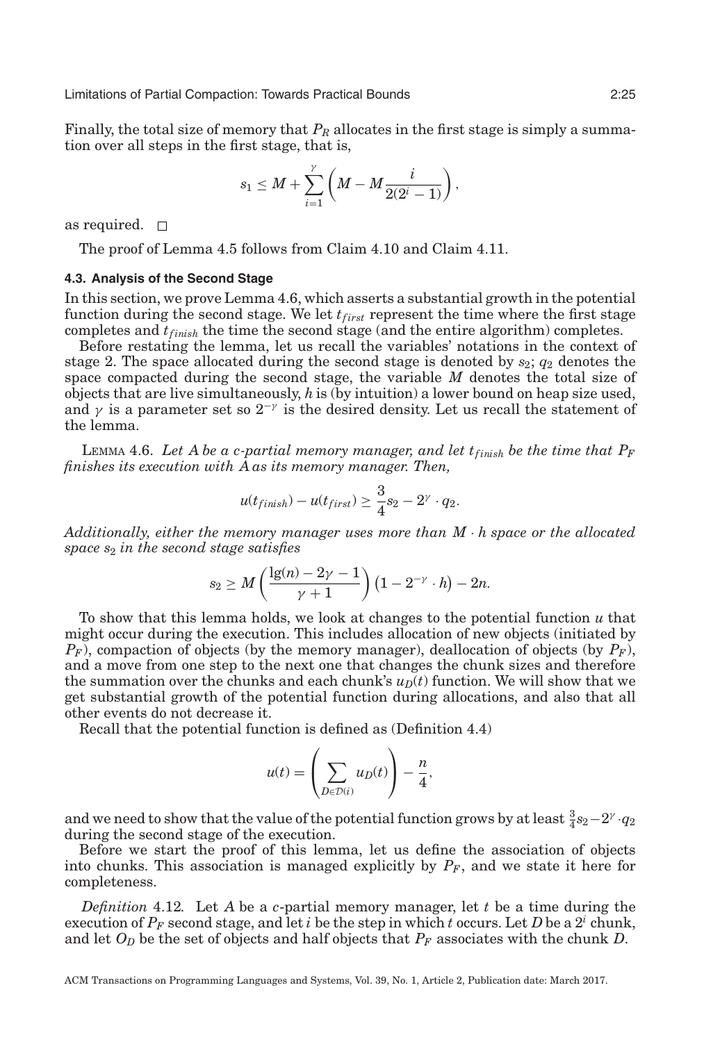Finally, the total size of memory that  $P_R$  allocates in the first stage is simply a summation over all steps in the first stage, that is,

$$
s_1\leq M+\sum_{i=1}^\gamma\left(M-M\frac{i}{2(2^i-1)}\right),
$$

as required.  $\square$ 

The proof of Lemma [4.5](#page-17-0) follows from Claim [4.10](#page-22-1) and Claim [4.11.](#page-23-0)

# **4.3. Analysis of the Second Stage**

In this section, we prove Lemma [4.6,](#page-18-0) which asserts a substantial growth in the potential function during the second stage. We let  $t_{first}$  represent the time where the first stage completes and  $t_{\text{finish}}$  the time the second stage (and the entire algorithm) completes.

Before restating the lemma, let us recall the variables' notations in the context of stage 2. The space allocated during the second stage is denoted by  $s_2$ ;  $q_2$  denotes the space compacted during the second stage, the variable *M* denotes the total size of objects that are live simultaneously, *h* is (by intuition) a lower bound on heap size used, and  $\gamma$  is a parameter set so 2<sup>- $\gamma$ </sup> is the desired density. Let us recall the statement of the lemma.

LEMMA 4.6. Let A be a c-partial memory manager, and let  $t_{\text{finish}}$  be the time that  $P_F$ *finishes its execution with A as its memory manager. Then,*

$$
u(t_{finish}) - u(t_{first}) \geq \frac{3}{4}s_2 - 2^{\gamma} \cdot q_2.
$$

*Additionally, either the memory manager uses more than M* · *h space or the allocated space s*<sup>2</sup> *in the second stage satisfies*

$$
s_2 \geq M\left(\frac{\lg(n)-2\gamma-1}{\gamma+1}\right)\left(1-2^{-\gamma}\cdot h\right)-2n.
$$

To show that this lemma holds, we look at changes to the potential function *u* that might occur during the execution. This includes allocation of new objects (initiated by  $P_F$ ), compaction of objects (by the memory manager), deallocation of objects (by  $P_F$ ), and a move from one step to the next one that changes the chunk sizes and therefore the summation over the chunks and each chunk's  $u_D(t)$  function. We will show that we get substantial growth of the potential function during allocations, and also that all other events do not decrease it.

Recall that the potential function is defined as (Definition [4.4\)](#page-15-1)

$$
u(t) = \left(\sum_{D \in \mathcal{D}(i)} u_D(t)\right) - \frac{n}{4},
$$

and we need to show that the value of the potential function grows by at least  $\frac{3}{4}s_2-2^{\gamma}\cdot q_2$ during the second stage of the execution.

Before we start the proof of this lemma, let us define the association of objects into chunks. This association is managed explicitly by  $P_F$ , and we state it here for completeness.

<span id="page-24-0"></span>*Definition* 4.12*.* Let *A* be a *c*-partial memory manager, let *t* be a time during the execution of  $P_F$  second stage, and let *i* be the step in which *t* occurs. Let *D* be a  $2^i$  chunk, and let  $O_D$  be the set of objects and half objects that  $P_F$  associates with the chunk D.

ACM Transactions on Programming Languages and Systems, Vol. 39, No. 1, Article 2, Publication date: March 2017.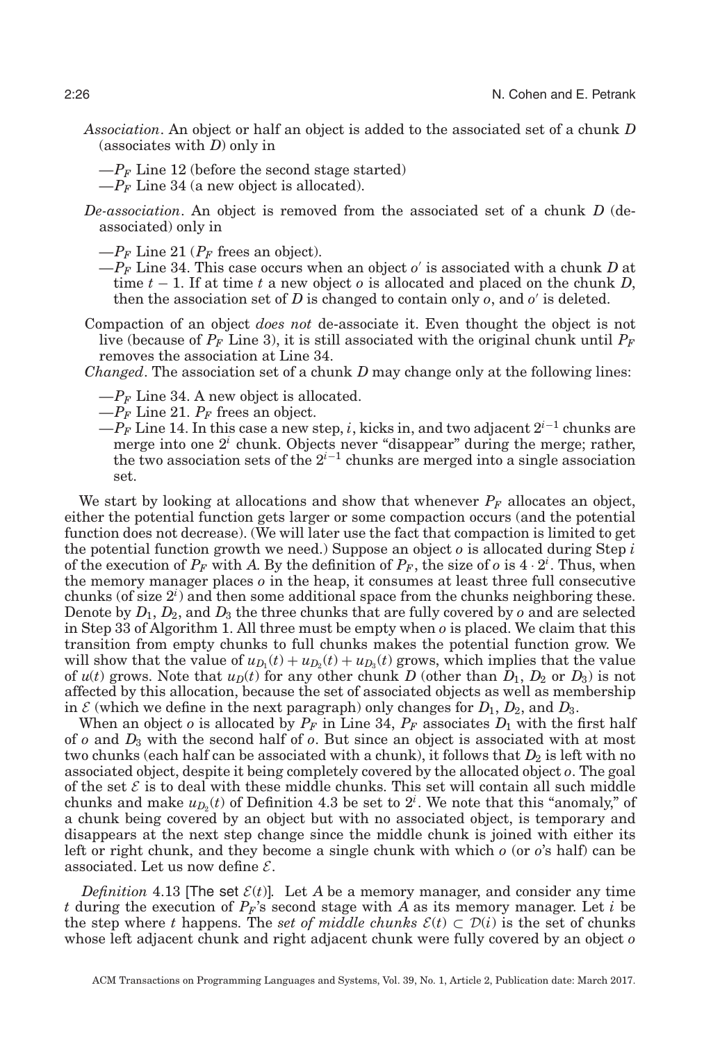- *Association*. An object or half an object is added to the associated set of a chunk *D* (associates with *D*) only in
	- $-P_F$  Line 12 (before the second stage started)
	- $-P_F$  Line 34 (a new object is allocated).
- *De-association*. An object is removed from the associated set of a chunk *D* (deassociated) only in
	- $-P_F$  Line 21 ( $P_F$  frees an object).
	- —*PF* Line 34. This case occurs when an object *o* is associated with a chunk *D* at time *t* − 1. If at time *t* a new object *o* is allocated and placed on the chunk *D*, then the association set of *D* is changed to contain only *o*, and *o* is deleted.
- Compaction of an object *does not* de-associate it. Even thought the object is not live (because of *PF* Line 3), it is still associated with the original chunk until *PF* removes the association at Line 34.
- *Changed*. The association set of a chunk *D* may change only at the following lines:
	- $-P_F$  Line 34. A new object is allocated.
	- $-P_F$  Line 21.  $P_F$  frees an object.
	- —*PF* Line 14. In this case a new step, *i*, kicks in, and two adjacent 2*<sup>i</sup>*−<sup>1</sup> chunks are merge into one 2*<sup>i</sup>* chunk. Objects never "disappear" during the merge; rather, the two association sets of the  $2^{i-1}$  chunks are merged into a single association set.

We start by looking at allocations and show that whenever  $P_F$  allocates an object, either the potential function gets larger or some compaction occurs (and the potential function does not decrease). (We will later use the fact that compaction is limited to get the potential function growth we need.) Suppose an object *o* is allocated during Step *i* of the execution of  $P_F$  with A. By the definition of  $P_F$ , the size of *o* is  $4 \cdot 2^i$ . Thus, when the memory manager places *o* in the heap, it consumes at least three full consecutive chunks (of size 2*<sup>i</sup>* ) and then some additional space from the chunks neighboring these. Denote by *D*1, *D*2, and *D*<sup>3</sup> the three chunks that are fully covered by *o* and are selected in Step 33 of Algorithm 1. All three must be empty when *o* is placed. We claim that this transition from empty chunks to full chunks makes the potential function grow. We will show that the value of  $u_{D_1}(t) + u_{D_2}(t) + u_{D_3}(t)$  grows, which implies that the value of  $u(t)$  grows. Note that  $u_D(t)$  for any other chunk *D* (other than  $D_1$ ,  $D_2$  or  $D_3$ ) is not affected by this allocation, because the set of associated objects as well as membership in  $\mathcal E$  (which we define in the next paragraph) only changes for  $D_1$ ,  $D_2$ , and  $D_3$ .

When an object *o* is allocated by  $P_F$  in Line 34,  $P_F$  associates  $D_1$  with the first half of *o* and *D*<sup>3</sup> with the second half of *o*. But since an object is associated with at most two chunks (each half can be associated with a chunk), it follows that  $D_2$  is left with no associated object, despite it being completely covered by the allocated object *o*. The goal of the set  $\mathcal E$  is to deal with these middle chunks. This set will contain all such middle chunks and make  $u_{D_2}(t)$  of Definition [4.3](#page-15-0) be set to  $2^i$ . We note that this "anomaly," of a chunk being covered by an object but with no associated object, is temporary and disappears at the next step change since the middle chunk is joined with either its left or right chunk, and they become a single chunk with which *o* (or *o*'s half) can be associated. Let us now define  $\mathcal{E}$ .

<span id="page-25-0"></span>*Definition* 4.13 [The set  $\mathcal{E}(t)$ ]. Let A be a memory manager, and consider any time *t* during the execution of  $P_F$ 's second stage with *A* as its memory manager. Let *i* be the step where *t* happens. The *set of middle chunks*  $\mathcal{E}(t) \subset \mathcal{D}(i)$  is the set of chunks whose left adjacent chunk and right adjacent chunk were fully covered by an object *o*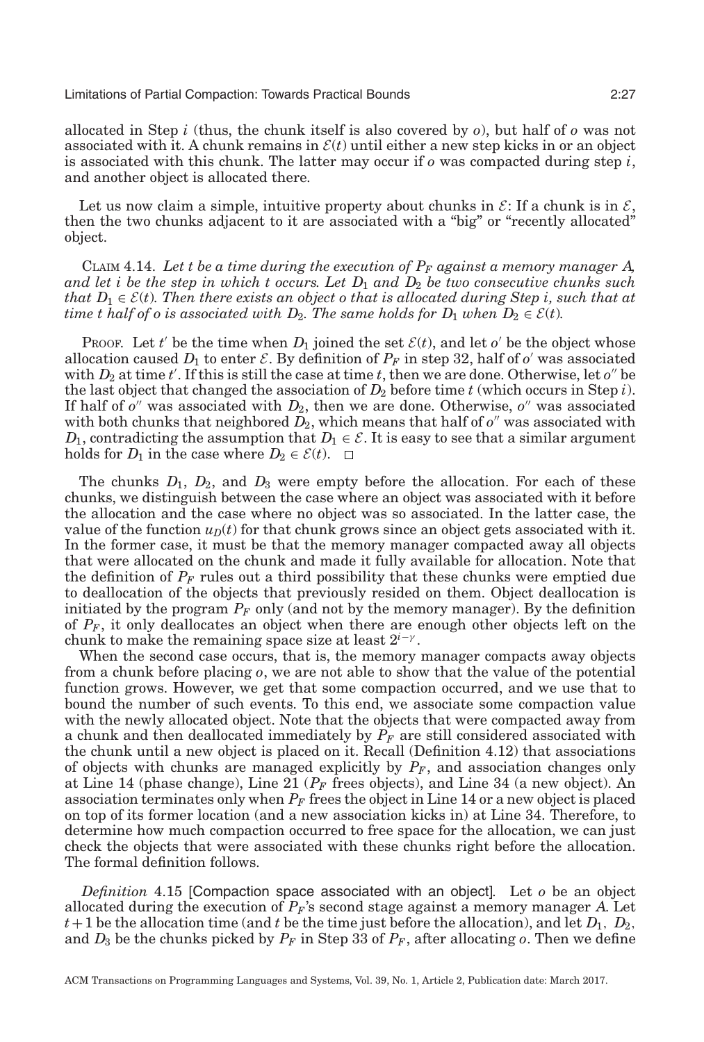allocated in Step *i* (thus, the chunk itself is also covered by *o*), but half of *o* was not associated with it. A chunk remains in  $\mathcal{E}(t)$  until either a new step kicks in or an object is associated with this chunk. The latter may occur if *o* was compacted during step *i*, and another object is allocated there.

Let us now claim a simple, intuitive property about chunks in  $\mathcal{E}$ : If a chunk is in  $\mathcal{E}$ , then the two chunks adjacent to it are associated with a "big" or "recently allocated" object.

<span id="page-26-1"></span>CLAIM 4.14. *Let t be a time during the execution of PF against a memory manager A, and let i be the step in which t occurs. Let D*<sup>1</sup> *and D*<sup>2</sup> *be two consecutive chunks such that D*<sub>1</sub>  $\in \mathcal{E}(t)$ *. Then there exists an object o that is allocated during Step i, such that at time t half of o is associated with D*<sub>2</sub>*. The same holds for D*<sub>1</sub> *when D*<sub>2</sub>  $\in \mathcal{E}(t)$ *.* 

PROOF. Let *t'* be the time when  $D_1$  joined the set  $\mathcal{E}(t)$ , and let *o'* be the object whose allocation caused  $D_1$  to enter  $\mathcal{E}$ . By definition of  $P_F$  in step 32, half of  $o'$  was associated with  $D_2$  at time  $t'$  . If this is still the case at time  $t$ , then we are done. Otherwise, let  $o''$  be the last object that changed the association of  $D_2$  before time *t* (which occurs in Step *i*). If half of  $o''$  was associated with  $D_2$ , then we are done. Otherwise,  $o''$  was associated with both chunks that neighbored  $D_2$ , which means that half of  $o''$  was associated with *D*<sub>1</sub>, contradicting the assumption that  $D_1 \in \mathcal{E}$ . It is easy to see that a similar argument holds for  $D_1$  in the case where  $D_2 \in \mathcal{E}(t)$ .  $\Box$ 

The chunks  $D_1$ ,  $D_2$ , and  $D_3$  were empty before the allocation. For each of these chunks, we distinguish between the case where an object was associated with it before the allocation and the case where no object was so associated. In the latter case, the value of the function  $u_D(t)$  for that chunk grows since an object gets associated with it. In the former case, it must be that the memory manager compacted away all objects that were allocated on the chunk and made it fully available for allocation. Note that the definition of  $P_F$  rules out a third possibility that these chunks were emptied due to deallocation of the objects that previously resided on them. Object deallocation is initiated by the program  $P_F$  only (and not by the memory manager). By the definition of *PF*, it only deallocates an object when there are enough other objects left on the chunk to make the remaining space size at least  $2^{i-\gamma}$ .

When the second case occurs, that is, the memory manager compacts away objects from a chunk before placing *o*, we are not able to show that the value of the potential function grows. However, we get that some compaction occurred, and we use that to bound the number of such events. To this end, we associate some compaction value with the newly allocated object. Note that the objects that were compacted away from a chunk and then deallocated immediately by *PF* are still considered associated with the chunk until a new object is placed on it. Recall (Definition [4.12\)](#page-24-0) that associations of objects with chunks are managed explicitly by  $P_F$ , and association changes only at Line 14 (phase change), Line 21 (*PF* frees objects), and Line 34 (a new object). An association terminates only when  $P_F$  frees the object in Line 14 or a new object is placed on top of its former location (and a new association kicks in) at Line 34. Therefore, to determine how much compaction occurred to free space for the allocation, we can just check the objects that were associated with these chunks right before the allocation. The formal definition follows.

<span id="page-26-0"></span>*Definition* 4.15 [Compaction space associated with an object]*.* Let *o* be an object allocated during the execution of  $P_F$ 's second stage against a memory manager A. Let  $t+1$  be the allocation time (and *t* be the time just before the allocation), and let  $D_1$ ,  $D_2$ , and  $D_3$  be the chunks picked by  $P_F$  in Step 33 of  $P_F$ , after allocating  $o$ . Then we define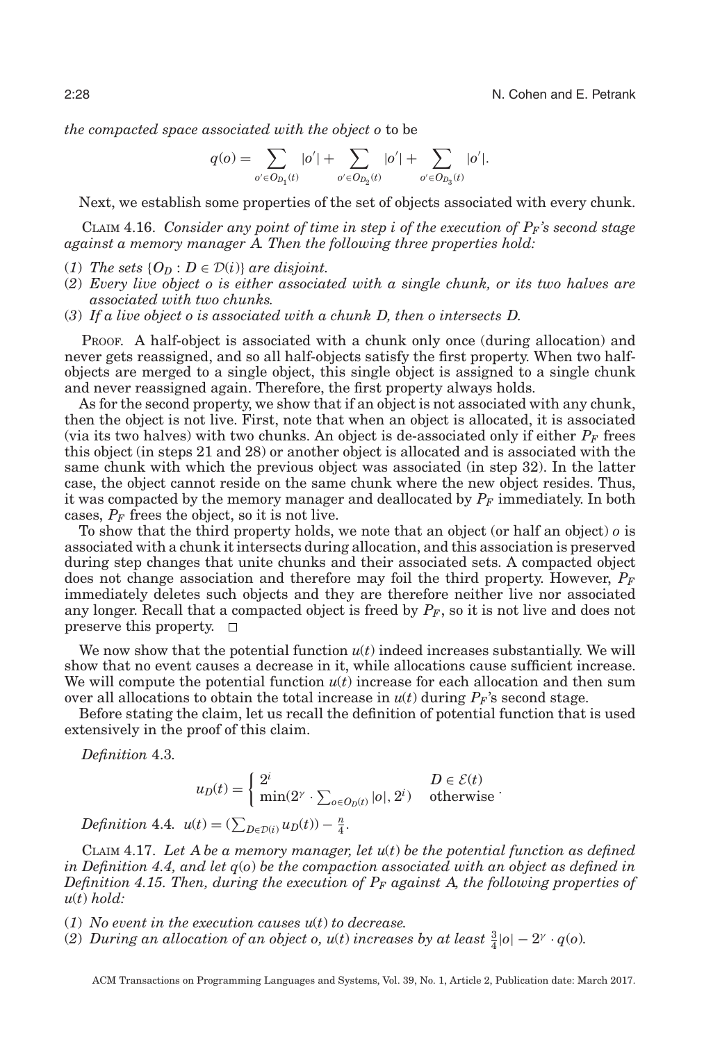*the compacted space associated with the object o* to be

$$
q(o) = \sum_{o' \in O_{D_1}(t)} |o'| + \sum_{o' \in O_{D_2}(t)} |o'| + \sum_{o' \in O_{D_3}(t)} |o'|.
$$

Next, we establish some properties of the set of objects associated with every chunk.

<span id="page-27-0"></span>CLAIM 4.16. *Consider any point of time in step i of the execution of PF's second stage against a memory manager A. Then the following three properties hold:*

- (1) The sets  $\{O_D : D \in \mathcal{D}(i)\}\$ are disjoint.
- (*2*) *Every live object o is either associated with a single chunk, or its two halves are associated with two chunks.*
- (*3*) *If a live object o is associated with a chunk D, then o intersects D.*

PROOF. A half-object is associated with a chunk only once (during allocation) and never gets reassigned, and so all half-objects satisfy the first property. When two halfobjects are merged to a single object, this single object is assigned to a single chunk and never reassigned again. Therefore, the first property always holds.

As for the second property, we show that if an object is not associated with any chunk, then the object is not live. First, note that when an object is allocated, it is associated (via its two halves) with two chunks. An object is de-associated only if either  $P_F$  frees this object (in steps 21 and 28) or another object is allocated and is associated with the same chunk with which the previous object was associated (in step 32). In the latter case, the object cannot reside on the same chunk where the new object resides. Thus, it was compacted by the memory manager and deallocated by *PF* immediately. In both cases,  $P_F$  frees the object, so it is not live.

To show that the third property holds, we note that an object (or half an object) *o* is associated with a chunk it intersects during allocation, and this association is preserved during step changes that unite chunks and their associated sets. A compacted object does not change association and therefore may foil the third property. However, *PF* immediately deletes such objects and they are therefore neither live nor associated any longer. Recall that a compacted object is freed by *PF*, so it is not live and does not preserve this property.  $\square$ 

We now show that the potential function  $u(t)$  indeed increases substantially. We will show that no event causes a decrease in it, while allocations cause sufficient increase. We will compute the potential function  $u(t)$  increase for each allocation and then sum over all allocations to obtain the total increase in  $u(t)$  during  $P_F$ 's second stage.

Before stating the claim, let us recall the definition of potential function that is used extensively in the proof of this claim.

*Definition* 4.3*.*

$$
u_D(t) = \begin{cases} 2^i & D \in \mathcal{E}(t) \\ \min(2^{\gamma} \cdot \sum_{o \in O_D(t)} |o|, 2^i) & \text{otherwise} \end{cases}.
$$

*Definition* 4.4*.*  $u(t) = (\sum_{D \in \mathcal{D}(i)} u_D(t)) - \frac{n}{4}$ .

<span id="page-27-1"></span>CLAIM 4.17. *Let A be a memory manager, let u*(*t*) *be the potential function as defined in Definition [4.4,](#page-15-1) and let q*(*o*) *be the compaction associated with an object as defined in Definition [4.15.](#page-26-0) Then, during the execution of PF against A, the following properties of u*(*t*) *hold:*

- (*1*) *No event in the execution causes u*(*t*) *to decrease.*
- (2) *During an allocation of an object o, u(t) increases by at least*  $\frac{3}{4}$ | $o$ |  $-2^{\gamma} \cdot q(o)$ *.*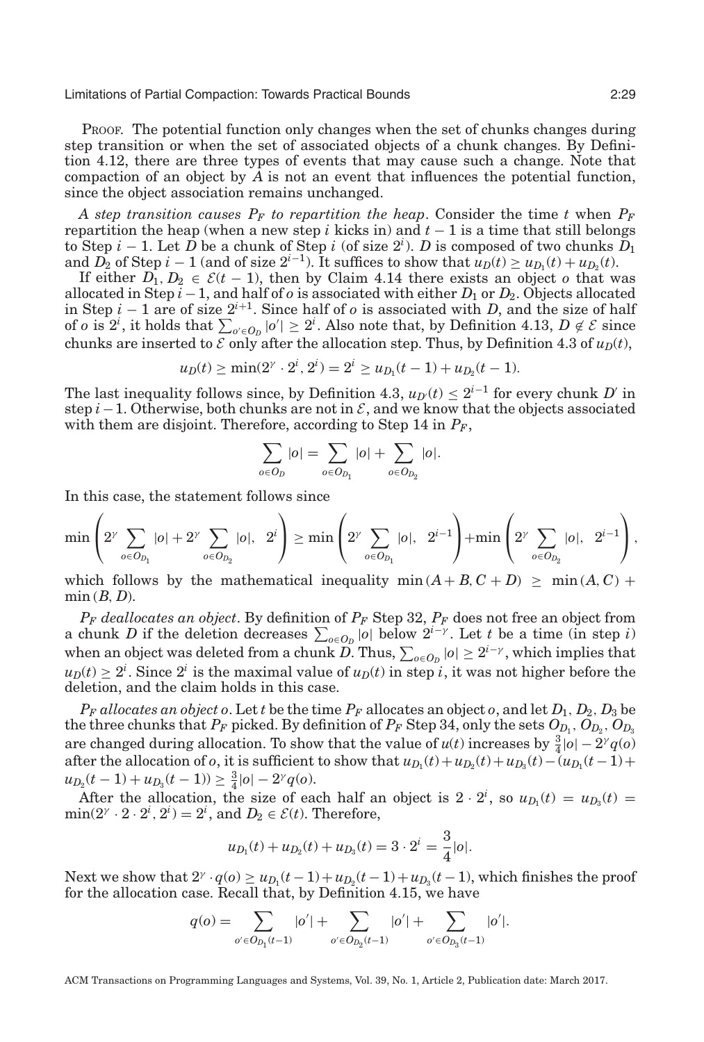PROOF. The potential function only changes when the set of chunks changes during step transition or when the set of associated objects of a chunk changes. By Definition [4.12,](#page-24-0) there are three types of events that may cause such a change. Note that compaction of an object by *A* is not an event that influences the potential function, since the object association remains unchanged.

*A step transition causes*  $P_F$  *to repartition the heap.* Consider the time *t* when  $P_F$ repartition the heap (when a new step *i* kicks in) and  $t - 1$  is a time that still belongs to Step *i* − 1. Let *D* be a chunk of Step *i* (of size 2*<sup>i</sup>* ). *D* is composed of two chunks *D*<sup>1</sup> and  $\overline{D_2}$  of Step  $i - 1$  (and of size  $2^{i-1}$ ). It suffices to show that  $\overline{u}_D(t) \ge u_{D_1}(t) + u_{D_2}(t)$ .

If either  $D_1, D_2 \in \mathcal{E}(t-1)$ , then by Claim [4.14](#page-26-1) there exists an object *o* that was allocated in Step *i* −1, and half of *o* is associated with either *D*<sup>1</sup> or *D*2. Objects allocated in Step *i* − 1 are of size 2*<sup>i</sup>*<sup>+</sup>1. Since half of *o* is associated with *D*, and the size of half of *o* is  $2^i$ , it holds that  $\sum_{o' \in O_D} |o'| \ge 2^i$ . Also note that, by Definition [4.13,](#page-25-0)  $D \notin \mathcal{E}$  since chunks are inserted to  $\mathcal E$  only after the allocation step. Thus, by Definition [4.3](#page-15-0) of  $u_D(t)$ ,

$$
u_D(t) \ge \min(2^{\gamma} \cdot 2^i, 2^i) = 2^i \ge u_{D_1}(t-1) + u_{D_2}(t-1).
$$

The last inequality follows since, by Definition [4.3,](#page-15-0)  $u_{D}(t) \leq 2^{i-1}$  for every chunk *D'* in step *i* − 1. Otherwise, both chunks are not in  $\mathcal{E}$ , and we know that the objects associated with them are disjoint. Therefore, according to Step 14 in  $P_F$ ,

$$
\sum_{o\in O_D}|o|=\sum_{o\in O_{D_1}}|o|+\sum_{o\in O_{D_2}}|o|.
$$

In this case, the statement follows since

$$
\min\left(2^{\gamma}\sum_{o\in O_{D_1}}|o|+2^{\gamma}\sum_{o\in O_{D_2}}|o|,~~2^i\right)\geq\min\left(2^{\gamma}\sum_{o\in O_{D_1}}|o|,~~2^{i-1}\right)+\min\left(2^{\gamma}\sum_{o\in O_{D_2}}|o|,~~2^{i-1}\right),
$$

which follows by the mathematical inequality  $\min(A+B, C+D) \geq \min(A, C) +$  $min(B, D)$ .

*PF deallocates an object*. By definition of *PF* Step 32, *PF* does not free an object from a chunk *D* if the deletion decreases  $\sum_{o \in O_D} |o|$  below  $2^{i-\gamma}$ . Let *t* be a time (in step *i*) when an object was deleted from a chunk  $D$ . Thus,  $\sum_{o \in O_D} |o| \ge 2^{i-\gamma}$  , which implies that  $u_D(t) \geq 2^i$  . Since  $2^i$  is the maximal value of  $u_D(t)$  in step *i*, it was not higher before the deletion, and the claim holds in this case.

 $P_F$  *allocates an object o*. Let *t* be the time  $P_F$  allocates an object *o*, and let  $D_1$ ,  $D_2$ ,  $D_3$  be the three chunks that  $P_F$  picked. By definition of  $P_F$  Step 34, only the sets  $O_{D_1}, O_{D_2}, O_{D_3}$ are changed during allocation. To show that the value of  $u(t)$  increases by  $\frac{3}{4}|o| - 2^{\gamma}q(o)$ after the allocation of *o*, it is sufficient to show that  $u_{D_1}(t)+u_{D_2}(t)+u_{D_3}(t)-u_{D_1}(t-1)+u_{D_2}(t)$  $u_{D_2}(t-1) + u_{D_3}(t-1) \geq \frac{3}{4}|o| - 2^{\gamma}q(o).$ 

After the allocation, the size of each half an object is  $2 \cdot 2^i$ , so  $u_{D_1}(t) = u_{D_3}(t)$  $\min(2^{\gamma} \cdot 2 \cdot 2^i, 2^i) = 2^i$ , and  $D_2 \in \mathcal{E}(t)$ . Therefore,

$$
u_{D_1}(t) + u_{D_2}(t) + u_{D_3}(t) = 3 \cdot 2^i = \frac{3}{4} |o|.
$$

Next we show that  $2^{\gamma} \cdot q(o) \geq u_{D_1}(t-1) + u_{D_2}(t-1) + u_{D_3}(t-1)$ , which finishes the proof for the allocation case. Recall that, by Definition [4.15,](#page-26-0) we have

$$
q(o) = \sum_{o' \in O_{D_1}(t-1)} |o'| + \sum_{o' \in O_{D_2}(t-1)} |o'| + \sum_{o' \in O_{D_3}(t-1)} |o'|.
$$

ACM Transactions on Programming Languages and Systems, Vol. 39, No. 1, Article 2, Publication date: March 2017.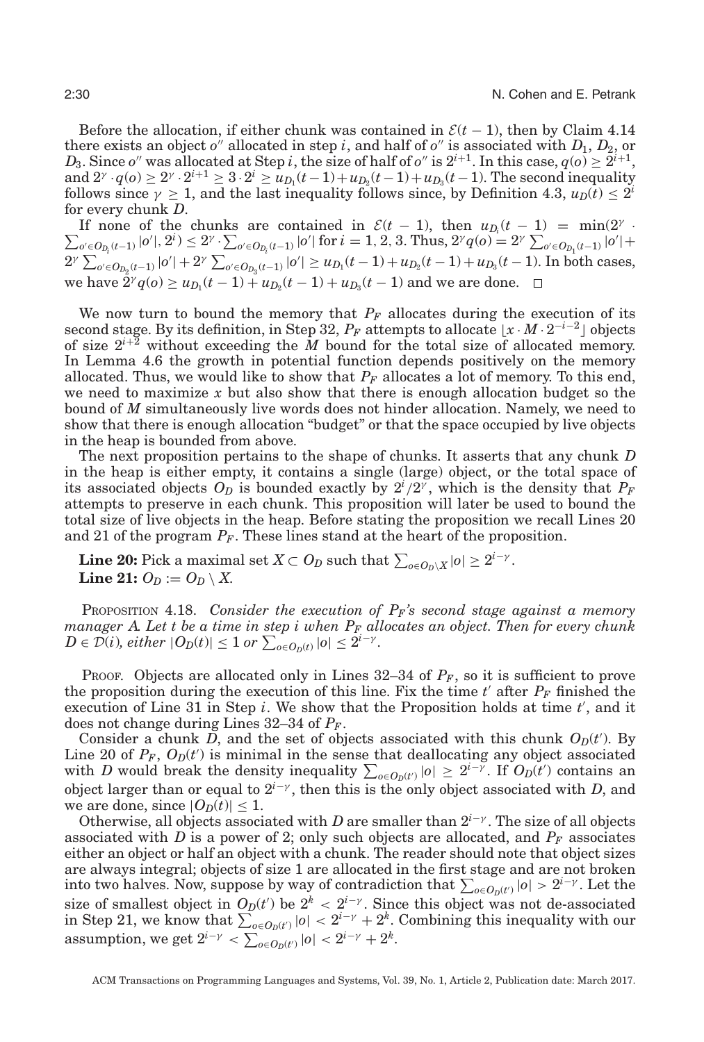Before the allocation, if either chunk was contained in  $\mathcal{E}(t-1)$ , then by Claim [4.14](#page-26-1) there exists an object  $o''$  allocated in step *i*, and half of  $o''$  is associated with  $D_1, D_2$ , or  $D_3.$  Since  $o''$  was allocated at Step  $i$ , the size of half of  $o''$  is  $2^{i+1}.$  In this case,  $q(o) \geq 2^{i+1},$ and  $2^{\gamma} \cdot q(o) \ge 2^{\gamma} \cdot 2^{i+1} \ge 3 \cdot 2^i \ge u_{D_1}(t-1) + u_{D_2}(t-1) + u_{D_3}(t-1)$ . The second inequality follows since  $\gamma \geq 1$ , and the last inequality follows since, by Definition [4.3,](#page-15-0)  $u_D(t) \leq 2^i$ for every chunk *D*.

If none of the chunks are contained in  $\mathcal{E}(t-1)$ , then  $u_{D_i}(t-1) = \min(2^{\gamma} \cdot$ *o f* the chunks are contained in  $\mathcal{E}(t - 1)$ , then  $u_{D_i}(t - 1) = \min(2^{\gamma} \cdot \sum_{o' \in O_{D_i}(t-1)} |o'|, 2^i) \leq 2^{\gamma} \cdot \sum_{o' \in O_{D_i}(t-1)} |o'|$  for *i* = 1, 2, 3. Thus,  $2^{\gamma}q(o) = 2^{\gamma} \sum_{o' \in O_{D_i}(t-1)} |o'| +$  $2^{\gamma} \sum_{o' \in O_{D_2}(t-1)} |o'| + 2^{\gamma} \sum_{o' \in O_{D_3}(t-1)} |o'| \geq u_{D_1}(t-1) + u_{D_2}(t-1) + u_{D_3}(t-1)$ . In both cases, we have  $2^{y}q(0) \ge u_{D_1}(t-1) + u_{D_2}(t-1) + u_{D_3}(t-1)$  and we are done. □

We now turn to bound the memory that  $P_F$  allocates during the execution of its second stage. By its definition, in Step 32,  $P_F$  attempts to allocate  $x \cdot M \cdot 2^{-i-2}$  objects of size  $2^{i+2}$  without exceeding the *M* bound for the total size of allocated memory. In Lemma [4.6](#page-18-0) the growth in potential function depends positively on the memory allocated. Thus, we would like to show that  $P_F$  allocates a lot of memory. To this end, we need to maximize  $x$  but also show that there is enough allocation budget so the bound of *M* simultaneously live words does not hinder allocation. Namely, we need to show that there is enough allocation "budget" or that the space occupied by live objects in the heap is bounded from above.

The next proposition pertains to the shape of chunks. It asserts that any chunk *D* in the heap is either empty, it contains a single (large) object, or the total space of its associated objects  $O_D$  is bounded exactly by  $2^i/2^\gamma$ , which is the density that  $P_F$ attempts to preserve in each chunk. This proposition will later be used to bound the total size of live objects in the heap. Before stating the proposition we recall Lines 20 and 21 of the program  $P_F$ . These lines stand at the heart of the proposition.

Line 20: Pick a maximal set  $X \subset O_D$  such that  $\sum_{o \in O_D\setminus X} |o| \geq 2^{i-\gamma}.$ **Line 21:**  $O_D := O_D \setminus X$ .

<span id="page-29-0"></span>PROPOSITION 4.18. *Consider the execution of P<sub>F</sub>'s second stage against a memory manager A. Let t be a time in step i when PF allocates an object. Then for every chunk*  $D \in \mathcal{D}(i)$ , either  $|O_D(t)| \leq 1$  or  $\sum_{o \in O_D(t)}^{\infty} |o| \leq 2^{i-\gamma}$ .

PROOF. Objects are allocated only in Lines 32–34 of  $P_F$ , so it is sufficient to prove the proposition during the execution of this line. Fix the time  $t'$  after  $P_F$  finished the execution of Line 31 in Step *i*. We show that the Proposition holds at time *t* , and it does not change during Lines 32–34 of *PF*.

Consider a chunk  $\overline{D}$ , and the set of objects associated with this chunk  $O_D(t')$ . By Line 20 of  $P_F$ ,  $O_D(t)$  is minimal in the sense that deallocating any object associated with *D* would break the density inequality  $\sum_{o \in O_D(t')} |o| \ge 2^{i-\gamma}$ . If  $O_D(t')$  contains an object larger than or equal to 2*<sup>i</sup>*−<sup>γ</sup> , then this is the only object associated with *D*, and we are done, since  $|O_D(t)| \leq 1$ .

Otherwise, all objects associated with *D* are smaller than 2*<sup>i</sup>*−<sup>γ</sup> . The size of all objects associated with *D* is a power of 2; only such objects are allocated, and  $P_F$  associates either an object or half an object with a chunk. The reader should note that object sizes are always integral; objects of size 1 are allocated in the first stage and are not broken into two halves. Now, suppose by way of contradiction that  $\sum_{o \in O_D(t')} |o| > 2^{i-\gamma}$ . Let the size of smallest object in  $O_D(t')$  be  $2^k < 2^{i-\gamma}$ . Since this object was not de-associated in Step 21, we know that  $\sum_{o \in O_D(t')} |o| < 2^{i-\gamma} + 2^k$ . Combining this inequality with our  $\text{assumption, we get } 2^{i-\gamma} < \sum_{o \in O_D(t')} |o| < 2^{i-\gamma} + 2^k.$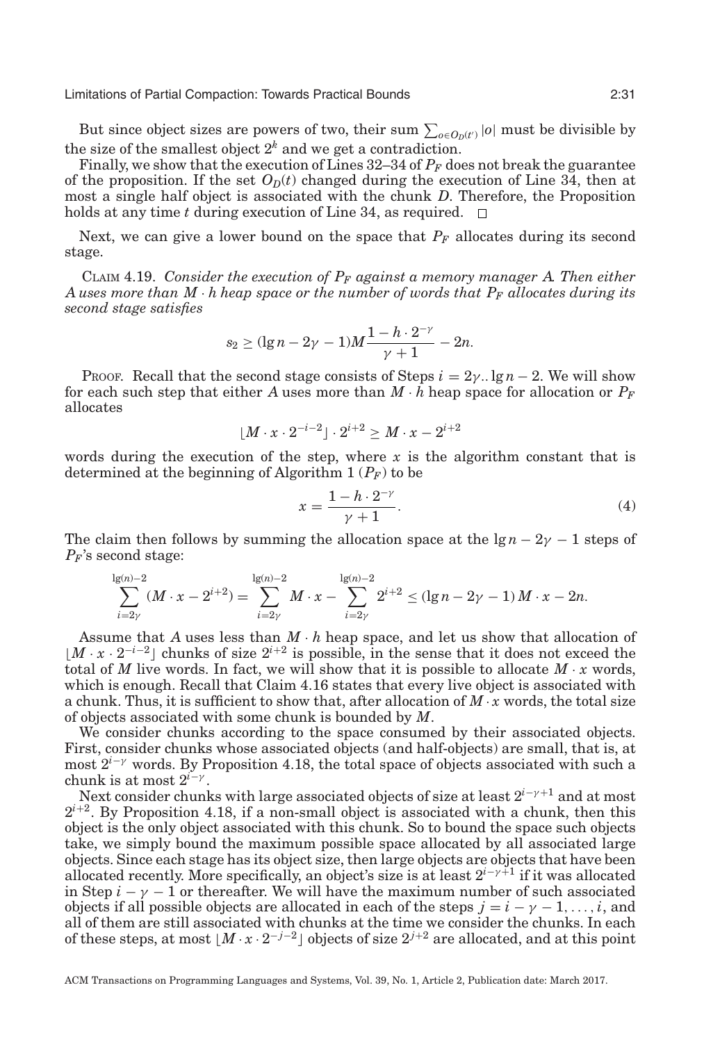But since object sizes are powers of two, their sum  $\sum_{o \in O_D(t')} |o|$  must be divisible by the size of the smallest object  $2^k$  and we get a contradiction.

Finally, we show that the execution of Lines  $32-34$  of  $P_F$  does not break the guarantee of the proposition. If the set  $O<sub>D</sub>(t)$  changed during the execution of Line 34, then at most a single half object is associated with the chunk *D*. Therefore, the Proposition holds at any time *t* during execution of Line 34, as required.  $\Box$ 

Next, we can give a lower bound on the space that  $P_F$  allocates during its second stage.

<span id="page-30-1"></span>CLAIM 4.19. *Consider the execution of PF against a memory manager A. Then either A* uses more than  $M \cdot h$  heap space or the number of words that  $P_F$  allocates during its *second stage satisfies*

$$
s_2 \geq (\lg n - 2\gamma - 1)M \frac{1 - h \cdot 2^{-\gamma}}{\gamma + 1} - 2n.
$$

Proof. Recall that the second stage consists of Steps  $i = 2\gamma$ . lg  $n - 2$ . We will show for each such step that either *A* uses more than  $M \cdot h$  heap space for allocation or  $P_F$ allocates

$$
\lfloor M \cdot x \cdot 2^{-i-2} \rfloor \cdot 2^{i+2} \ge M \cdot x - 2^{i+2}
$$

words during the execution of the step, where *x* is the algorithm constant that is determined at the beginning of Algorithm  $1 (P_F)$  to be

<span id="page-30-0"></span>
$$
x = \frac{1 - h \cdot 2^{-\gamma}}{\gamma + 1}.\tag{4}
$$

The claim then follows by summing the allocation space at the  $\lg n - 2\gamma - 1$  steps of *PF*'s second stage:

$$
\sum_{i=2\gamma}^{\lg(n)-2} (M \cdot x - 2^{i+2}) = \sum_{i=2\gamma}^{\lg(n)-2} M \cdot x - \sum_{i=2\gamma}^{\lg(n)-2} 2^{i+2} \leq (\lg n - 2\gamma - 1) M \cdot x - 2n.
$$

Assume that *A* uses less than *M* · *h* heap space, and let us show that allocation of  $[M \cdot x \cdot 2^{-i-2}]$  chunks of size  $2^{i+2}$  is possible, in the sense that it does not exceed the total of *M* live words. In fact, we will show that it is possible to allocate  $M \cdot x$  words, which is enough. Recall that Claim [4.16](#page-27-0) states that every live object is associated with a chunk. Thus, it is sufficient to show that, after allocation of  $M \cdot x$  words, the total size of objects associated with some chunk is bounded by *M*.

We consider chunks according to the space consumed by their associated objects. First, consider chunks whose associated objects (and half-objects) are small, that is, at most 2*<sup>i</sup>*−<sup>γ</sup> words. By Proposition [4.18,](#page-29-0) the total space of objects associated with such a chunk is at most  $2^{i-\gamma}$ .

Next consider chunks with large associated objects of size at least  $2^{i-\gamma+1}$  and at most  $2^{i+2}$ . By Proposition [4.18,](#page-29-0) if a non-small object is associated with a chunk, then this object is the only object associated with this chunk. So to bound the space such objects take, we simply bound the maximum possible space allocated by all associated large objects. Since each stage has its object size, then large objects are objects that have been allocated recently. More specifically, an object's size is at least  $2^{i-\gamma+1}$  if it was allocated in Step  $i - \gamma - 1$  or thereafter. We will have the maximum number of such associated objects if all possible objects are allocated in each of the steps  $j = i - \gamma - 1, \ldots, i$ , and all of them are still associated with chunks at the time we consider the chunks. In each of these steps, at most  $\lfloor M \cdot x \cdot 2^{-j-2} \rfloor$  objects of size  $2^{j+2}$  are allocated, and at this point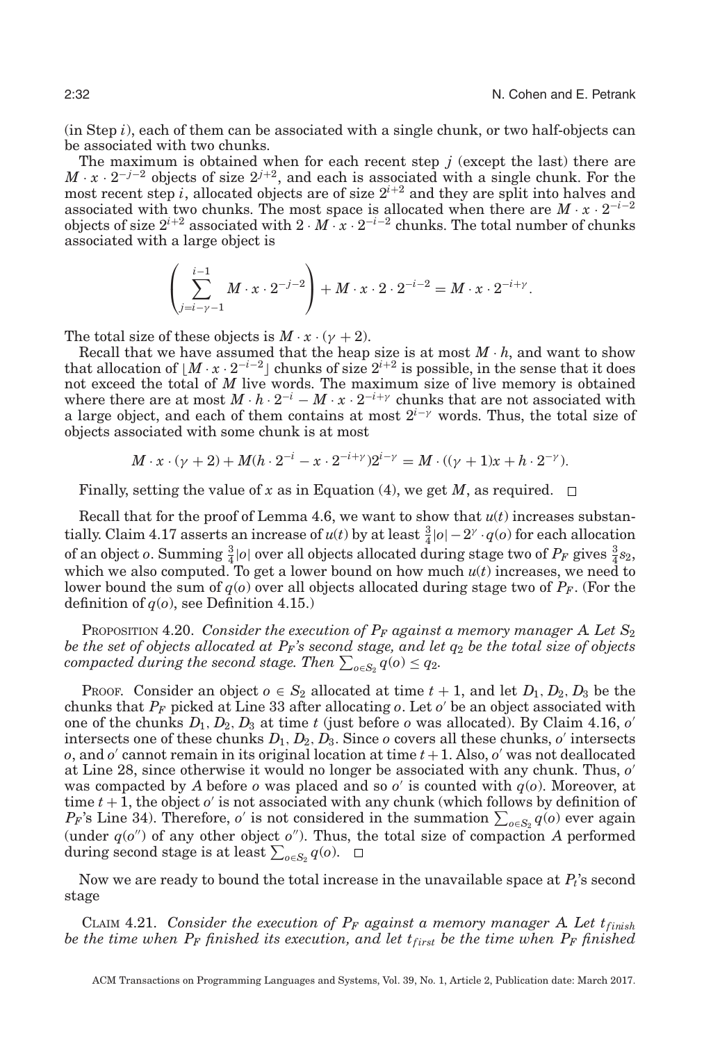$(in Step *i*), each of them can be associated with a single chunk, or two half-objects can$ be associated with two chunks.

The maximum is obtained when for each recent step *j* (except the last) there are *M* ·  $x \cdot 2^{-j-2}$  objects of size  $2^{j+2}$ , and each is associated with a single chunk. For the most recent step *i*, allocated objects are of size 2*i*+<sup>2</sup> and they are split into halves and associated with two chunks. The most space is allocated when there are  $M \cdot x \cdot 2^{-i-2}$ objects of size  $2^{i+2}$  associated with  $2 \cdot M \cdot x \cdot 2^{-i-2}$  chunks. The total number of chunks associated with a large object is

$$
\left(\sum_{j=i-\gamma-1}^{i-1} M \cdot x \cdot 2^{-j-2}\right) + M \cdot x \cdot 2 \cdot 2^{-i-2} = M \cdot x \cdot 2^{-i+\gamma}.
$$

The total size of these objects is  $M \cdot x \cdot (\gamma + 2)$ .

Recall that we have assumed that the heap size is at most  $M \cdot h$ , and want to show that allocation of  $[M \cdot x \cdot 2^{-i-2}]$  chunks of size  $2^{i+2}$  is possible, in the sense that it does not exceed the total of *M* live words. The maximum size of live memory is obtained where there are at most  $M \cdot h \cdot 2^{-i} - M \cdot x \cdot 2^{-i+\gamma}$  chunks that are not associated with a large object, and each of them contains at most  $2^{i-\gamma}$  words. Thus, the total size of objects associated with some chunk is at most

$$
M \cdot x \cdot (\gamma + 2) + M(h \cdot 2^{-i} - x \cdot 2^{-i+\gamma})2^{i-\gamma} = M \cdot ((\gamma + 1)x + h \cdot 2^{-\gamma}).
$$

Finally, setting the value of *x* as in Equation [\(4\)](#page-30-0), we get *M*, as required.  $\Box$ 

Recall that for the proof of Lemma [4.6,](#page-18-0) we want to show that  $u(t)$  increases substan-tially. Claim [4.17](#page-27-1) asserts an increase of  $u(t)$  by at least  $\frac{3}{4}|o|-2^{\gamma}\cdot q(o)$  for each allocation of an object *o*. Summing  $\frac{3}{4}$  |*o*| over all objects allocated during stage two of  $P_F$  gives  $\frac{3}{4}$  s<sub>2</sub>, which we also computed. To get a lower bound on how much  $u(t)$  increases, we need to lower bound the sum of  $q(o)$  over all objects allocated during stage two of  $P_F$ . (For the definition of  $q(0)$ , see Definition [4.15.](#page-26-0))

<span id="page-31-0"></span>PROPOSITION 4.20. *Consider the execution of PF against a memory manager A. Let S*<sup>2</sup> *be the set of objects allocated at PF's second stage, and let q*<sup>2</sup> *be the total size of objects*  $compacted$  during the second stage. Then  $\sum_{o \in S_2} q(o) \leq q_2$ .

PROOF. Consider an object  $o \in S_2$  allocated at time  $t + 1$ , and let  $D_1, D_2, D_3$  be the chunks that  $P_F$  picked at Line 33 after allocating  $o$ . Let  $o'$  be an object associated with one of the chunks *D*1, *D*2, *D*<sup>3</sup> at time *t* (just before *o* was allocated). By Claim [4.16,](#page-27-0) *o* intersects one of these chunks  $D_1, D_2, D_3$ . Since *o* covers all these chunks, *o'* intersects *o*, and *o* cannot remain in its original location at time *t*+1. Also, *o* was not deallocated at Line 28, since otherwise it would no longer be associated with any chunk. Thus, *o* was compacted by A before *o* was placed and so  $o'$  is counted with  $q(o)$ . Moreover, at time *t* + 1, the object *o* is not associated with any chunk (which follows by definition of *P<sub>F</sub>*'s Line 34). Therefore, *o'* is not considered in the summation  $\sum_{o \in S_2} q(o)$  ever again (under  $q(o'')$  of any other object  $o'')$ . Thus, the total size of compaction A performed during second stage is at least *<sup>o</sup>*∈*S*<sup>2</sup> *q*(*o*).

Now we are ready to bound the total increase in the unavailable space at  $P_t$ 's second stage

<span id="page-31-1"></span>CLAIM 4.21. *Consider the execution of*  $P_F$  *against a memory manager A. Let t<sub>finish</sub> be the time when P<sub>F</sub> finished its execution, and let t<sub>first</sub> be the time when P<sub>F</sub> finished*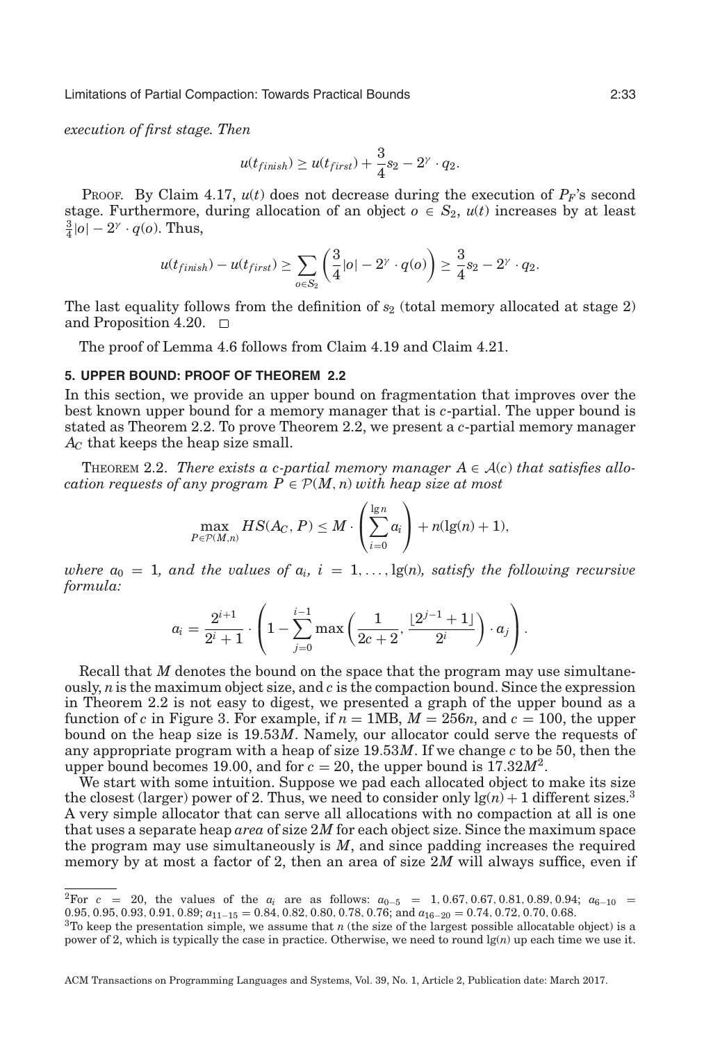*execution of first stage. Then*

$$
u(t_{finish}) \ge u(t_{first}) + \frac{3}{4}s_2 - 2^{\gamma} \cdot q_2.
$$

PROOF. By Claim [4.17,](#page-27-1)  $u(t)$  does not decrease during the execution of  $P_F$ 's second stage. Furthermore, during allocation of an object  $o \in S_2$ ,  $u(t)$  increases by at least  $\frac{3}{4}|o|-2^{\gamma}\cdot q(o)$ . Thus,

$$
u(t_{finish})-u(t_{first})\geq \sum_{o\in S_2}\left(\frac{3}{4}|o|-2^{\gamma}\cdot q(o)\right)\geq \frac{3}{4}s_2-2^{\gamma}\cdot q_2.
$$

The last equality follows from the definition of  $s_2$  (total memory allocated at stage 2) and Proposition [4.20.](#page-31-0)  $\Box$ 

The proof of Lemma [4.6](#page-18-0) follows from Claim [4.19](#page-30-1) and Claim [4.21.](#page-31-1)

## **5. UPPER BOUND: PROOF OF THEOREM 2.2**

In this section, we provide an upper bound on fragmentation that improves over the best known upper bound for a memory manager that is *c*-partial. The upper bound is stated as Theorem [2.2.](#page-6-1) To prove Theorem [2.2,](#page-6-1) we present a *c*-partial memory manager *AC* that keeps the heap size small.

**THEOREM 2.2.** *There exists a c-partial memory manager*  $A \in \mathcal{A}(c)$  *that satisfies allocation requests of any program*  $\overline{P} \in \mathcal{P}(M, n)$  *with heap size at most* 

<span id="page-32-0"></span>
$$
\max_{P \in \mathcal{P}(M,n)} HS(A_C, P) \leq M \cdot \left(\sum_{i=0}^{\lfloor \operatorname{lg} n \rfloor} a_i\right) + n(\operatorname{lg}(n) + 1),
$$

*where*  $a_0 = 1$ *, and the values of*  $a_i$ *, i* = 1, ..., lg(*n*)*, satisfy the following recursive formula:*

$$
a_i = \frac{2^{i+1}}{2^i+1} \cdot \left(1 - \sum_{j=0}^{i-1} \max\left(\frac{1}{2c+2}, \frac{\lfloor 2^{j-1}+1 \rfloor}{2^i}\right) \cdot a_j\right).
$$

Recall that *M* denotes the bound on the space that the program may use simultaneously, *n*is the maximum object size, and *c* is the compaction bound. Since the expression in Theorem [2.2](#page-6-1) is not easy to digest, we presented a graph of the upper bound as a function of *c* in Figure [3.](#page-6-0) For example, if  $n = 1MB$ ,  $M = 256n$ , and  $c = 100$ , the upper bound on the heap size is 19.53*M*. Namely, our allocator could serve the requests of any appropriate program with a heap of size 19.53*M*. If we change *c* to be 50, then the upper bound becomes 19.00, and for  $c = 20$ , the upper bound is 17.32 $M^2$ .

We start with some intuition. Suppose we pad each allocated object to make its size the closest (larger) power of 2. Thus, we need to consider only  $\lg(n) + 1$  different sizes.<sup>3</sup> A very simple allocator that can serve all allocations with no compaction at all is one that uses a separate heap *area* of size 2*M* for each object size. Since the maximum space the program may use simultaneously is *M*, and since padding increases the required memory by at most a factor of 2, then an area of size 2M will always suffice, even if

<span id="page-32-1"></span><sup>&</sup>lt;sup>2</sup>For *c* = 20, the values of the *a<sub>i</sub>* are as follows:  $a_{0-5}$  = 1, 0.67, 0.67, 0.81, 0.89, 0.94;  $a_{6-10}$  = 0.95, 0.95, 0.93, 0.91, 0.89;  $a_{11-15}$  = 0.84, 0.82, 0.80, 0.78, 0.76; and  $a_{16-20}$  = 0.74, 0.72, 0.70,

<span id="page-32-2"></span> ${}^{3}$ To keep the presentation simple, we assume that *n* (the size of the largest possible allocatable object) is a power of 2, which is typically the case in practice. Otherwise, we need to round lg(*n*) up each time we use it.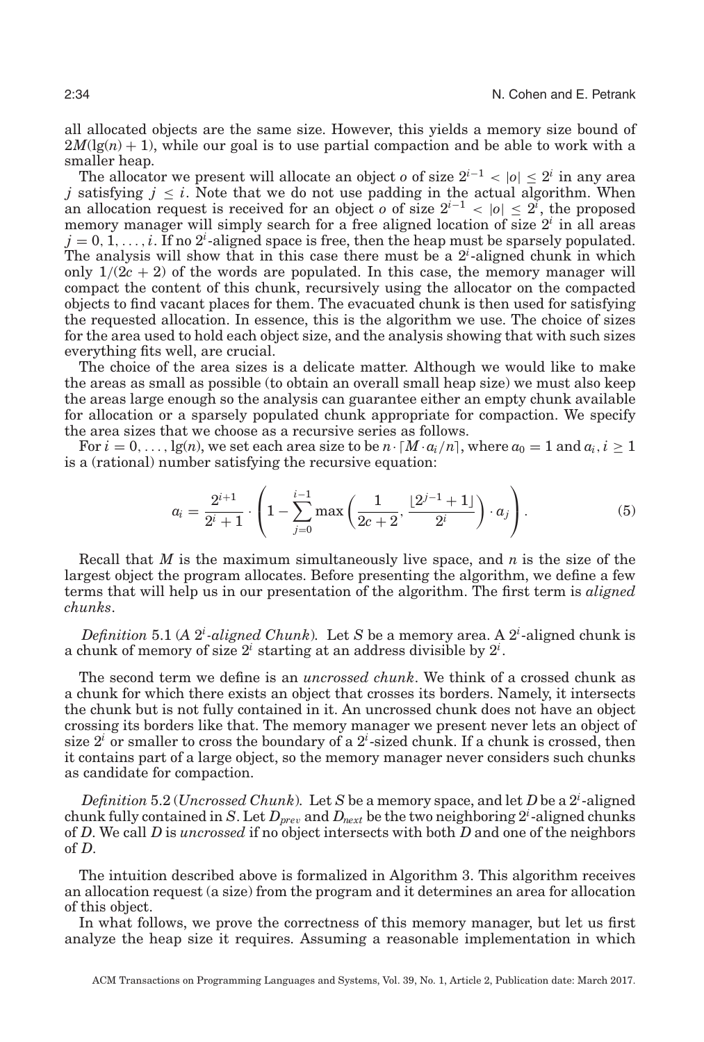all allocated objects are the same size. However, this yields a memory size bound of  $2M(\lg(n) + 1)$ , while our goal is to use partial compaction and be able to work with a smaller heap.

The allocator we present will allocate an object *o* of size  $2^{i-1}$  <  $|o| \leq 2^i$  in any area *j* satisfying  $j \leq i$ . Note that we do not use padding in the actual algorithm. When an allocation request is received for an object *o* of size  $2^{i-1}$  <  $|o| \le 2^i$ , the proposed memory manager will simply search for a free aligned location of size 2*<sup>i</sup>* in all areas  $j = 0, 1, \ldots, i$ . If no  $2^i$ -aligned space is free, then the heap must be sparsely populated. The analysis will show that in this case there must be a  $2^i$ -aligned chunk in which only  $1/(2c + 2)$  of the words are populated. In this case, the memory manager will compact the content of this chunk, recursively using the allocator on the compacted objects to find vacant places for them. The evacuated chunk is then used for satisfying the requested allocation. In essence, this is the algorithm we use. The choice of sizes for the area used to hold each object size, and the analysis showing that with such sizes everything fits well, are crucial.

The choice of the area sizes is a delicate matter. Although we would like to make the areas as small as possible (to obtain an overall small heap size) we must also keep the areas large enough so the analysis can guarantee either an empty chunk available for allocation or a sparsely populated chunk appropriate for compaction. We specify the area sizes that we choose as a recursive series as follows.

For  $i = 0, \ldots, \lg(n)$ , we set each area size to be  $n \cdot [M \cdot a_i/n]$ , where  $a_0 = 1$  and  $a_i, i \ge 1$ is a (rational) number satisfying the recursive equation:

$$
a_i = \frac{2^{i+1}}{2^i+1} \cdot \left(1 - \sum_{j=0}^{i-1} \max\left(\frac{1}{2c+2}, \frac{\lfloor 2^{j-1}+1 \rfloor}{2^i}\right) \cdot a_j\right). \tag{5}
$$

Recall that *M* is the maximum simultaneously live space, and *n* is the size of the largest object the program allocates. Before presenting the algorithm, we define a few terms that will help us in our presentation of the algorithm. The first term is *aligned chunks*.

*Definition* 5.1 (A  $2^i$ -*aligned Chunk*). Let *S* be a memory area. A  $2^i$ -aligned chunk is a chunk of memory of size 2*<sup>i</sup>* starting at an address divisible by 2*<sup>i</sup>* .

The second term we define is an *uncrossed chunk*. We think of a crossed chunk as a chunk for which there exists an object that crosses its borders. Namely, it intersects the chunk but is not fully contained in it. An uncrossed chunk does not have an object crossing its borders like that. The memory manager we present never lets an object of size  $2^i$  or smaller to cross the boundary of a  $2^i$ -sized chunk. If a chunk is crossed, then it contains part of a large object, so the memory manager never considers such chunks as candidate for compaction.

*Definition* 5.2 (*Uncrossed Chunk*)*.* Let *S* be a memory space, and let *D* be a 2*<sup>i</sup>* -aligned chunk fully contained in *S*. Let  $D_{prev}$  and  $D_{next}$  be the two neighboring  $2^i$ -aligned chunks of *D*. We call *D* is *uncrossed* if no object intersects with both *D* and one of the neighbors of *D*.

The intuition described above is formalized in Algorithm 3. This algorithm receives an allocation request (a size) from the program and it determines an area for allocation of this object.

In what follows, we prove the correctness of this memory manager, but let us first analyze the heap size it requires. Assuming a reasonable implementation in which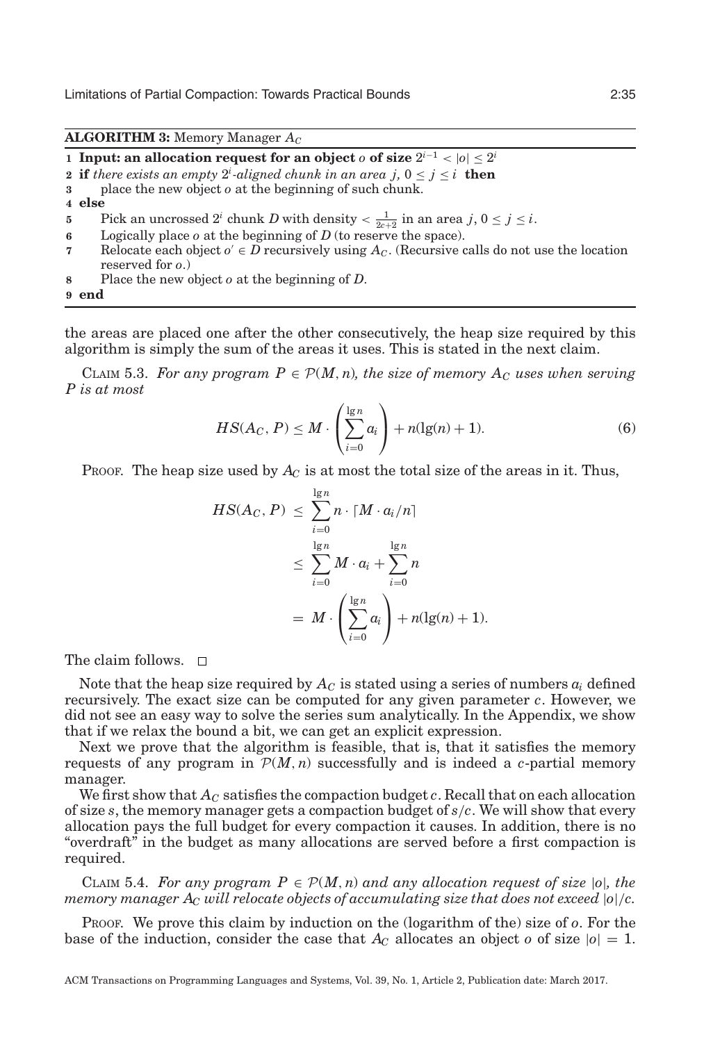| $\mathbf{ALGORITHM}$ 3: Memory Manager $A_C$ |  |  |  |  |
|----------------------------------------------|--|--|--|--|
|----------------------------------------------|--|--|--|--|

|             | 1 Input: an allocation request for an object $o$ of size $2^{i-1} <  o  \leq 2^i$                                         |
|-------------|---------------------------------------------------------------------------------------------------------------------------|
|             | 2 if there exists an empty $2^{i}$ -aligned chunk in an area j, $0 \leq j \leq i$ then                                    |
| $3^{\circ}$ | place the new object o at the beginning of such chunk.                                                                    |
|             | 4 else                                                                                                                    |
| 5           | Pick an uncrossed $2^i$ chunk D with density $\lt \frac{1}{2c+2}$ in an area $j, 0 \le j \le i$ .                         |
| 6           | Logically place $o$ at the beginning of $D$ (to reserve the space).                                                       |
| $7^{\circ}$ | Relocate each object $o' \in D$ recursively using $A_C$ . (Recursive calls do not use the location<br>reserved for $o$ .) |
| 8           | Place the new object $o$ at the beginning of $D$ .                                                                        |
|             | 9 end                                                                                                                     |

the areas are placed one after the other consecutively, the heap size required by this algorithm is simply the sum of the areas it uses. This is stated in the next claim.

<span id="page-34-0"></span>CLAIM 5.3. For any program  $P \in \mathcal{P}(M, n)$ , the size of memory  $A_C$  uses when serving *P is at most*

$$
HS(A_C, P) \le M \cdot \left(\sum_{i=0}^{\lfloor \lg n \rfloor} a_i\right) + n(\lg(n) + 1). \tag{6}
$$

PROOF. The heap size used by  $A<sub>C</sub>$  is at most the total size of the areas in it. Thus,

$$
HS(A_C, P) \leq \sum_{i=0}^{\lg n} n \cdot \lceil M \cdot a_i/n \rceil
$$
  

$$
\leq \sum_{i=0}^{\lg n} M \cdot a_i + \sum_{i=0}^{\lg n} n
$$
  

$$
= M \cdot \left(\sum_{i=0}^{\lg n} a_i\right) + n(\lg(n) + 1).
$$

The claim follows.  $\Box$ 

Note that the heap size required by  $A_C$  is stated using a series of numbers  $a_i$  defined recursively. The exact size can be computed for any given parameter *c*. However, we did not see an easy way to solve the series sum analytically. In the Appendix, we show that if we relax the bound a bit, we can get an explicit expression.

Next we prove that the algorithm is feasible, that is, that it satisfies the memory requests of any program in  $\mathcal{P}(M, n)$  successfully and is indeed a *c*-partial memory manager.

We first show that  $A_C$  satisfies the compaction budget *c*. Recall that on each allocation of size *s*, the memory manager gets a compaction budget of *s*/*c*. We will show that every allocation pays the full budget for every compaction it causes. In addition, there is no "overdraft" in the budget as many allocations are served before a first compaction is required.

CLAIM 5.4. *For any program*  $P \in \mathcal{P}(M, n)$  *and any allocation request of size*  $|o|$ *, the memory manager AC will relocate objects of accumulating size that does not exceed* |*o*|/*c.*

PROOF. We prove this claim by induction on the (logarithm of the) size of *o*. For the base of the induction, consider the case that  $A_C$  allocates an object *o* of size  $|o| = 1$ .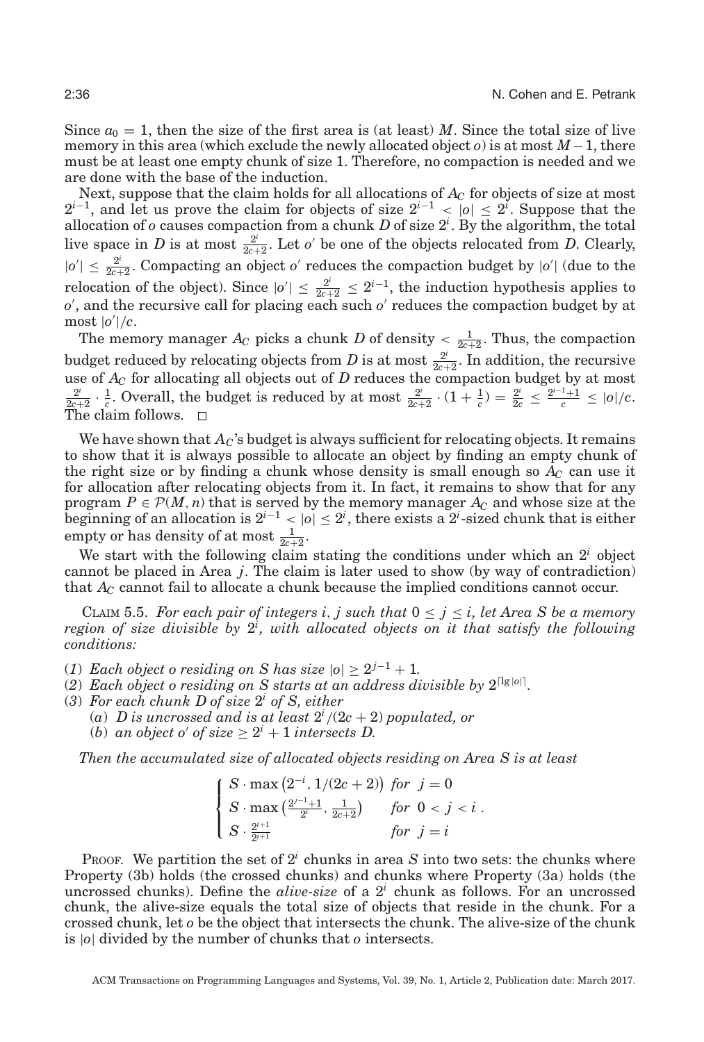Since  $a_0 = 1$ , then the size of the first area is (at least) *M*. Since the total size of live memory in this area (which exclude the newly allocated object *o*) is at most *M*−1, there must be at least one empty chunk of size 1. Therefore, no compaction is needed and we are done with the base of the induction.

Next, suppose that the claim holds for all allocations of  $A_C$  for objects of size at most  $2^{i-1}$ , and let us prove the claim for objects of size  $2^{i-1}$  <  $|o| \leq 2^{i}$ . Suppose that the allocation of *o* causes compaction from a chunk *D* of size 2*<sup>i</sup>* . By the algorithm, the total live space in *D* is at most  $\frac{2^i}{2c+2}$ . Let *o'* be one of the objects relocated from *D*. Clearly,  $|o'| \leq \frac{2^i}{2c+2}$ . Compacting an object *o'* reduces the compaction budget by  $|o'|$  (due to the relocation of the object). Since  $|o'| \leq \frac{2^i}{2c+2} \leq 2^{i-1}$ , the induction hypothesis applies to  $o'$ , and the recursive call for placing each such  $o'$  reduces the compaction budget by at  $\frac{1}{\sqrt{c}}$ .

The memory manager  $A_C$  picks a chunk  $D$  of density  $\langle \frac{1}{2c+2} \rangle$ . Thus, the compaction budget reduced by relocating objects from  $D$  is at most  $\frac{2^i}{2c+2}$ . In addition, the recursive use of  $A_C$  for allocating all objects out of *D* reduces the compaction budget by at most  $\frac{2^{i}}{2c+2}$  ⋅  $\frac{1}{c}$ . Overall, the budget is reduced by at most  $\frac{2^{i}}{2c+2}$  ⋅  $(1+\frac{1}{c}) = \frac{2^{i}}{2c} \leq \frac{2^{i-1}+1}{c} \leq |o|/c$ . The claim follows.  $\square$ 

We have shown that  $A_C$ 's budget is always sufficient for relocating objects. It remains to show that it is always possible to allocate an object by finding an empty chunk of the right size or by finding a chunk whose density is small enough so  $A_C$  can use it for allocation after relocating objects from it. In fact, it remains to show that for any program  $P \in \mathcal{P}(M, n)$  that is served by the memory manager  $A_C$  and whose size at the  $\frac{1}{2}$  beginning of an allocation is  $2^{i-1}$  < |*o*| ≤  $2^i$ , there exists a  $2^i$ -sized chunk that is either empty or has density of at most  $\frac{1}{2c+2}$ .

We start with the following claim stating the conditions under which an  $2<sup>i</sup>$  object cannot be placed in Area *j*. The claim is later used to show (by way of contradiction) that *AC* cannot fail to allocate a chunk because the implied conditions cannot occur.

<span id="page-35-0"></span>CLAIM 5.5. For each pair of integers i, *j* such that  $0 \leq j \leq i$ , let Area S be a memory *region of size divisible by* 2*<sup>i</sup> , with allocated objects on it that satisfy the following conditions:*

- (1) *Each object o residing on S has size*  $|o| \geq 2^{j-1} + 1$ *.*
- (2) Each object o residing on S starts at an address divisible by  $2^{\lceil \lg | 0 \rceil}$ .
- (*3*) *For each chunk D of size* 2*<sup>i</sup> of S, either*
	- (*a*) *D* is uncrossed and is at least  $2^{i}/(2c + 2)$  populated, or
	- (*b*) *an object o' of size*  $\geq 2^i + 1$  *intersects D*.

*Then the accumulated size of allocated objects residing on Area S is at least*

$$
\begin{cases}\nS \cdot \max\left(2^{-i}, 1/(2c+2)\right) & \text{for } j = 0 \\
S \cdot \max\left(\frac{2^{j-1}+1}{2^i}, \frac{1}{2c+2}\right) & \text{for } 0 < j < i \\
S \cdot \frac{2^{i+1}}{2^{i+1}} & \text{for } j = i\n\end{cases}.
$$

Proof. We partition the set of  $2<sup>i</sup>$  chunks in area *S* into two sets: the chunks where Property (3b) holds (the crossed chunks) and chunks where Property (3a) holds (the uncrossed chunks). Define the *alive-size* of a  $2<sup>i</sup>$  chunk as follows. For an uncrossed chunk, the alive-size equals the total size of objects that reside in the chunk. For a crossed chunk, let *o* be the object that intersects the chunk. The alive-size of the chunk is |*o*| divided by the number of chunks that *o* intersects.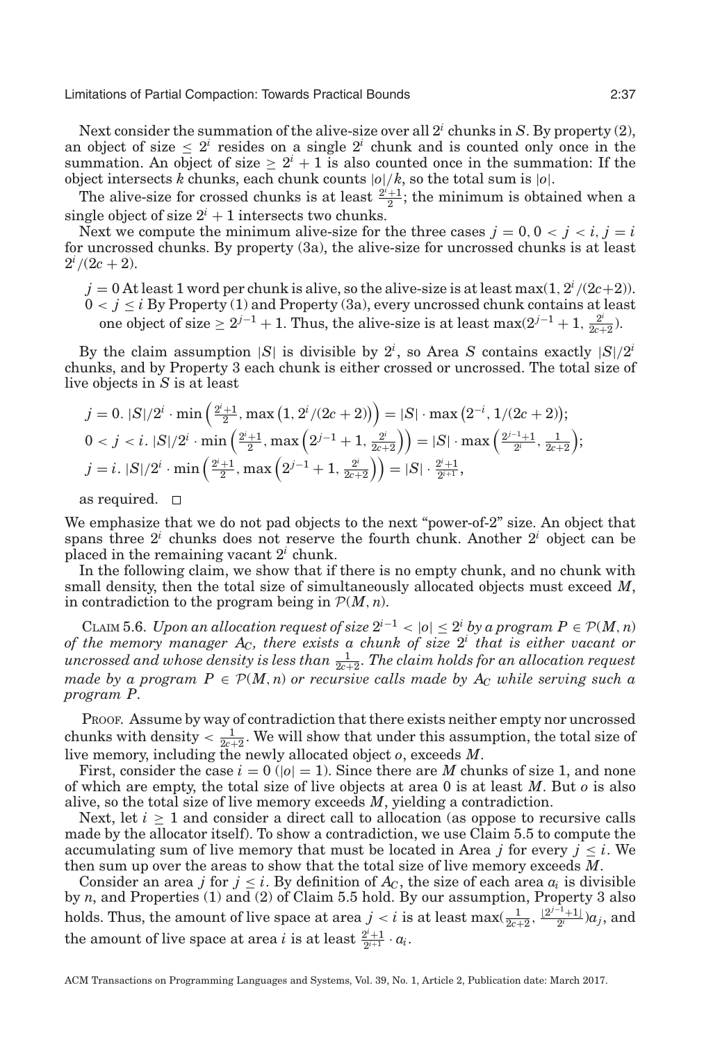Next consider the summation of the alive-size over all 2*<sup>i</sup>* chunks in *S*. By property (2), an object of size  $\leq 2^i$  resides on a single  $2^i$  chunk and is counted only once in the summation. An object of size  $\geq 2^i + 1$  is also counted once in the summation: If the object intersects *k* chunks, each chunk counts |*o*|/*k*, so the total sum is |*o*|.

The alive-size for crossed chunks is at least  $\frac{2^i+1}{2}$ ; the minimum is obtained when a single object of size  $2^i + 1$  intersects two chunks.

Next we compute the minimum alive-size for the three cases  $j = 0, 0 < j < i$ ,  $j = i$ for uncrossed chunks. By property (3a), the alive-size for uncrossed chunks is at least  $2^{i}/(2c+2)$ .

 $j = 0$  At least 1 word per chunk is alive, so the alive-size is at least max $(1, 2^{i}/(2c+2))$ .  $0 < j \leq i$  By Property (1) and Property (3a), every uncrossed chunk contains at least one object of size ≥  $2^{j-1} + 1$ . Thus, the alive-size is at least max $(2^{j-1} + 1, \frac{2^i}{2c+2})$ .

By the claim assumption  $|S|$  is divisible by  $2^i$ , so Area *S* contains exactly  $|S|/2^i$ chunks, and by Property 3 each chunk is either crossed or uncrossed. The total size of live objects in *S* is at least

$$
j = 0. \ |S|/2^{i} \cdot \min\left(\frac{2^{i}+1}{2}, \max(1, 2^{i}/(2c+2))\right) = |S| \cdot \max(2^{-i}, 1/(2c+2));
$$
  
\n
$$
0 < j < i. \ |S|/2^{i} \cdot \min\left(\frac{2^{i}+1}{2}, \max\left(2^{j-1}+1, \frac{2^{i}}{2c+2}\right)\right) = |S| \cdot \max\left(\frac{2^{j-1}+1}{2^{i}}, \frac{1}{2c+2}\right);
$$
  
\n
$$
j = i. \ |S|/2^{i} \cdot \min\left(\frac{2^{i}+1}{2}, \max\left(2^{j-1}+1, \frac{2^{i}}{2c+2}\right)\right) = |S| \cdot \frac{2^{i}+1}{2^{i+1}},
$$

as required.  $\square$ 

We emphasize that we do not pad objects to the next "power-of-2" size. An object that spans three  $2^i$  chunks does not reserve the fourth chunk. Another  $2^i$  object can be placed in the remaining vacant 2*<sup>i</sup>* chunk.

In the following claim, we show that if there is no empty chunk, and no chunk with small density, then the total size of simultaneously allocated objects must exceed *M*, in contradiction to the program being in  $P(M, n)$ .

<span id="page-36-0"></span>CLAIM 5.6. *Upon an allocation request of size*  $2^{i-1} < |o| \leq 2^i$  *by a program*  $P \in \mathcal{P}(M, n)$ *of the memory manager AC, there exists a chunk of size* 2*<sup>i</sup> that is either vacant or* uncrossed and whose density is less than  $\frac{1}{2c+2}$ . The claim holds for an allocation request *made by a program*  $P \in \mathcal{P}(M, n)$  *or recursive calls made by A<sub>C</sub> while serving such a program P.*

PROOF. Assume by way of contradiction that there exists neither empty nor uncrossed chunks with density  $<\frac{1}{2c+2}$ . We will show that under this assumption, the total size of live memory, including the newly allocated object *o*, exceeds *M*.

First, consider the case  $i = 0$  ( $|o| = 1$ ). Since there are *M* chunks of size 1, and none of which are empty, the total size of live objects at area 0 is at least *M*. But *o* is also alive, so the total size of live memory exceeds *M*, yielding a contradiction.

Next, let  $i \geq 1$  and consider a direct call to allocation (as oppose to recursive calls made by the allocator itself). To show a contradiction, we use Claim [5.5](#page-35-0) to compute the accumulating sum of live memory that must be located in Area *j* for every  $j \leq i$ . We then sum up over the areas to show that the total size of live memory exceeds *M*.

Consider an area *j* for  $j \leq i$ . By definition of  $A_C$ , the size of each area  $a_i$  is divisible by *n*, and Properties (1) and (2) of Claim [5.5](#page-35-0) hold. By our assumption, Property 3 also holds. Thus, the amount of live space at area  $j < i$  is at least max $(\frac{1}{2c+2}, \frac{[2^{j-1}+1]}{2^i})a_j$ , and the amount of live space at area *i* is at least  $\frac{2^i+1}{2^{i+1}} \cdot a_i$ .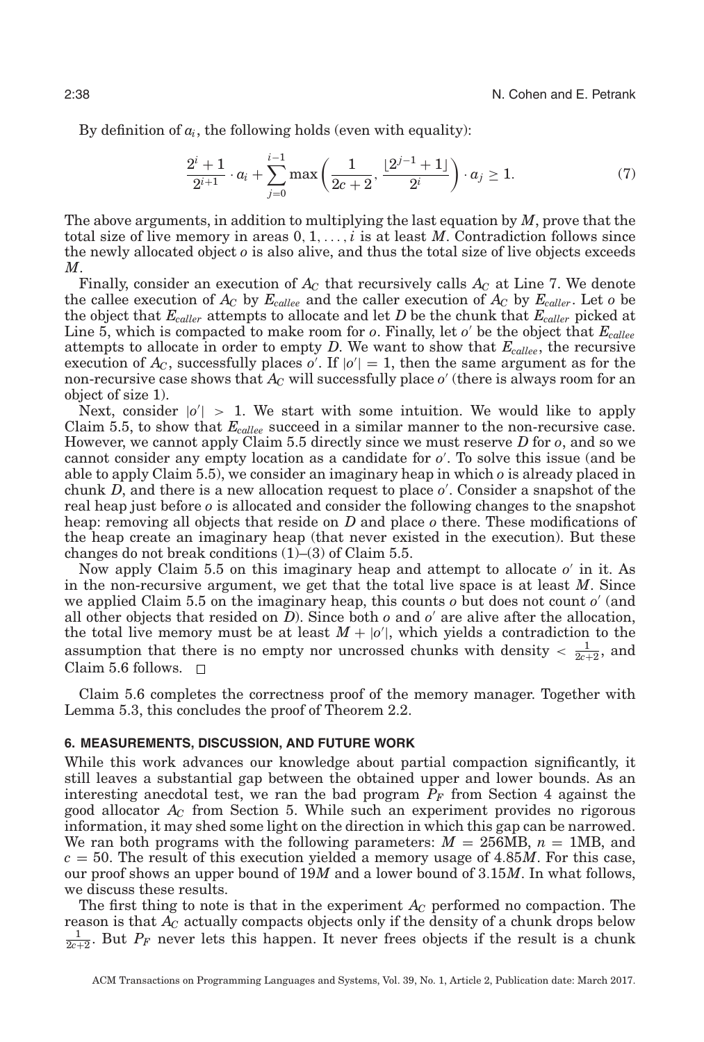By definition of  $a_i$ , the following holds (even with equality):

<span id="page-37-0"></span>
$$
\frac{2^{i}+1}{2^{i+1}} \cdot a_i + \sum_{j=0}^{i-1} \max\left(\frac{1}{2c+2}, \frac{\lfloor 2^{j-1}+1 \rfloor}{2^i}\right) \cdot a_j \ge 1. \tag{7}
$$

The above arguments, in addition to multiplying the last equation by *M*, prove that the total size of live memory in areas 0, 1,...,*i* is at least *M*. Contradiction follows since the newly allocated object *o* is also alive, and thus the total size of live objects exceeds *M*.

Finally, consider an execution of *AC* that recursively calls *AC* at Line 7. We denote the callee execution of  $A_C$  by  $E_{\text{callee}}$  and the caller execution of  $A_C$  by  $E_{\text{calier}}$ . Let *o* be the object that *Ecaller* attempts to allocate and let *D* be the chunk that *Ecaller* picked at Line 5, which is compacted to make room for *o*. Finally, let *o'* be the object that  $E_{\text{callee}}$ attempts to allocate in order to empty *D*. We want to show that *Ecallee*, the recursive execution of  $A_C$ , successfully places  $o'$ . If  $|o'| = 1$ , then the same argument as for the non-recursive case shows that *AC* will successfully place *o* (there is always room for an object of size 1).

Next, consider  $|o'| > 1$ . We start with some intuition. We would like to apply Claim [5.5,](#page-35-0) to show that *Ecallee* succeed in a similar manner to the non-recursive case. However, we cannot apply Claim [5.5](#page-35-0) directly since we must reserve *D* for *o*, and so we cannot consider any empty location as a candidate for *o* . To solve this issue (and be able to apply Claim [5.5\)](#page-35-0), we consider an imaginary heap in which *o* is already placed in chunk *D*, and there is a new allocation request to place *o* . Consider a snapshot of the real heap just before *o* is allocated and consider the following changes to the snapshot heap: removing all objects that reside on *D* and place *o* there. These modifications of the heap create an imaginary heap (that never existed in the execution). But these changes do not break conditions (1)–(3) of Claim [5.5.](#page-35-0)

Now apply Claim [5.5](#page-35-0) on this imaginary heap and attempt to allocate *o* in it. As in the non-recursive argument, we get that the total live space is at least *M*. Since we applied Claim [5.5](#page-35-0) on the imaginary heap, this counts *o* but does not count *o* (and all other objects that resided on  $D$ ). Since both  $o$  and  $o'$  are alive after the allocation, the total live memory must be at least  $M + |o'|$ , which yields a contradiction to the assumption that there is no empty nor uncrossed chunks with density  $\langle \frac{1}{2c+2}, \text{ and} \rangle$ Claim [5.6](#page-36-0) follows.  $\Box$ 

Claim [5.6](#page-36-0) completes the correctness proof of the memory manager. Together with Lemma [5.3,](#page-34-0) this concludes the proof of Theorem [2.2.](#page-6-1)

#### **6. MEASUREMENTS, DISCUSSION, AND FUTURE WORK**

While this work advances our knowledge about partial compaction significantly, it still leaves a substantial gap between the obtained upper and lower bounds. As an interesting anecdotal test, we ran the bad program  $P_F$  from Section [4](#page-9-0) against the good allocator *AC* from Section [5.](#page-32-0) While such an experiment provides no rigorous information, it may shed some light on the direction in which this gap can be narrowed. We ran both programs with the following parameters:  $M = 256MB$ ,  $n = 1MB$ , and  $c = 50$ . The result of this execution yielded a memory usage of 4.85*M*. For this case, our proof shows an upper bound of 19*M* and a lower bound of 3.15*M*. In what follows, we discuss these results.

The first thing to note is that in the experiment *AC* performed no compaction. The reason is that *AC* actually compacts objects only if the density of a chunk drops below  $\frac{1}{2c+2}$ . But  $P_F$  never lets this happen. It never frees objects if the result is a chunk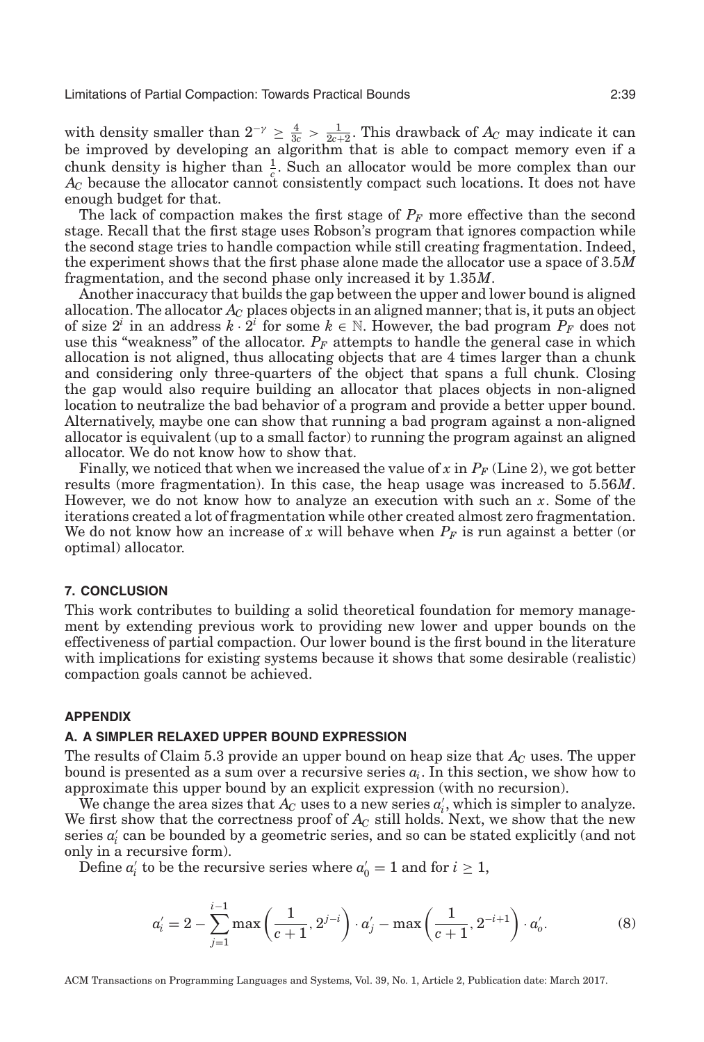with density smaller than  $2^{-\gamma} \ge \frac{4}{3c} > \frac{1}{2c+2}$ . This drawback of  $A_C$  may indicate it can be improved by developing an algorithm that is able to compact memory even if a chunk density is higher than  $\frac{1}{c}$ . Such an allocator would be more complex than our *AC* because the allocator cannot consistently compact such locations. It does not have enough budget for that.

The lack of compaction makes the first stage of  $P_F$  more effective than the second stage. Recall that the first stage uses Robson's program that ignores compaction while the second stage tries to handle compaction while still creating fragmentation. Indeed, the experiment shows that the first phase alone made the allocator use a space of 3.5*M* fragmentation, and the second phase only increased it by 1.35*M*.

Another inaccuracy that builds the gap between the upper and lower bound is aligned allocation. The allocator *AC* places objects in an aligned manner; that is, it puts an object of size  $2^i$  in an address  $k \cdot 2^i$  for some  $k \in \mathbb{N}$ . However, the bad program  $P_F$  does not use this "weakness" of the allocator.  $P_F$  attempts to handle the general case in which allocation is not aligned, thus allocating objects that are 4 times larger than a chunk and considering only three-quarters of the object that spans a full chunk. Closing the gap would also require building an allocator that places objects in non-aligned location to neutralize the bad behavior of a program and provide a better upper bound. Alternatively, maybe one can show that running a bad program against a non-aligned allocator is equivalent (up to a small factor) to running the program against an aligned allocator. We do not know how to show that.

Finally, we noticed that when we increased the value of  $x$  in  $P_F$  (Line 2), we got better results (more fragmentation). In this case, the heap usage was increased to 5.56*M*. However, we do not know how to analyze an execution with such an *x*. Some of the iterations created a lot of fragmentation while other created almost zero fragmentation. We do not know how an increase of  $x$  will behave when  $P_F$  is run against a better (or optimal) allocator.

#### **7. CONCLUSION**

<span id="page-38-0"></span>This work contributes to building a solid theoretical foundation for memory management by extending previous work to providing new lower and upper bounds on the effectiveness of partial compaction. Our lower bound is the first bound in the literature with implications for existing systems because it shows that some desirable (realistic) compaction goals cannot be achieved.

## **APPENDIX**

## **A. A SIMPLER RELAXED UPPER BOUND EXPRESSION**

The results of Claim [5.3](#page-34-0) provide an upper bound on heap size that  $A_C$  uses. The upper bound is presented as a sum over a recursive series  $a_i$ . In this section, we show how to approximate this upper bound by an explicit expression (with no recursion).

We change the area sizes that  $A_C$  uses to a new series  $a'_i$ , which is simpler to analyze. We first show that the correctness proof of  $A_C$  still holds. Next, we show that the new series  $a_i'$  can be bounded by a geometric series, and so can be stated explicitly (and not only in a recursive form).

Define  $a'_i$  to be the recursive series where  $a'_0 = 1$  and for  $i \ge 1$ ,

<span id="page-38-1"></span>
$$
a'_{i} = 2 - \sum_{j=1}^{i-1} \max\left(\frac{1}{c+1}, 2^{j-i}\right) \cdot a'_{j} - \max\left(\frac{1}{c+1}, 2^{-i+1}\right) \cdot a'_{o}.
$$
 (8)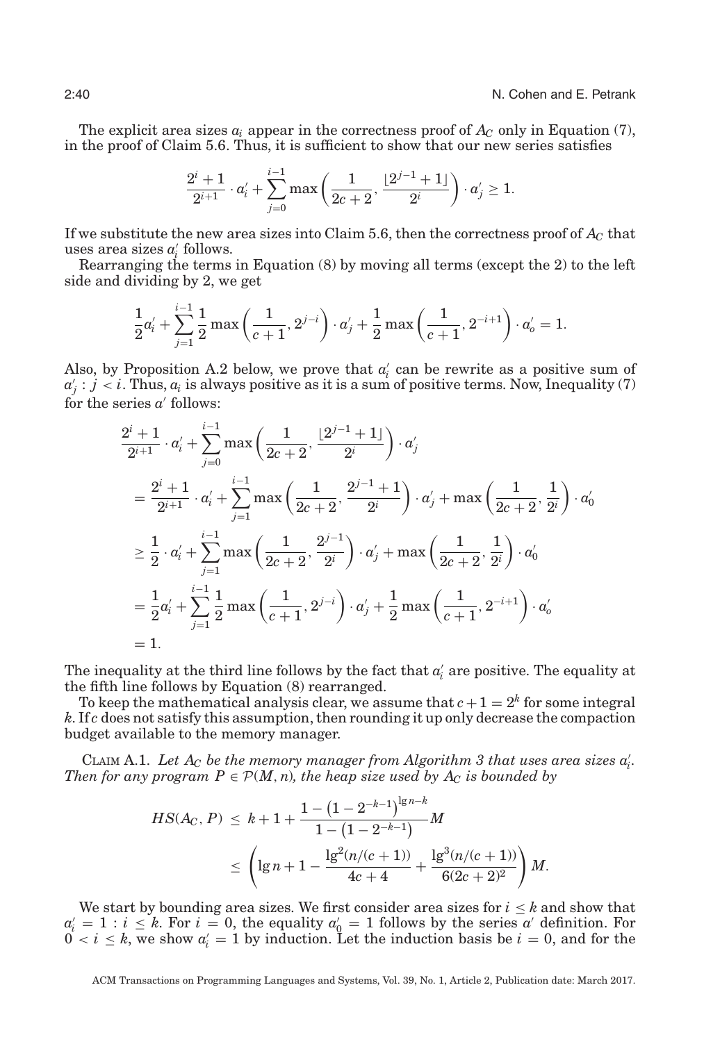2:40 N. Cohen and E. Petrank

The explicit area sizes  $a_i$  appear in the correctness proof of  $A_C$  only in Equation [\(7\)](#page-37-0), in the proof of Claim [5.6.](#page-36-0) Thus, it is sufficient to show that our new series satisfies

$$
\frac{2^i+1}{2^{i+1}} \cdot a'_i + \sum_{j=0}^{i-1} \max \left( \frac{1}{2c+2}, \frac{\lfloor 2^{j-1}+1 \rfloor}{2^i} \right) \cdot a'_j \geq 1.
$$

If we substitute the new area sizes into Claim [5.6,](#page-36-0) then the correctness proof of  $A_C$  that uses area sizes  $a_i$  follows.

Rearranging the terms in Equation [\(8\)](#page-38-1) by moving all terms (except the 2) to the left side and dividing by 2, we get

$$
\frac{1}{2}a'_i + \sum_{j=1}^{i-1} \frac{1}{2} \max \left( \frac{1}{c+1}, 2^{j-i} \right) \cdot a'_j + \frac{1}{2} \max \left( \frac{1}{c+1}, 2^{-i+1} \right) \cdot a'_o = 1.
$$

Also, by Proposition [A.2](#page-40-0) below, we prove that  $a_i$  can be rewrite as a positive sum of  $a'_j : j < i$ . Thus,  $a_i$  is always positive as it is a sum of positive terms. Now, Inequality [\(7\)](#page-37-0) for the series  $a'$  follows:

$$
\frac{2^{i} + 1}{2^{i+1}} \cdot a'_{i} + \sum_{j=0}^{i-1} \max \left( \frac{1}{2c+2}, \frac{\lfloor 2^{j-1} + 1 \rfloor}{2^{i}} \right) \cdot a'_{j}
$$
\n
$$
= \frac{2^{i} + 1}{2^{i+1}} \cdot a'_{i} + \sum_{j=1}^{i-1} \max \left( \frac{1}{2c+2}, \frac{2^{j-1} + 1}{2^{i}} \right) \cdot a'_{j} + \max \left( \frac{1}{2c+2}, \frac{1}{2^{i}} \right) \cdot a'_{0}
$$
\n
$$
\geq \frac{1}{2} \cdot a'_{i} + \sum_{j=1}^{i-1} \max \left( \frac{1}{2c+2}, \frac{2^{j-1}}{2^{i}} \right) \cdot a'_{j} + \max \left( \frac{1}{2c+2}, \frac{1}{2^{i}} \right) \cdot a'_{0}
$$
\n
$$
= \frac{1}{2} a'_{i} + \sum_{j=1}^{i-1} \frac{1}{2} \max \left( \frac{1}{c+1}, 2^{j-i} \right) \cdot a'_{j} + \frac{1}{2} \max \left( \frac{1}{c+1}, 2^{-i+1} \right) \cdot a'_{0}
$$
\n
$$
= 1.
$$

The inequality at the third line follows by the fact that  $a_i'$  are positive. The equality at the fifth line follows by Equation [\(8\)](#page-38-1) rearranged.

To keep the mathematical analysis clear, we assume that  $c+1 = 2<sup>k</sup>$  for some integral *k*. If *c* does not satisfy this assumption, then rounding it up only decrease the compaction budget available to the memory manager.

<span id="page-39-0"></span>CLAIM A.1. Let  $A_C$  be the memory manager from Algorithm 3 that uses area sizes  $a'_i$ . *Then for any program*  $P \in \mathcal{P}(M, n)$ *, the heap size used by A<sub>C</sub> is bounded by* 

$$
HS(A_C, P) \leq k + 1 + \frac{1 - (1 - 2^{-k-1})^{\lg n - k}}{1 - (1 - 2^{-k-1})} M
$$
  

$$
\leq \left(\lg n + 1 - \frac{\lg^2(n/(c+1))}{4c + 4} + \frac{\lg^3(n/(c+1))}{6(2c + 2)^2}\right) M.
$$

We start by bounding area sizes. We first consider area sizes for  $i \leq k$  and show that  $a'_i = 1 : i \leq k$ . For  $i = 0$ , the equality  $a'_0 = 1$  follows by the series *a*' definition. For  $0 < i \leq k$ , we show  $a'_i = 1$  by induction. Let the induction basis be  $i = 0$ , and for the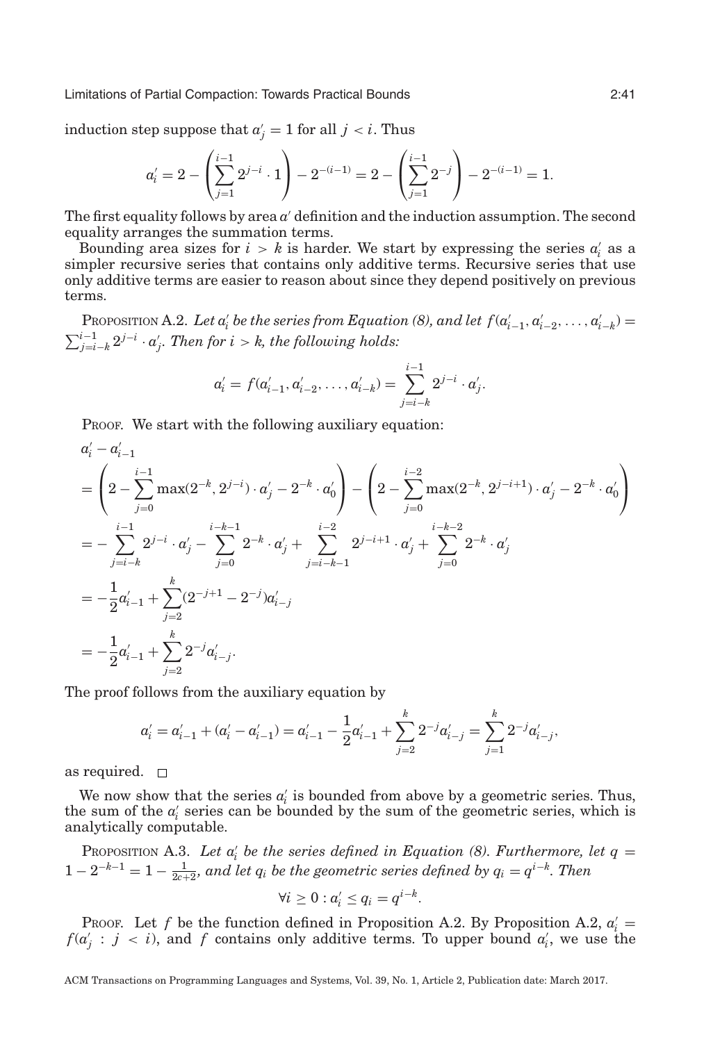$\text{induction step suppose that } a'_{j} = 1 \text{ for all } j < i. \text{ Thus}$ 

$$
a'_{i} = 2 - \left(\sum_{j=1}^{i-1} 2^{j-i} \cdot 1\right) - 2^{-(i-1)} = 2 - \left(\sum_{j=1}^{i-1} 2^{-j}\right) - 2^{-(i-1)} = 1.
$$

The first equality follows by area  $a'$  definition and the induction assumption. The second equality arranges the summation terms.

Bounding area sizes for  $i > k$  is harder. We start by expressing the series  $a_i$  as a simpler recursive series that contains only additive terms. Recursive series that use only additive terms are easier to reason about since they depend positively on previous terms.

<span id="page-40-0"></span>PROPOSITION A.2. Let  $a'_i$  be the series from Equation [\(8\)](#page-38-1), and let  $f(a'_{i-1}, a'_{i-2}, \ldots, a'_{i-k}) =$  $\sum_{j=i-k}^{i-1} 2^{j-i} \cdot a'_{j}$ *. Then for i > k, the following holds:* 

$$
a'_{i} = f(a'_{i-1}, a'_{i-2}, \ldots, a'_{i-k}) = \sum_{j=i-k}^{i-1} 2^{j-i} \cdot a'_{j}.
$$

PROOF. We start with the following auxiliary equation:

$$
a'_{i} - a'_{i-1}
$$
\n
$$
= \left(2 - \sum_{j=0}^{i-1} \max(2^{-k}, 2^{j-i}) \cdot a'_{j} - 2^{-k} \cdot a'_{0}\right) - \left(2 - \sum_{j=0}^{i-2} \max(2^{-k}, 2^{j-i+1}) \cdot a'_{j} - 2^{-k} \cdot a'_{0}\right)
$$
\n
$$
= - \sum_{j=i-k}^{i-1} 2^{j-i} \cdot a'_{j} - \sum_{j=0}^{i-k-1} 2^{-k} \cdot a'_{j} + \sum_{j=i-k-1}^{i-2} 2^{j-i+1} \cdot a'_{j} + \sum_{j=0}^{i-k-2} 2^{-k} \cdot a'_{j}
$$
\n
$$
= -\frac{1}{2}a'_{i-1} + \sum_{j=2}^{k} (2^{-j+1} - 2^{-j})a'_{i-j}
$$
\n
$$
= -\frac{1}{2}a'_{i-1} + \sum_{j=2}^{k} 2^{-j}a'_{i-j}.
$$

The proof follows from the auxiliary equation by

$$
a'_{i} = a'_{i-1} + (a'_{i} - a'_{i-1}) = a'_{i-1} - \frac{1}{2}a'_{i-1} + \sum_{j=2}^{k} 2^{-j}a'_{i-j} = \sum_{j=1}^{k} 2^{-j}a'_{i-j},
$$

as required.  $\square$ 

We now show that the series  $a_i$  is bounded from above by a geometric series. Thus, the sum of the  $a_i$  series can be bounded by the sum of the geometric series, which is analytically computable.

<span id="page-40-1"></span>PROPOSITION A.3. Let  $a'_i$  be the series defined in Equation [\(8\)](#page-38-1). Furthermore, let  $q =$  $1-2^{-k-1}=1-\frac{1}{2c+2}$ , and let  $q_i$  be the geometric series defined by  $q_i=q^{i-k}$ . Then

$$
\forall i \geq 0 : a'_i \leq q_i = q^{i-k}.
$$

PROOF. Let *f* be the function defined in Proposition [A.2.](#page-40-0) By Proposition [A.2,](#page-40-0)  $a'_i$  $f(a_j : j < i)$ , and *f* contains only additive terms. To upper bound  $a_i$ , we use the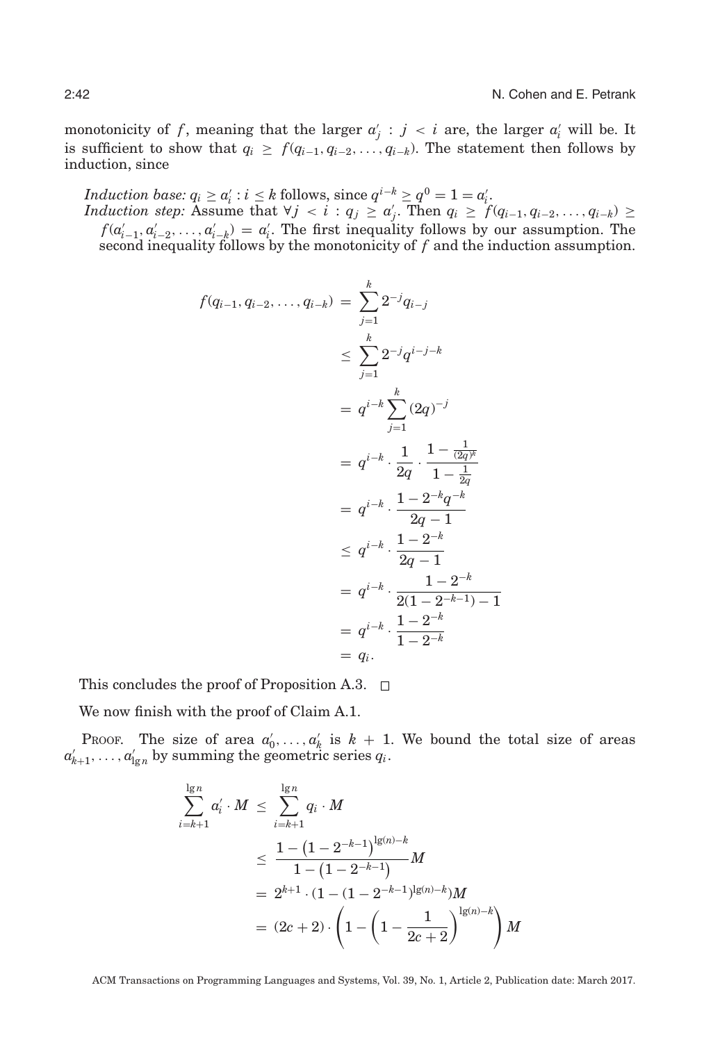monotonicity of f, meaning that the larger  $a'_j$  :  $j \lt i$  are, the larger  $a'_i$  will be. It is sufficient to show that  $q_i \geq f(q_{i-1}, q_{i-2}, \ldots, q_{i-k})$ . The statement then follows by induction, since

 $Induction\ base:\ q_i\geq a'_i:i\leq k\ \text{follows},\ \text{since}\ q^{i-k}\geq q^0=1=a'_i.$ 

*Induction step:* Assume that  $\forall j < i : q_j \geq a'_j$ . Then  $q_i \geq f(q_{i-1}, q_{i-2}, \ldots, q_{i-k}) \geq$  $f(a'_{i-1}, a'_{i-2}, \ldots, a'_{i-k}) = a'_{i}$ . The first inequality follows by our assumption. The second inequality follows by the monotonicity of *f* and the induction assumption.

$$
f(q_{i-1}, q_{i-2}, \dots, q_{i-k}) = \sum_{j=1}^{k} 2^{-j} q_{i-j}
$$
  
\n
$$
\leq \sum_{j=1}^{k} 2^{-j} q^{i-j-k}
$$
  
\n
$$
= q^{i-k} \sum_{j=1}^{k} (2q)^{-j}
$$
  
\n
$$
= q^{i-k} \cdot \frac{1}{2q} \cdot \frac{1 - \frac{1}{2q}}{1 - \frac{1}{2q}}
$$
  
\n
$$
= q^{i-k} \cdot \frac{1 - 2^{-k} q^{-k}}{2q - 1}
$$
  
\n
$$
\leq q^{i-k} \cdot \frac{1 - 2^{-k}}{2q - 1}
$$
  
\n
$$
= q^{i-k} \cdot \frac{1 - 2^{-k}}{2(1 - 2^{-k-1}) - 1}
$$
  
\n
$$
= q^{i-k} \cdot \frac{1 - 2^{-k}}{1 - 2^{-k}}
$$
  
\n
$$
= q_i.
$$

This concludes the proof of Proposition [A.3.](#page-40-1)  $\Box$ 

We now finish with the proof of Claim [A.1.](#page-39-0)

PROOF. The size of area  $a'_0, \ldots, a'_k$  is  $k + 1$ . We bound the total size of areas  $a'_{k+1}, \ldots, a'_{\lg n}$  by summing the geometric series  $q_i$ .

$$
\sum_{i=k+1}^{\lg n} a'_i \cdot M \le \sum_{i=k+1}^{\lg n} q_i \cdot M
$$
\n
$$
\le \frac{1 - (1 - 2^{-k-1})^{\lg(n)-k}}{1 - (1 - 2^{-k-1})} M
$$
\n
$$
= 2^{k+1} \cdot (1 - (1 - 2^{-k-1})^{\lg(n)-k}) M
$$
\n
$$
= (2c+2) \cdot \left(1 - \left(1 - \frac{1}{2c+2}\right)^{\lg(n)-k}\right) M
$$

ACM Transactions on Programming Languages and Systems, Vol. 39, No. 1, Article 2, Publication date: March 2017.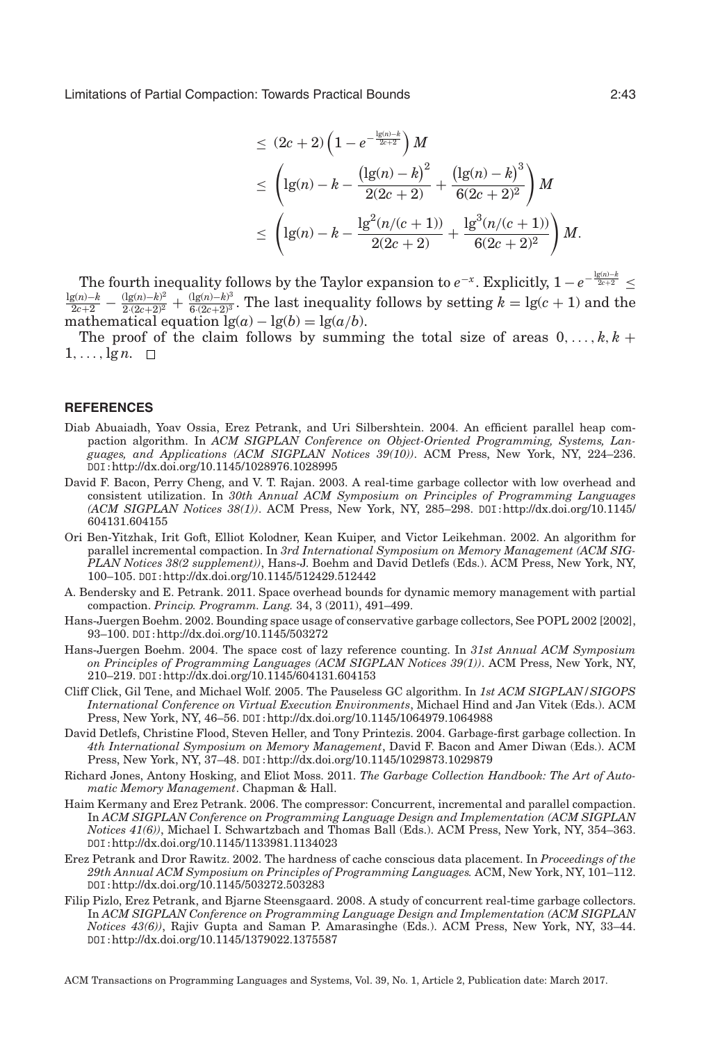$$
\leq (2c+2)\left(1-e^{-\frac{\lg(n)-k}{2c+2}}\right)M
$$
  
\n
$$
\leq \left(\lg(n)-k-\frac{\left(\lg(n)-k\right)^2}{2(2c+2)}+\frac{\left(\lg(n)-k\right)^3}{6(2c+2)^2}\right)M
$$
  
\n
$$
\leq \left(\lg(n)-k-\frac{\lg^2(n/(c+1))}{2(2c+2)}+\frac{\lg^3(n/(c+1))}{6(2c+2)^2}\right)M.
$$

The fourth inequality follows by the Taylor expansion to  $e^{-x}$ . Explicitly,  $1 - e^{-\frac{\lg(n)-k}{2c+2}} \le$  $\frac{\text{lg}(n)-k}{2c+2} - \frac{(\text{lg}(n)-k)^2}{2\cdot(2c+2)^2} + \frac{(\text{lg}(n)-k)^3}{6\cdot(2c+2)^3}$ . The last inequality follows by setting  $k = \text{lg}(c+1)$  and the mathematical equation  $\lg(a) - \lg(b) = \lg(a/b)$ .

The proof of the claim follows by summing the total size of areas  $0, \ldots, k, k + 1$  $1, \ldots, \lg n. \square$ 

## **REFERENCES**

- <span id="page-42-5"></span>Diab Abuaiadh, Yoav Ossia, Erez Petrank, and Uri Silbershtein. 2004. An efficient parallel heap compaction algorithm. In *ACM SIGPLAN Conference on Object-Oriented Programming, Systems, Languages, and Applications (ACM SIGPLAN Notices 39(10))*. ACM Press, New York, NY, 224–236. DOI:<http://dx.doi.org/10.1145/1028976.1028995>
- <span id="page-42-8"></span>David F. Bacon, Perry Cheng, and V. T. Rajan. 2003. A real-time garbage collector with low overhead and consistent utilization. In *30th Annual ACM Symposium on Principles of Programming Languages (ACM SIGPLAN Notices 38(1))*. ACM Press, New York, NY, 285–298. DOI:[http://dx.doi.org/10.1145/](http://dx.doi.org/10.1145/604131.604155) [604131.604155](http://dx.doi.org/10.1145/604131.604155)
- <span id="page-42-7"></span>Ori Ben-Yitzhak, Irit Goft, Elliot Kolodner, Kean Kuiper, and Victor Leikehman. 2002. An algorithm for parallel incremental compaction. In *3rd International Symposium on Memory Management (ACM SIG-PLAN Notices 38(2 supplement))*, Hans-J. Boehm and David Detlefs (Eds.). ACM Press, New York, NY, 100–105. DOI:<http://dx.doi.org/10.1145/512429.512442>
- <span id="page-42-3"></span>A. Bendersky and E. Petrank. 2011. Space overhead bounds for dynamic memory management with partial compaction. *Princip. Programm. Lang.* 34, 3 (2011), 491–499.
- <span id="page-42-1"></span>Hans-Juergen Boehm. 2002. Bounding space usage of conservative garbage collectors, See POPL 2002 [\[2002\]](#page-43-2), 93–100. DOI:<http://dx.doi.org/10.1145/503272>
- <span id="page-42-2"></span>Hans-Juergen Boehm. 2004. The space cost of lazy reference counting. In *31st Annual ACM Symposium on Principles of Programming Languages (ACM SIGPLAN Notices 39(1))*. ACM Press, New York, NY, 210–219. DOI:<http://dx.doi.org/10.1145/604131.604153>
- <span id="page-42-9"></span>Cliff Click, Gil Tene, and Michael Wolf. 2005. The Pauseless GC algorithm. In *1st ACM SIGPLAN/SIGOPS International Conference on Virtual Execution Environments*, Michael Hind and Jan Vitek (Eds.). ACM Press, New York, NY, 46–56. DOI:<http://dx.doi.org/10.1145/1064979.1064988>
- <span id="page-42-10"></span>David Detlefs, Christine Flood, Steven Heller, and Tony Printezis. 2004. Garbage-first garbage collection. In *4th International Symposium on Memory Management*, David F. Bacon and Amer Diwan (Eds.). ACM Press, New York, NY, 37–48. DOI:<http://dx.doi.org/10.1145/1029873.1029879>
- <span id="page-42-4"></span>Richard Jones, Antony Hosking, and Eliot Moss. 2011. *The Garbage Collection Handbook: The Art of Automatic Memory Management*. Chapman & Hall.
- <span id="page-42-6"></span>Haim Kermany and Erez Petrank. 2006. The compressor: Concurrent, incremental and parallel compaction. In *ACM SIGPLAN Conference on Programming Language Design and Implementation (ACM SIGPLAN Notices 41(6))*, Michael I. Schwartzbach and Thomas Ball (Eds.). ACM Press, New York, NY, 354–363. DOI:<http://dx.doi.org/10.1145/1133981.1134023>
- <span id="page-42-0"></span>Erez Petrank and Dror Rawitz. 2002. The hardness of cache conscious data placement. In *Proceedings of the 29th Annual ACM Symposium on Principles of Programming Languages.* ACM, New York, NY, 101–112. DOI:<http://dx.doi.org/10.1145/503272.503283>
- <span id="page-42-11"></span>Filip Pizlo, Erez Petrank, and Bjarne Steensgaard. 2008. A study of concurrent real-time garbage collectors. In *ACM SIGPLAN Conference on Programming Language Design and Implementation (ACM SIGPLAN Notices 43(6))*, Rajiv Gupta and Saman P. Amarasinghe (Eds.). ACM Press, New York, NY, 33–44. DOI:<http://dx.doi.org/10.1145/1379022.1375587>